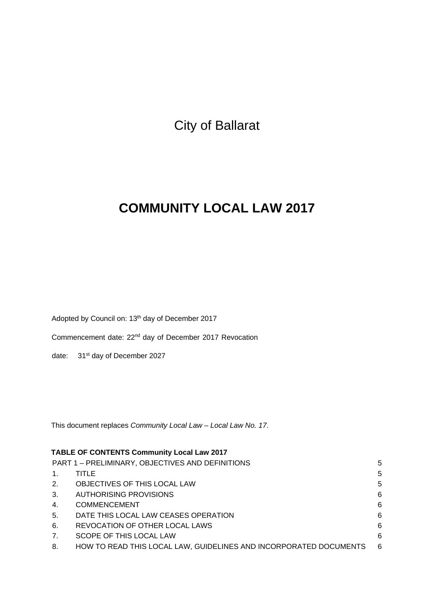City of Ballarat

# **COMMUNITY LOCAL LAW 2017**

Adopted by Council on: 13<sup>th</sup> day of December 2017

Commencement date: 22nd day of December 2017 Revocation

date: 31<sup>st</sup> day of December 2027

This document replaces *Community Local Law – Local Law No. 17*.

| <b>TABLE OF CONTENTS Community Local Law 2017</b>     |                                                                   |     |  |
|-------------------------------------------------------|-------------------------------------------------------------------|-----|--|
| PART 1 - PRELIMINARY, OBJECTIVES AND DEFINITIONS<br>5 |                                                                   |     |  |
| $\mathbf{1}$ .                                        | TITLE                                                             | 5   |  |
| 2.                                                    | OBJECTIVES OF THIS LOCAL LAW                                      | 5   |  |
| 3.                                                    | <b>AUTHORISING PROVISIONS</b>                                     | 6   |  |
| 4.                                                    | <b>COMMENCEMENT</b>                                               | 6   |  |
| 5.                                                    | DATE THIS LOCAL LAW CEASES OPERATION                              | 6   |  |
| 6.                                                    | REVOCATION OF OTHER LOCAL LAWS                                    | 6   |  |
| 7.                                                    | SCOPE OF THIS LOCAL LAW                                           | 6   |  |
| 8.                                                    | HOW TO READ THIS LOCAL LAW, GUIDELINES AND INCORPORATED DOCUMENTS | - 6 |  |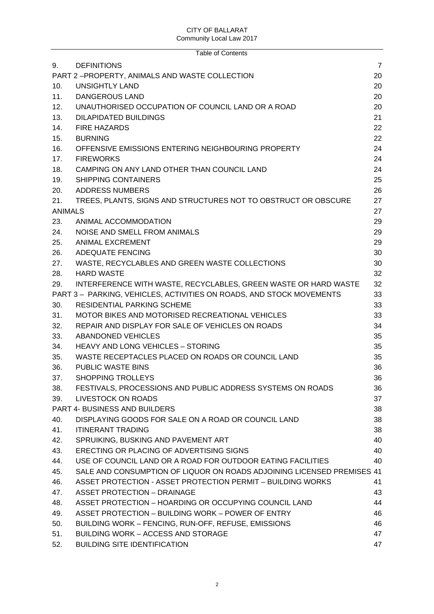|                | <b>Table of Contents</b>                                               |                |
|----------------|------------------------------------------------------------------------|----------------|
| 9.             | <b>DEFINITIONS</b>                                                     | $\overline{7}$ |
|                | PART 2-PROPERTY, ANIMALS AND WASTE COLLECTION                          | 20             |
| 10.            | <b>UNSIGHTLY LAND</b>                                                  | 20             |
| 11.            | <b>DANGEROUS LAND</b>                                                  | 20             |
| 12.            | UNAUTHORISED OCCUPATION OF COUNCIL LAND OR A ROAD                      | 20             |
| 13.            | <b>DILAPIDATED BUILDINGS</b>                                           | 21             |
| 14.            | <b>FIRE HAZARDS</b>                                                    | 22             |
| 15.            | <b>BURNING</b>                                                         | 22             |
| 16.            | OFFENSIVE EMISSIONS ENTERING NEIGHBOURING PROPERTY                     | 24             |
| 17.            | <b>FIREWORKS</b>                                                       | 24             |
| 18.            | CAMPING ON ANY LAND OTHER THAN COUNCIL LAND                            | 24             |
| 19.            | <b>SHIPPING CONTAINERS</b>                                             | 25             |
| 20.            | <b>ADDRESS NUMBERS</b>                                                 | 26             |
| 21.            | TREES, PLANTS, SIGNS AND STRUCTURES NOT TO OBSTRUCT OR OBSCURE         | 27             |
| <b>ANIMALS</b> |                                                                        | 27             |
| 23.            | ANIMAL ACCOMMODATION                                                   | 29             |
| 24.            | NOISE AND SMELL FROM ANIMALS                                           | 29             |
| 25.            | <b>ANIMAL EXCREMENT</b>                                                | 29             |
| 26.            | <b>ADEQUATE FENCING</b>                                                | 30             |
| 27.            | WASTE, RECYCLABLES AND GREEN WASTE COLLECTIONS                         | 30             |
| 28.            | <b>HARD WASTE</b>                                                      | 32             |
| 29.            | INTERFERENCE WITH WASTE, RECYCLABLES, GREEN WASTE OR HARD WASTE        | 32             |
|                | PART 3 - PARKING, VEHICLES, ACTIVITIES ON ROADS, AND STOCK MOVEMENTS   | 33             |
| 30.            | <b>RESIDENTIAL PARKING SCHEME</b>                                      | 33             |
| 31.            | MOTOR BIKES AND MOTORISED RECREATIONAL VEHICLES                        | 33             |
| 32.            | REPAIR AND DISPLAY FOR SALE OF VEHICLES ON ROADS                       | 34             |
| 33.            | ABANDONED VEHICLES                                                     | 35             |
| 34.            | <b>HEAVY AND LONG VEHICLES - STORING</b>                               | 35             |
| 35.            | WASTE RECEPTACLES PLACED ON ROADS OR COUNCIL LAND                      | 35             |
| 36.            | PUBLIC WASTE BINS                                                      | 36             |
| 37.            | <b>SHOPPING TROLLEYS</b>                                               | 36             |
| 38.            | FESTIVALS, PROCESSIONS AND PUBLIC ADDRESS SYSTEMS ON ROADS             | 36             |
| 39.            | <b>LIVESTOCK ON ROADS</b>                                              | 37             |
|                | <b>PART 4- BUSINESS AND BUILDERS</b>                                   | 38             |
| 40.            | DISPLAYING GOODS FOR SALE ON A ROAD OR COUNCIL LAND                    | 38             |
| 41.            | <b>ITINERANT TRADING</b>                                               | 38             |
| 42.            | SPRUIKING, BUSKING AND PAVEMENT ART                                    | 40             |
| 43.            | ERECTING OR PLACING OF ADVERTISING SIGNS                               | 40             |
| 44.            | USE OF COUNCIL LAND OR A ROAD FOR OUTDOOR EATING FACILITIES            | 40             |
| 45.            | SALE AND CONSUMPTION OF LIQUOR ON ROADS ADJOINING LICENSED PREMISES 41 |                |
| 46.            | ASSET PROTECTION - ASSET PROTECTION PERMIT - BUILDING WORKS            | 41             |
| 47.            | <b>ASSET PROTECTION - DRAINAGE</b>                                     | 43             |
| 48.            | ASSET PROTECTION - HOARDING OR OCCUPYING COUNCIL LAND                  | 44             |
| 49.            | ASSET PROTECTION - BUILDING WORK - POWER OF ENTRY                      | 46             |
| 50.            | BUILDING WORK - FENCING, RUN-OFF, REFUSE, EMISSIONS                    | 46             |
| 51.            | <b>BUILDING WORK - ACCESS AND STORAGE</b>                              | 47             |
| 52.            | <b>BUILDING SITE IDENTIFICATION</b>                                    | 47             |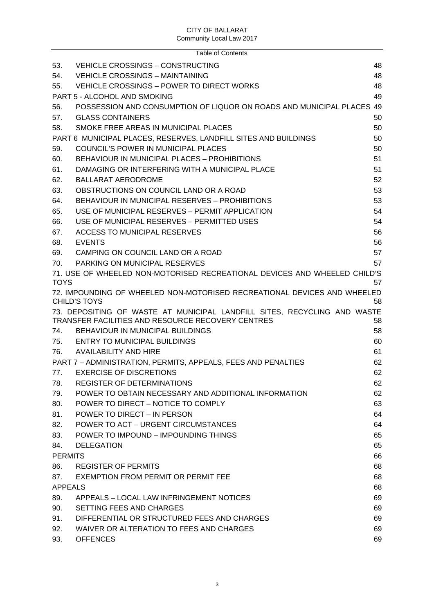| 53.<br><b>VEHICLE CROSSINGS - CONSTRUCTING</b><br>48<br>54.<br><b>VEHICLE CROSSINGS - MAINTAINING</b><br>48<br>VEHICLE CROSSINGS - POWER TO DIRECT WORKS<br>48<br>55.<br><b>PART 5 - ALCOHOL AND SMOKING</b><br>49<br>POSSESSION AND CONSUMPTION OF LIQUOR ON ROADS AND MUNICIPAL PLACES 49<br>56.<br>57.<br><b>GLASS CONTAINERS</b><br>50<br>SMOKE FREE AREAS IN MUNICIPAL PLACES<br>58.<br>50<br>PART 6 MUNICIPAL PLACES, RESERVES, LANDFILL SITES AND BUILDINGS<br>50<br>59.<br>COUNCIL'S POWER IN MUNICIPAL PLACES<br>50<br><b>BEHAVIOUR IN MUNICIPAL PLACES - PROHIBITIONS</b><br>51<br>60.<br>DAMAGING OR INTERFERING WITH A MUNICIPAL PLACE<br>51<br>61.<br>62.<br><b>BALLARAT AERODROME</b><br>52<br>63.<br>OBSTRUCTIONS ON COUNCIL LAND OR A ROAD<br>53<br>BEHAVIOUR IN MUNICIPAL RESERVES - PROHIBITIONS<br>53<br>64.<br>USE OF MUNICIPAL RESERVES - PERMIT APPLICATION<br>54<br>65.<br>USE OF MUNICIPAL RESERVES - PERMITTED USES<br>54<br>66.<br><b>ACCESS TO MUNICIPAL RESERVES</b><br>67.<br>56<br>68.<br><b>EVENTS</b><br>56<br>57<br>CAMPING ON COUNCIL LAND OR A ROAD<br>69.<br>PARKING ON MUNICIPAL RESERVES<br>70.<br>57<br>71. USE OF WHEELED NON-MOTORISED RECREATIONAL DEVICES AND WHEELED CHILD'S<br><b>TOYS</b><br>57<br>72. IMPOUNDING OF WHEELED NON-MOTORISED RECREATIONAL DEVICES AND WHEELED<br><b>CHILD'S TOYS</b><br>58<br>73. DEPOSITING OF WASTE AT MUNICIPAL LANDFILL SITES, RECYCLING AND WASTE<br>TRANSFER FACILITIES AND RESOURCE RECOVERY CENTRES<br>58<br>BEHAVIOUR IN MUNICIPAL BUILDINGS<br>74.<br>58<br>75.<br><b>ENTRY TO MUNICIPAL BUILDINGS</b><br>60<br><b>AVAILABILITY AND HIRE</b><br>76.<br>61<br>PART 7 - ADMINISTRATION, PERMITS, APPEALS, FEES AND PENALTIES<br>62<br><b>EXERCISE OF DISCRETIONS</b><br>62<br>77.<br><b>REGISTER OF DETERMINATIONS</b><br>78.<br>62<br>POWER TO OBTAIN NECESSARY AND ADDITIONAL INFORMATION<br>79.<br>62<br>80.<br>POWER TO DIRECT - NOTICE TO COMPLY<br>63<br>81.<br>POWER TO DIRECT - IN PERSON<br>64<br>POWER TO ACT - URGENT CIRCUMSTANCES<br>82.<br>64<br>POWER TO IMPOUND - IMPOUNDING THINGS<br>83.<br>65<br>65<br>84.<br><b>DELEGATION</b><br><b>PERMITS</b><br>66<br><b>REGISTER OF PERMITS</b><br>68<br>86.<br>87.<br>EXEMPTION FROM PERMIT OR PERMIT FEE<br>68<br><b>APPEALS</b><br>68<br>89.<br>APPEALS - LOCAL LAW INFRINGEMENT NOTICES<br>69<br>90.<br>SETTING FEES AND CHARGES<br>69<br>DIFFERENTIAL OR STRUCTURED FEES AND CHARGES<br>91.<br>69<br>92.<br>WAIVER OR ALTERATION TO FEES AND CHARGES<br>69 |     | <b>Table of Contents</b> |    |
|--------------------------------------------------------------------------------------------------------------------------------------------------------------------------------------------------------------------------------------------------------------------------------------------------------------------------------------------------------------------------------------------------------------------------------------------------------------------------------------------------------------------------------------------------------------------------------------------------------------------------------------------------------------------------------------------------------------------------------------------------------------------------------------------------------------------------------------------------------------------------------------------------------------------------------------------------------------------------------------------------------------------------------------------------------------------------------------------------------------------------------------------------------------------------------------------------------------------------------------------------------------------------------------------------------------------------------------------------------------------------------------------------------------------------------------------------------------------------------------------------------------------------------------------------------------------------------------------------------------------------------------------------------------------------------------------------------------------------------------------------------------------------------------------------------------------------------------------------------------------------------------------------------------------------------------------------------------------------------------------------------------------------------------------------------------------------------------------------------------------------------------------------------------------------------------------------------------------------------------------------------------------------------------------------------------------------------------------------------------------------------------------------------------------------------------------------------------------------------------------------------------|-----|--------------------------|----|
|                                                                                                                                                                                                                                                                                                                                                                                                                                                                                                                                                                                                                                                                                                                                                                                                                                                                                                                                                                                                                                                                                                                                                                                                                                                                                                                                                                                                                                                                                                                                                                                                                                                                                                                                                                                                                                                                                                                                                                                                                                                                                                                                                                                                                                                                                                                                                                                                                                                                                                              |     |                          |    |
|                                                                                                                                                                                                                                                                                                                                                                                                                                                                                                                                                                                                                                                                                                                                                                                                                                                                                                                                                                                                                                                                                                                                                                                                                                                                                                                                                                                                                                                                                                                                                                                                                                                                                                                                                                                                                                                                                                                                                                                                                                                                                                                                                                                                                                                                                                                                                                                                                                                                                                              |     |                          |    |
|                                                                                                                                                                                                                                                                                                                                                                                                                                                                                                                                                                                                                                                                                                                                                                                                                                                                                                                                                                                                                                                                                                                                                                                                                                                                                                                                                                                                                                                                                                                                                                                                                                                                                                                                                                                                                                                                                                                                                                                                                                                                                                                                                                                                                                                                                                                                                                                                                                                                                                              |     |                          |    |
|                                                                                                                                                                                                                                                                                                                                                                                                                                                                                                                                                                                                                                                                                                                                                                                                                                                                                                                                                                                                                                                                                                                                                                                                                                                                                                                                                                                                                                                                                                                                                                                                                                                                                                                                                                                                                                                                                                                                                                                                                                                                                                                                                                                                                                                                                                                                                                                                                                                                                                              |     |                          |    |
|                                                                                                                                                                                                                                                                                                                                                                                                                                                                                                                                                                                                                                                                                                                                                                                                                                                                                                                                                                                                                                                                                                                                                                                                                                                                                                                                                                                                                                                                                                                                                                                                                                                                                                                                                                                                                                                                                                                                                                                                                                                                                                                                                                                                                                                                                                                                                                                                                                                                                                              |     |                          |    |
|                                                                                                                                                                                                                                                                                                                                                                                                                                                                                                                                                                                                                                                                                                                                                                                                                                                                                                                                                                                                                                                                                                                                                                                                                                                                                                                                                                                                                                                                                                                                                                                                                                                                                                                                                                                                                                                                                                                                                                                                                                                                                                                                                                                                                                                                                                                                                                                                                                                                                                              |     |                          |    |
|                                                                                                                                                                                                                                                                                                                                                                                                                                                                                                                                                                                                                                                                                                                                                                                                                                                                                                                                                                                                                                                                                                                                                                                                                                                                                                                                                                                                                                                                                                                                                                                                                                                                                                                                                                                                                                                                                                                                                                                                                                                                                                                                                                                                                                                                                                                                                                                                                                                                                                              |     |                          |    |
|                                                                                                                                                                                                                                                                                                                                                                                                                                                                                                                                                                                                                                                                                                                                                                                                                                                                                                                                                                                                                                                                                                                                                                                                                                                                                                                                                                                                                                                                                                                                                                                                                                                                                                                                                                                                                                                                                                                                                                                                                                                                                                                                                                                                                                                                                                                                                                                                                                                                                                              |     |                          |    |
|                                                                                                                                                                                                                                                                                                                                                                                                                                                                                                                                                                                                                                                                                                                                                                                                                                                                                                                                                                                                                                                                                                                                                                                                                                                                                                                                                                                                                                                                                                                                                                                                                                                                                                                                                                                                                                                                                                                                                                                                                                                                                                                                                                                                                                                                                                                                                                                                                                                                                                              |     |                          |    |
|                                                                                                                                                                                                                                                                                                                                                                                                                                                                                                                                                                                                                                                                                                                                                                                                                                                                                                                                                                                                                                                                                                                                                                                                                                                                                                                                                                                                                                                                                                                                                                                                                                                                                                                                                                                                                                                                                                                                                                                                                                                                                                                                                                                                                                                                                                                                                                                                                                                                                                              |     |                          |    |
|                                                                                                                                                                                                                                                                                                                                                                                                                                                                                                                                                                                                                                                                                                                                                                                                                                                                                                                                                                                                                                                                                                                                                                                                                                                                                                                                                                                                                                                                                                                                                                                                                                                                                                                                                                                                                                                                                                                                                                                                                                                                                                                                                                                                                                                                                                                                                                                                                                                                                                              |     |                          |    |
|                                                                                                                                                                                                                                                                                                                                                                                                                                                                                                                                                                                                                                                                                                                                                                                                                                                                                                                                                                                                                                                                                                                                                                                                                                                                                                                                                                                                                                                                                                                                                                                                                                                                                                                                                                                                                                                                                                                                                                                                                                                                                                                                                                                                                                                                                                                                                                                                                                                                                                              |     |                          |    |
|                                                                                                                                                                                                                                                                                                                                                                                                                                                                                                                                                                                                                                                                                                                                                                                                                                                                                                                                                                                                                                                                                                                                                                                                                                                                                                                                                                                                                                                                                                                                                                                                                                                                                                                                                                                                                                                                                                                                                                                                                                                                                                                                                                                                                                                                                                                                                                                                                                                                                                              |     |                          |    |
|                                                                                                                                                                                                                                                                                                                                                                                                                                                                                                                                                                                                                                                                                                                                                                                                                                                                                                                                                                                                                                                                                                                                                                                                                                                                                                                                                                                                                                                                                                                                                                                                                                                                                                                                                                                                                                                                                                                                                                                                                                                                                                                                                                                                                                                                                                                                                                                                                                                                                                              |     |                          |    |
|                                                                                                                                                                                                                                                                                                                                                                                                                                                                                                                                                                                                                                                                                                                                                                                                                                                                                                                                                                                                                                                                                                                                                                                                                                                                                                                                                                                                                                                                                                                                                                                                                                                                                                                                                                                                                                                                                                                                                                                                                                                                                                                                                                                                                                                                                                                                                                                                                                                                                                              |     |                          |    |
|                                                                                                                                                                                                                                                                                                                                                                                                                                                                                                                                                                                                                                                                                                                                                                                                                                                                                                                                                                                                                                                                                                                                                                                                                                                                                                                                                                                                                                                                                                                                                                                                                                                                                                                                                                                                                                                                                                                                                                                                                                                                                                                                                                                                                                                                                                                                                                                                                                                                                                              |     |                          |    |
|                                                                                                                                                                                                                                                                                                                                                                                                                                                                                                                                                                                                                                                                                                                                                                                                                                                                                                                                                                                                                                                                                                                                                                                                                                                                                                                                                                                                                                                                                                                                                                                                                                                                                                                                                                                                                                                                                                                                                                                                                                                                                                                                                                                                                                                                                                                                                                                                                                                                                                              |     |                          |    |
|                                                                                                                                                                                                                                                                                                                                                                                                                                                                                                                                                                                                                                                                                                                                                                                                                                                                                                                                                                                                                                                                                                                                                                                                                                                                                                                                                                                                                                                                                                                                                                                                                                                                                                                                                                                                                                                                                                                                                                                                                                                                                                                                                                                                                                                                                                                                                                                                                                                                                                              |     |                          |    |
|                                                                                                                                                                                                                                                                                                                                                                                                                                                                                                                                                                                                                                                                                                                                                                                                                                                                                                                                                                                                                                                                                                                                                                                                                                                                                                                                                                                                                                                                                                                                                                                                                                                                                                                                                                                                                                                                                                                                                                                                                                                                                                                                                                                                                                                                                                                                                                                                                                                                                                              |     |                          |    |
|                                                                                                                                                                                                                                                                                                                                                                                                                                                                                                                                                                                                                                                                                                                                                                                                                                                                                                                                                                                                                                                                                                                                                                                                                                                                                                                                                                                                                                                                                                                                                                                                                                                                                                                                                                                                                                                                                                                                                                                                                                                                                                                                                                                                                                                                                                                                                                                                                                                                                                              |     |                          |    |
|                                                                                                                                                                                                                                                                                                                                                                                                                                                                                                                                                                                                                                                                                                                                                                                                                                                                                                                                                                                                                                                                                                                                                                                                                                                                                                                                                                                                                                                                                                                                                                                                                                                                                                                                                                                                                                                                                                                                                                                                                                                                                                                                                                                                                                                                                                                                                                                                                                                                                                              |     |                          |    |
|                                                                                                                                                                                                                                                                                                                                                                                                                                                                                                                                                                                                                                                                                                                                                                                                                                                                                                                                                                                                                                                                                                                                                                                                                                                                                                                                                                                                                                                                                                                                                                                                                                                                                                                                                                                                                                                                                                                                                                                                                                                                                                                                                                                                                                                                                                                                                                                                                                                                                                              |     |                          |    |
|                                                                                                                                                                                                                                                                                                                                                                                                                                                                                                                                                                                                                                                                                                                                                                                                                                                                                                                                                                                                                                                                                                                                                                                                                                                                                                                                                                                                                                                                                                                                                                                                                                                                                                                                                                                                                                                                                                                                                                                                                                                                                                                                                                                                                                                                                                                                                                                                                                                                                                              |     |                          |    |
|                                                                                                                                                                                                                                                                                                                                                                                                                                                                                                                                                                                                                                                                                                                                                                                                                                                                                                                                                                                                                                                                                                                                                                                                                                                                                                                                                                                                                                                                                                                                                                                                                                                                                                                                                                                                                                                                                                                                                                                                                                                                                                                                                                                                                                                                                                                                                                                                                                                                                                              |     |                          |    |
|                                                                                                                                                                                                                                                                                                                                                                                                                                                                                                                                                                                                                                                                                                                                                                                                                                                                                                                                                                                                                                                                                                                                                                                                                                                                                                                                                                                                                                                                                                                                                                                                                                                                                                                                                                                                                                                                                                                                                                                                                                                                                                                                                                                                                                                                                                                                                                                                                                                                                                              |     |                          |    |
|                                                                                                                                                                                                                                                                                                                                                                                                                                                                                                                                                                                                                                                                                                                                                                                                                                                                                                                                                                                                                                                                                                                                                                                                                                                                                                                                                                                                                                                                                                                                                                                                                                                                                                                                                                                                                                                                                                                                                                                                                                                                                                                                                                                                                                                                                                                                                                                                                                                                                                              |     |                          |    |
|                                                                                                                                                                                                                                                                                                                                                                                                                                                                                                                                                                                                                                                                                                                                                                                                                                                                                                                                                                                                                                                                                                                                                                                                                                                                                                                                                                                                                                                                                                                                                                                                                                                                                                                                                                                                                                                                                                                                                                                                                                                                                                                                                                                                                                                                                                                                                                                                                                                                                                              |     |                          |    |
|                                                                                                                                                                                                                                                                                                                                                                                                                                                                                                                                                                                                                                                                                                                                                                                                                                                                                                                                                                                                                                                                                                                                                                                                                                                                                                                                                                                                                                                                                                                                                                                                                                                                                                                                                                                                                                                                                                                                                                                                                                                                                                                                                                                                                                                                                                                                                                                                                                                                                                              |     |                          |    |
|                                                                                                                                                                                                                                                                                                                                                                                                                                                                                                                                                                                                                                                                                                                                                                                                                                                                                                                                                                                                                                                                                                                                                                                                                                                                                                                                                                                                                                                                                                                                                                                                                                                                                                                                                                                                                                                                                                                                                                                                                                                                                                                                                                                                                                                                                                                                                                                                                                                                                                              |     |                          |    |
|                                                                                                                                                                                                                                                                                                                                                                                                                                                                                                                                                                                                                                                                                                                                                                                                                                                                                                                                                                                                                                                                                                                                                                                                                                                                                                                                                                                                                                                                                                                                                                                                                                                                                                                                                                                                                                                                                                                                                                                                                                                                                                                                                                                                                                                                                                                                                                                                                                                                                                              |     |                          |    |
|                                                                                                                                                                                                                                                                                                                                                                                                                                                                                                                                                                                                                                                                                                                                                                                                                                                                                                                                                                                                                                                                                                                                                                                                                                                                                                                                                                                                                                                                                                                                                                                                                                                                                                                                                                                                                                                                                                                                                                                                                                                                                                                                                                                                                                                                                                                                                                                                                                                                                                              |     |                          |    |
|                                                                                                                                                                                                                                                                                                                                                                                                                                                                                                                                                                                                                                                                                                                                                                                                                                                                                                                                                                                                                                                                                                                                                                                                                                                                                                                                                                                                                                                                                                                                                                                                                                                                                                                                                                                                                                                                                                                                                                                                                                                                                                                                                                                                                                                                                                                                                                                                                                                                                                              |     |                          |    |
|                                                                                                                                                                                                                                                                                                                                                                                                                                                                                                                                                                                                                                                                                                                                                                                                                                                                                                                                                                                                                                                                                                                                                                                                                                                                                                                                                                                                                                                                                                                                                                                                                                                                                                                                                                                                                                                                                                                                                                                                                                                                                                                                                                                                                                                                                                                                                                                                                                                                                                              |     |                          |    |
|                                                                                                                                                                                                                                                                                                                                                                                                                                                                                                                                                                                                                                                                                                                                                                                                                                                                                                                                                                                                                                                                                                                                                                                                                                                                                                                                                                                                                                                                                                                                                                                                                                                                                                                                                                                                                                                                                                                                                                                                                                                                                                                                                                                                                                                                                                                                                                                                                                                                                                              |     |                          |    |
|                                                                                                                                                                                                                                                                                                                                                                                                                                                                                                                                                                                                                                                                                                                                                                                                                                                                                                                                                                                                                                                                                                                                                                                                                                                                                                                                                                                                                                                                                                                                                                                                                                                                                                                                                                                                                                                                                                                                                                                                                                                                                                                                                                                                                                                                                                                                                                                                                                                                                                              |     |                          |    |
|                                                                                                                                                                                                                                                                                                                                                                                                                                                                                                                                                                                                                                                                                                                                                                                                                                                                                                                                                                                                                                                                                                                                                                                                                                                                                                                                                                                                                                                                                                                                                                                                                                                                                                                                                                                                                                                                                                                                                                                                                                                                                                                                                                                                                                                                                                                                                                                                                                                                                                              |     |                          |    |
|                                                                                                                                                                                                                                                                                                                                                                                                                                                                                                                                                                                                                                                                                                                                                                                                                                                                                                                                                                                                                                                                                                                                                                                                                                                                                                                                                                                                                                                                                                                                                                                                                                                                                                                                                                                                                                                                                                                                                                                                                                                                                                                                                                                                                                                                                                                                                                                                                                                                                                              |     |                          |    |
|                                                                                                                                                                                                                                                                                                                                                                                                                                                                                                                                                                                                                                                                                                                                                                                                                                                                                                                                                                                                                                                                                                                                                                                                                                                                                                                                                                                                                                                                                                                                                                                                                                                                                                                                                                                                                                                                                                                                                                                                                                                                                                                                                                                                                                                                                                                                                                                                                                                                                                              |     |                          |    |
|                                                                                                                                                                                                                                                                                                                                                                                                                                                                                                                                                                                                                                                                                                                                                                                                                                                                                                                                                                                                                                                                                                                                                                                                                                                                                                                                                                                                                                                                                                                                                                                                                                                                                                                                                                                                                                                                                                                                                                                                                                                                                                                                                                                                                                                                                                                                                                                                                                                                                                              |     |                          |    |
|                                                                                                                                                                                                                                                                                                                                                                                                                                                                                                                                                                                                                                                                                                                                                                                                                                                                                                                                                                                                                                                                                                                                                                                                                                                                                                                                                                                                                                                                                                                                                                                                                                                                                                                                                                                                                                                                                                                                                                                                                                                                                                                                                                                                                                                                                                                                                                                                                                                                                                              |     |                          |    |
|                                                                                                                                                                                                                                                                                                                                                                                                                                                                                                                                                                                                                                                                                                                                                                                                                                                                                                                                                                                                                                                                                                                                                                                                                                                                                                                                                                                                                                                                                                                                                                                                                                                                                                                                                                                                                                                                                                                                                                                                                                                                                                                                                                                                                                                                                                                                                                                                                                                                                                              |     |                          |    |
|                                                                                                                                                                                                                                                                                                                                                                                                                                                                                                                                                                                                                                                                                                                                                                                                                                                                                                                                                                                                                                                                                                                                                                                                                                                                                                                                                                                                                                                                                                                                                                                                                                                                                                                                                                                                                                                                                                                                                                                                                                                                                                                                                                                                                                                                                                                                                                                                                                                                                                              |     |                          |    |
|                                                                                                                                                                                                                                                                                                                                                                                                                                                                                                                                                                                                                                                                                                                                                                                                                                                                                                                                                                                                                                                                                                                                                                                                                                                                                                                                                                                                                                                                                                                                                                                                                                                                                                                                                                                                                                                                                                                                                                                                                                                                                                                                                                                                                                                                                                                                                                                                                                                                                                              |     |                          |    |
|                                                                                                                                                                                                                                                                                                                                                                                                                                                                                                                                                                                                                                                                                                                                                                                                                                                                                                                                                                                                                                                                                                                                                                                                                                                                                                                                                                                                                                                                                                                                                                                                                                                                                                                                                                                                                                                                                                                                                                                                                                                                                                                                                                                                                                                                                                                                                                                                                                                                                                              |     |                          |    |
|                                                                                                                                                                                                                                                                                                                                                                                                                                                                                                                                                                                                                                                                                                                                                                                                                                                                                                                                                                                                                                                                                                                                                                                                                                                                                                                                                                                                                                                                                                                                                                                                                                                                                                                                                                                                                                                                                                                                                                                                                                                                                                                                                                                                                                                                                                                                                                                                                                                                                                              | 93. | <b>OFFENCES</b>          | 69 |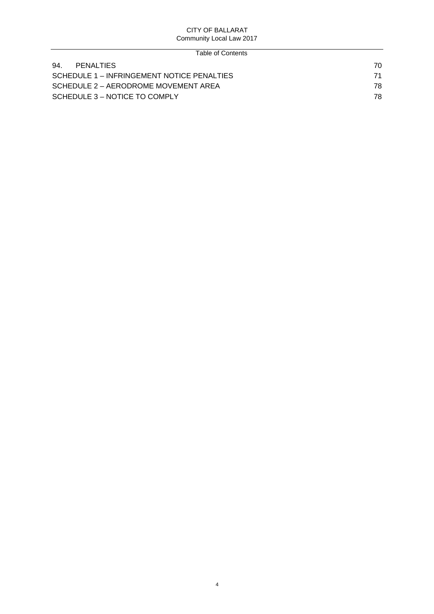| Table of Contents                          |    |
|--------------------------------------------|----|
| 94.<br>PENALTIES                           | 70 |
| SCHEDULE 1 – INFRINGEMENT NOTICE PENALTIES | 71 |
| SCHEDULE 2 – AERODROME MOVEMENT AREA       | 78 |
| SCHEDULE 3 – NOTICE TO COMPLY              | 78 |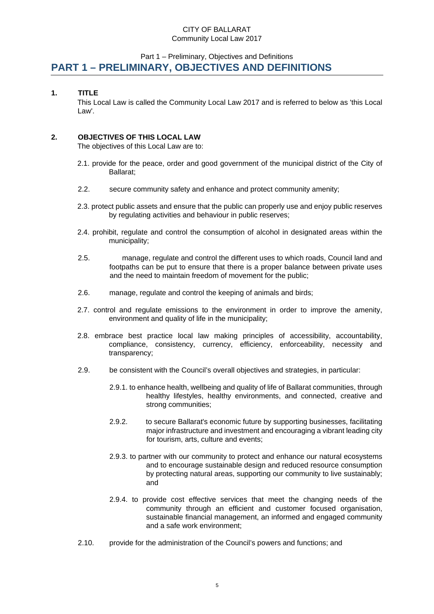# <span id="page-4-0"></span>Part 1 – Preliminary, Objectives and Definitions **PART 1 – PRELIMINARY, OBJECTIVES AND DEFINITIONS**

## <span id="page-4-1"></span>**1. TITLE**

This Local Law is called the Community Local Law 2017 and is referred to below as 'this Local Law'.

## <span id="page-4-2"></span>**2. OBJECTIVES OF THIS LOCAL LAW**

The objectives of this Local Law are to:

- 2.1. provide for the peace, order and good government of the municipal district of the City of Ballarat;
- 2.2. secure community safety and enhance and protect community amenity;
- 2.3. protect public assets and ensure that the public can properly use and enjoy public reserves by regulating activities and behaviour in public reserves;
- 2.4. prohibit, regulate and control the consumption of alcohol in designated areas within the municipality;
- 2.5. manage, regulate and control the different uses to which roads, Council land and footpaths can be put to ensure that there is a proper balance between private uses and the need to maintain freedom of movement for the public;
- 2.6. manage, regulate and control the keeping of animals and birds;
- 2.7. control and regulate emissions to the environment in order to improve the amenity, environment and quality of life in the municipality;
- 2.8. embrace best practice local law making principles of accessibility, accountability, compliance, consistency, currency, efficiency, enforceability, necessity and transparency;
- 2.9. be consistent with the Council's overall objectives and strategies, in particular:
	- 2.9.1. to enhance health, wellbeing and quality of life of Ballarat communities, through healthy lifestyles, healthy environments, and connected, creative and strong communities;
	- 2.9.2. to secure Ballarat's economic future by supporting businesses, facilitating major infrastructure and investment and encouraging a vibrant leading city for tourism, arts, culture and events;
	- 2.9.3. to partner with our community to protect and enhance our natural ecosystems and to encourage sustainable design and reduced resource consumption by protecting natural areas, supporting our community to live sustainably; and
	- 2.9.4. to provide cost effective services that meet the changing needs of the community through an efficient and customer focused organisation, sustainable financial management, an informed and engaged community and a safe work environment;
- 2.10. provide for the administration of the Council's powers and functions; and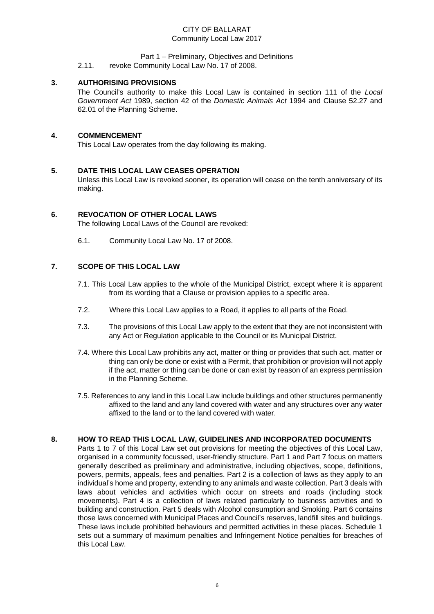## Part 1 – Preliminary, Objectives and Definitions

2.11. revoke Community Local Law No. 17 of 2008.

## <span id="page-5-0"></span>**3. AUTHORISING PROVISIONS**

The Council's authority to make this Local Law is contained in section 111 of the *Local Government Act* 1989, section 42 of the *Domestic Animals Act* 1994 and Clause 52.27 and 62.01 of the Planning Scheme.

## <span id="page-5-1"></span>**4. COMMENCEMENT**

This Local Law operates from the day following its making.

## <span id="page-5-2"></span>**5. DATE THIS LOCAL LAW CEASES OPERATION**

Unless this Local Law is revoked sooner, its operation will cease on the tenth anniversary of its making.

## <span id="page-5-3"></span>**6. REVOCATION OF OTHER LOCAL LAWS**

The following Local Laws of the Council are revoked:

6.1. Community Local Law No. 17 of 2008.

## <span id="page-5-4"></span>**7. SCOPE OF THIS LOCAL LAW**

- 7.1. This Local Law applies to the whole of the Municipal District, except where it is apparent from its wording that a Clause or provision applies to a specific area.
- 7.2. Where this Local Law applies to a Road, it applies to all parts of the Road.
- 7.3. The provisions of this Local Law apply to the extent that they are not inconsistent with any Act or Regulation applicable to the Council or its Municipal District.
- 7.4. Where this Local Law prohibits any act, matter or thing or provides that such act, matter or thing can only be done or exist with a Permit, that prohibition or provision will not apply if the act, matter or thing can be done or can exist by reason of an express permission in the Planning Scheme.
- 7.5. References to any land in this Local Law include buildings and other structures permanently affixed to the land and any land covered with water and any structures over any water affixed to the land or to the land covered with water.

## <span id="page-5-5"></span>**8. HOW TO READ THIS LOCAL LAW, GUIDELINES AND INCORPORATED DOCUMENTS**

Parts 1 to 7 of this Local Law set out provisions for meeting the objectives of this Local Law, organised in a community focussed, user-friendly structure. Part 1 and Part 7 focus on matters generally described as preliminary and administrative, including objectives, scope, definitions, powers, permits, appeals, fees and penalties. Part 2 is a collection of laws as they apply to an individual's home and property, extending to any animals and waste collection. Part 3 deals with laws about vehicles and activities which occur on streets and roads (including stock movements). Part 4 is a collection of laws related particularly to business activities and to building and construction. Part 5 deals with Alcohol consumption and Smoking. Part 6 contains those laws concerned with Municipal Places and Council's reserves, landfill sites and buildings. These laws include prohibited behaviours and permitted activities in these places. Schedule 1 sets out a summary of maximum penalties and Infringement Notice penalties for breaches of this Local Law.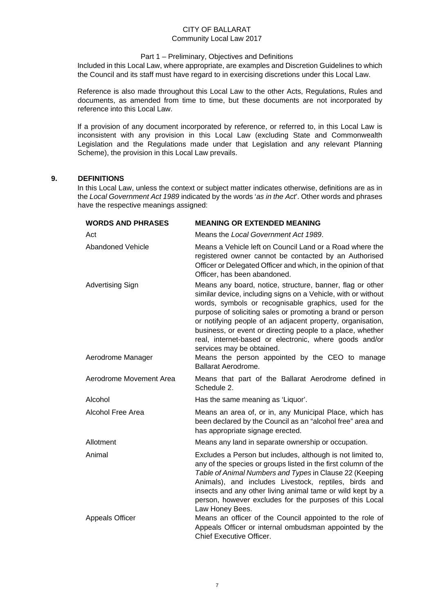### Part 1 – Preliminary, Objectives and Definitions

Included in this Local Law, where appropriate, are examples and Discretion Guidelines to which the Council and its staff must have regard to in exercising discretions under this Local Law.

Reference is also made throughout this Local Law to the other Acts, Regulations, Rules and documents, as amended from time to time, but these documents are not incorporated by reference into this Local Law.

If a provision of any document incorporated by reference, or referred to, in this Local Law is inconsistent with any provision in this Local Law (excluding State and Commonwealth Legislation and the Regulations made under that Legislation and any relevant Planning Scheme), the provision in this Local Law prevails.

## <span id="page-6-0"></span>**9. DEFINITIONS**

In this Local Law, unless the context or subject matter indicates otherwise, definitions are as in the *Local Government Act 1989* indicated by the words '*as in the Act*'. Other words and phrases have the respective meanings assigned:

| <b>WORDS AND PHRASES</b>                     | <b>MEANING OR EXTENDED MEANING</b>                                                                                                                                                                                                                                                                                                                                                                                                                                                                                                                    |
|----------------------------------------------|-------------------------------------------------------------------------------------------------------------------------------------------------------------------------------------------------------------------------------------------------------------------------------------------------------------------------------------------------------------------------------------------------------------------------------------------------------------------------------------------------------------------------------------------------------|
| Act                                          | Means the Local Government Act 1989.                                                                                                                                                                                                                                                                                                                                                                                                                                                                                                                  |
| <b>Abandoned Vehicle</b>                     | Means a Vehicle left on Council Land or a Road where the<br>registered owner cannot be contacted by an Authorised<br>Officer or Delegated Officer and which, in the opinion of that<br>Officer, has been abandoned.                                                                                                                                                                                                                                                                                                                                   |
| <b>Advertising Sign</b><br>Aerodrome Manager | Means any board, notice, structure, banner, flag or other<br>similar device, including signs on a Vehicle, with or without<br>words, symbols or recognisable graphics, used for the<br>purpose of soliciting sales or promoting a brand or person<br>or notifying people of an adjacent property, organisation,<br>business, or event or directing people to a place, whether<br>real, internet-based or electronic, where goods and/or<br>services may be obtained.<br>Means the person appointed by the CEO to manage<br><b>Ballarat Aerodrome.</b> |
| Aerodrome Movement Area                      | Means that part of the Ballarat Aerodrome defined in<br>Schedule 2.                                                                                                                                                                                                                                                                                                                                                                                                                                                                                   |
| Alcohol                                      | Has the same meaning as 'Liquor'.                                                                                                                                                                                                                                                                                                                                                                                                                                                                                                                     |
| Alcohol Free Area                            | Means an area of, or in, any Municipal Place, which has<br>been declared by the Council as an "alcohol free" area and<br>has appropriate signage erected.                                                                                                                                                                                                                                                                                                                                                                                             |
| Allotment                                    | Means any land in separate ownership or occupation.                                                                                                                                                                                                                                                                                                                                                                                                                                                                                                   |
| Animal                                       | Excludes a Person but includes, although is not limited to,<br>any of the species or groups listed in the first column of the<br>Table of Animal Numbers and Types in Clause 22 (Keeping<br>Animals), and includes Livestock, reptiles, birds and<br>insects and any other living animal tame or wild kept by a<br>person, however excludes for the purposes of this Local<br>Law Honey Bees.                                                                                                                                                         |
| <b>Appeals Officer</b>                       | Means an officer of the Council appointed to the role of<br>Appeals Officer or internal ombudsman appointed by the<br>Chief Executive Officer.                                                                                                                                                                                                                                                                                                                                                                                                        |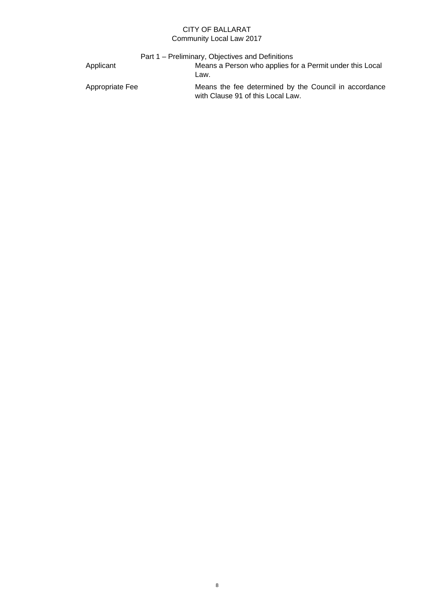|                 | Part 1 – Preliminary, Objectives and Definitions                                           |
|-----------------|--------------------------------------------------------------------------------------------|
| Applicant       | Means a Person who applies for a Permit under this Local<br>Law.                           |
| Appropriate Fee | Means the fee determined by the Council in accordance<br>with Clause 91 of this Local Law. |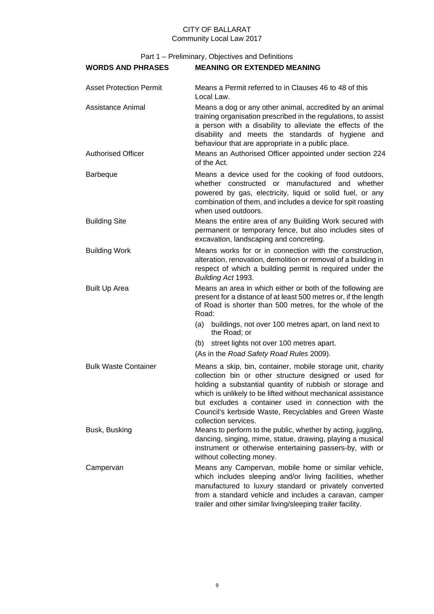| <b>WORDS AND PHRASES</b>                       | <b>MEANING OR EXTENDED MEANING</b>                                                                                                                                                                                                                                                                                                                                                        |
|------------------------------------------------|-------------------------------------------------------------------------------------------------------------------------------------------------------------------------------------------------------------------------------------------------------------------------------------------------------------------------------------------------------------------------------------------|
| <b>Asset Protection Permit</b>                 | Means a Permit referred to in Clauses 46 to 48 of this<br>Local Law.                                                                                                                                                                                                                                                                                                                      |
| Assistance Animal<br><b>Authorised Officer</b> | Means a dog or any other animal, accredited by an animal<br>training organisation prescribed in the regulations, to assist<br>a person with a disability to alleviate the effects of the<br>disability and meets the standards of hygiene and<br>behaviour that are appropriate in a public place.<br>Means an Authorised Officer appointed under section 224                             |
|                                                | of the Act.                                                                                                                                                                                                                                                                                                                                                                               |
| <b>Barbeque</b>                                | Means a device used for the cooking of food outdoors,<br>whether constructed or manufactured and whether<br>powered by gas, electricity, liquid or solid fuel, or any<br>combination of them, and includes a device for spit roasting<br>when used outdoors.                                                                                                                              |
| <b>Building Site</b>                           | Means the entire area of any Building Work secured with<br>permanent or temporary fence, but also includes sites of<br>excavation, landscaping and concreting.                                                                                                                                                                                                                            |
| <b>Building Work</b>                           | Means works for or in connection with the construction,<br>alteration, renovation, demolition or removal of a building in<br>respect of which a building permit is required under the<br>Building Act 1993.                                                                                                                                                                               |
| <b>Built Up Area</b>                           | Means an area in which either or both of the following are<br>present for a distance of at least 500 metres or, if the length<br>of Road is shorter than 500 metres, for the whole of the<br>Road:                                                                                                                                                                                        |
|                                                | (a) buildings, not over 100 metres apart, on land next to<br>the Road; or                                                                                                                                                                                                                                                                                                                 |
|                                                | (b) street lights not over 100 metres apart.                                                                                                                                                                                                                                                                                                                                              |
|                                                | (As in the Road Safety Road Rules 2009).                                                                                                                                                                                                                                                                                                                                                  |
| <b>Bulk Waste Container</b>                    | Means a skip, bin, container, mobile storage unit, charity<br>collection bin or other structure designed or used for<br>holding a substantial quantity of rubbish or storage and<br>which is unlikely to be lifted without mechanical assistance<br>but excludes a container used in connection with the<br>Council's kerbside Waste, Recyclables and Green Waste<br>collection services. |
| Busk, Busking                                  | Means to perform to the public, whether by acting, juggling,<br>dancing, singing, mime, statue, drawing, playing a musical<br>instrument or otherwise entertaining passers-by, with or<br>without collecting money.                                                                                                                                                                       |
| Campervan                                      | Means any Campervan, mobile home or similar vehicle,<br>which includes sleeping and/or living facilities, whether<br>manufactured to luxury standard or privately converted<br>from a standard vehicle and includes a caravan, camper<br>trailer and other similar living/sleeping trailer facility.                                                                                      |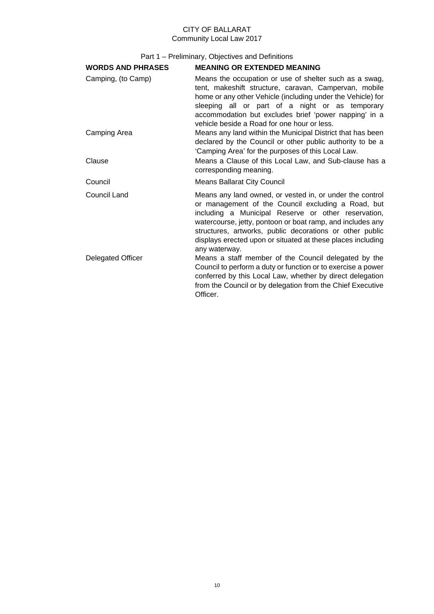| <b>WORDS AND PHRASES</b> | <b>MEANING OR EXTENDED MEANING</b>                                                                                                                                                                                                                                                                                                                                              |
|--------------------------|---------------------------------------------------------------------------------------------------------------------------------------------------------------------------------------------------------------------------------------------------------------------------------------------------------------------------------------------------------------------------------|
| Camping, (to Camp)       | Means the occupation or use of shelter such as a swag,<br>tent, makeshift structure, caravan, Campervan, mobile<br>home or any other Vehicle (including under the Vehicle) for<br>sleeping all or part of a night or as temporary<br>accommodation but excludes brief 'power napping' in a<br>vehicle beside a Road for one hour or less.                                       |
| Camping Area             | Means any land within the Municipal District that has been<br>declared by the Council or other public authority to be a<br>'Camping Area' for the purposes of this Local Law.                                                                                                                                                                                                   |
| Clause                   | Means a Clause of this Local Law, and Sub-clause has a<br>corresponding meaning.                                                                                                                                                                                                                                                                                                |
| Council                  | <b>Means Ballarat City Council</b>                                                                                                                                                                                                                                                                                                                                              |
| Council Land             | Means any land owned, or vested in, or under the control<br>or management of the Council excluding a Road, but<br>including a Municipal Reserve or other reservation,<br>watercourse, jetty, pontoon or boat ramp, and includes any<br>structures, artworks, public decorations or other public<br>displays erected upon or situated at these places including<br>any waterway. |
| <b>Delegated Officer</b> | Means a staff member of the Council delegated by the<br>Council to perform a duty or function or to exercise a power<br>conferred by this Local Law, whether by direct delegation<br>from the Council or by delegation from the Chief Executive<br>Officer.                                                                                                                     |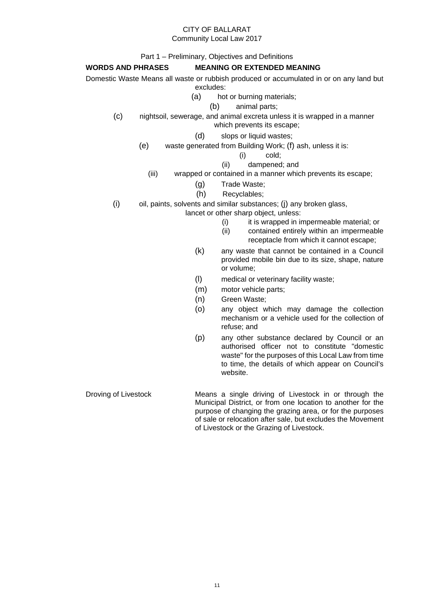## CITY OF BALLARAT

#### Community Local Law 2017

Part 1 – Preliminary, Objectives and Definitions

## **WORDS AND PHRASES MEANING OR EXTENDED MEANING**

Domestic Waste Means all waste or rubbish produced or accumulated in or on any land but

- excludes:
- (a) hot or burning materials;
	- (b) animal parts;
- (c) nightsoil, sewerage, and animal excreta unless it is wrapped in a manner which prevents its escape;
	- (d) slops or liquid wastes;
	- (e) waste generated from Building Work; (f) ash, unless it is:
		- (i) cold;
		- (ii) dampened; and
		- (iii) wrapped or contained in a manner which prevents its escape;
			- (g) Trade Waste;
			- (h) Recyclables;
- $(i)$  oil, paints, solvents and similar substances;  $(i)$  any broken glass,
	- lancet or other sharp object, unless:
		- (i) it is wrapped in impermeable material; or
		- (ii) contained entirely within an impermeable receptacle from which it cannot escape;
		- (k) any waste that cannot be contained in a Council provided mobile bin due to its size, shape, nature or volume;
		- (l) medical or veterinary facility waste;
		- (m) motor vehicle parts;
		- (n) Green Waste;
		- (o) any object which may damage the collection mechanism or a vehicle used for the collection of refuse; and
		- (p) any other substance declared by Council or an authorised officer not to constitute "domestic waste" for the purposes of this Local Law from time to time, the details of which appear on Council's website.
- Droving of Livestock Means a single driving of Livestock in or through the Municipal District, or from one location to another for the purpose of changing the grazing area, or for the purposes of sale or relocation after sale, but excludes the Movement of Livestock or the Grazing of Livestock.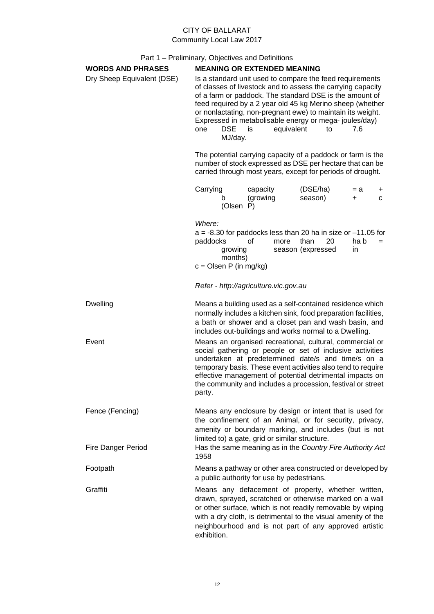| <b>WORDS AND PHRASES</b>   | <b>MEANING OR EXTENDED MEANING</b>                                                                                                                                                                                                                                                                                                                                                                                                      |                                                |                                                                                                                                                                                                                                                                                                                                                                        |                    |        |
|----------------------------|-----------------------------------------------------------------------------------------------------------------------------------------------------------------------------------------------------------------------------------------------------------------------------------------------------------------------------------------------------------------------------------------------------------------------------------------|------------------------------------------------|------------------------------------------------------------------------------------------------------------------------------------------------------------------------------------------------------------------------------------------------------------------------------------------------------------------------------------------------------------------------|--------------------|--------|
| Dry Sheep Equivalent (DSE) | Is a standard unit used to compare the feed requirements<br>of classes of livestock and to assess the carrying capacity<br>of a farm or paddock. The standard DSE is the amount of<br>feed required by a 2 year old 45 kg Merino sheep (whether<br>or nonlactating, non-pregnant ewe) to maintain its weight.<br>Expressed in metabolisable energy or mega-joules/day)<br>equivalent<br><b>DSE</b><br>to<br>7.6<br>one<br>is<br>MJ/day. |                                                |                                                                                                                                                                                                                                                                                                                                                                        |                    |        |
|                            | The potential carrying capacity of a paddock or farm is the<br>number of stock expressed as DSE per hectare that can be<br>carried through most years, except for periods of drought.                                                                                                                                                                                                                                                   |                                                |                                                                                                                                                                                                                                                                                                                                                                        |                    |        |
|                            | Carrying<br>b<br>(Olsen P)                                                                                                                                                                                                                                                                                                                                                                                                              | capacity<br>(growing                           | (DSE/ha)<br>season)                                                                                                                                                                                                                                                                                                                                                    | $= a$<br>$\ddot{}$ | +<br>C |
|                            | Where:<br>paddocks<br>growing<br>months)<br>$c =$ Olsen P (in mg/kg)                                                                                                                                                                                                                                                                                                                                                                    | οf<br>more                                     | $a = -8.30$ for paddocks less than 20 ha in size or $-11.05$ for<br>20<br>than<br>season (expressed                                                                                                                                                                                                                                                                    | ha b<br>in.        | $=$    |
|                            |                                                                                                                                                                                                                                                                                                                                                                                                                                         | Refer - http://agriculture.vic.gov.au          |                                                                                                                                                                                                                                                                                                                                                                        |                    |        |
| <b>Dwelling</b>            |                                                                                                                                                                                                                                                                                                                                                                                                                                         |                                                | Means a building used as a self-contained residence which<br>normally includes a kitchen sink, food preparation facilities,<br>a bath or shower and a closet pan and wash basin, and<br>includes out-buildings and works normal to a Dwelling.                                                                                                                         |                    |        |
| Event                      | party.                                                                                                                                                                                                                                                                                                                                                                                                                                  |                                                | Means an organised recreational, cultural, commercial or<br>social gathering or people or set of inclusive activities<br>undertaken at predetermined date/s and time/s on a<br>temporary basis. These event activities also tend to require<br>effective management of potential detrimental impacts on<br>the community and includes a procession, festival or street |                    |        |
| Fence (Fencing)            |                                                                                                                                                                                                                                                                                                                                                                                                                                         | limited to) a gate, grid or similar structure. | Means any enclosure by design or intent that is used for<br>the confinement of an Animal, or for security, privacy,<br>amenity or boundary marking, and includes (but is not                                                                                                                                                                                           |                    |        |
| <b>Fire Danger Period</b>  | 1958                                                                                                                                                                                                                                                                                                                                                                                                                                    |                                                | Has the same meaning as in the Country Fire Authority Act                                                                                                                                                                                                                                                                                                              |                    |        |
| Footpath                   |                                                                                                                                                                                                                                                                                                                                                                                                                                         | a public authority for use by pedestrians.     | Means a pathway or other area constructed or developed by                                                                                                                                                                                                                                                                                                              |                    |        |
| Graffiti                   | exhibition.                                                                                                                                                                                                                                                                                                                                                                                                                             |                                                | Means any defacement of property, whether written,<br>drawn, sprayed, scratched or otherwise marked on a wall<br>or other surface, which is not readily removable by wiping<br>with a dry cloth, is detrimental to the visual amenity of the<br>neighbourhood and is not part of any approved artistic                                                                 |                    |        |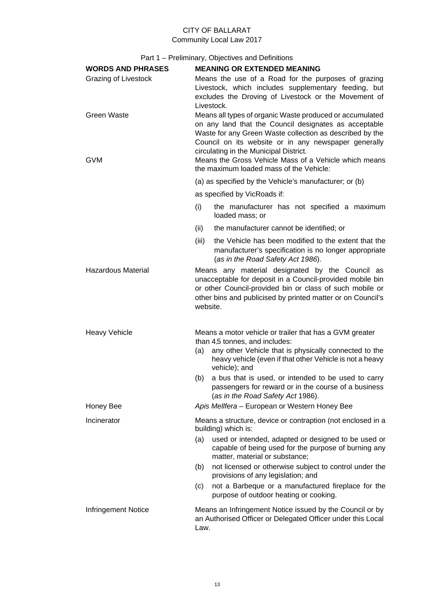| <b>WORDS AND PHRASES</b>         | <b>MEANING OR EXTENDED MEANING</b>                                                                                                                                                                                                                                                                                                                                                  |  |  |  |
|----------------------------------|-------------------------------------------------------------------------------------------------------------------------------------------------------------------------------------------------------------------------------------------------------------------------------------------------------------------------------------------------------------------------------------|--|--|--|
| Grazing of Livestock             | Means the use of a Road for the purposes of grazing<br>Livestock, which includes supplementary feeding, but<br>excludes the Droving of Livestock or the Movement of<br>Livestock.                                                                                                                                                                                                   |  |  |  |
| <b>Green Waste</b><br><b>GVM</b> | Means all types of organic Waste produced or accumulated<br>on any land that the Council designates as acceptable<br>Waste for any Green Waste collection as described by the<br>Council on its website or in any newspaper generally<br>circulating in the Municipal District.<br>Means the Gross Vehicle Mass of a Vehicle which means<br>the maximum loaded mass of the Vehicle: |  |  |  |
|                                  | (a) as specified by the Vehicle's manufacturer; or (b)                                                                                                                                                                                                                                                                                                                              |  |  |  |
|                                  | as specified by VicRoads if:                                                                                                                                                                                                                                                                                                                                                        |  |  |  |
|                                  | the manufacturer has not specified a maximum<br>(i)<br>loaded mass; or                                                                                                                                                                                                                                                                                                              |  |  |  |
|                                  | the manufacturer cannot be identified; or<br>(ii)                                                                                                                                                                                                                                                                                                                                   |  |  |  |
|                                  | the Vehicle has been modified to the extent that the<br>(iii)<br>manufacturer's specification is no longer appropriate<br>(as in the Road Safety Act 1986).                                                                                                                                                                                                                         |  |  |  |
| <b>Hazardous Material</b>        | Means any material designated by the Council as<br>unacceptable for deposit in a Council-provided mobile bin<br>or other Council-provided bin or class of such mobile or<br>other bins and publicised by printed matter or on Council's<br>website.                                                                                                                                 |  |  |  |
| <b>Heavy Vehicle</b>             | Means a motor vehicle or trailer that has a GVM greater<br>than 4.5 tonnes, and includes:<br>any other Vehicle that is physically connected to the<br>(a)<br>heavy vehicle (even if that other Vehicle is not a heavy<br>vehicle); and<br>a bus that is used, or intended to be used to carry<br>(b)                                                                                |  |  |  |
|                                  | passengers for reward or in the course of a business<br>(as in the Road Safety Act 1986).                                                                                                                                                                                                                                                                                           |  |  |  |
| Honey Bee                        | Apis Mellfera - European or Western Honey Bee                                                                                                                                                                                                                                                                                                                                       |  |  |  |
| Incinerator                      | Means a structure, device or contraption (not enclosed in a<br>building) which is:                                                                                                                                                                                                                                                                                                  |  |  |  |
|                                  | used or intended, adapted or designed to be used or<br>(a)<br>capable of being used for the purpose of burning any<br>matter, material or substance;                                                                                                                                                                                                                                |  |  |  |
|                                  | not licensed or otherwise subject to control under the<br>(b)<br>provisions of any legislation; and                                                                                                                                                                                                                                                                                 |  |  |  |
|                                  | not a Barbeque or a manufactured fireplace for the<br>(c)<br>purpose of outdoor heating or cooking.                                                                                                                                                                                                                                                                                 |  |  |  |
| Infringement Notice              | Means an Infringement Notice issued by the Council or by<br>an Authorised Officer or Delegated Officer under this Local<br>Law.                                                                                                                                                                                                                                                     |  |  |  |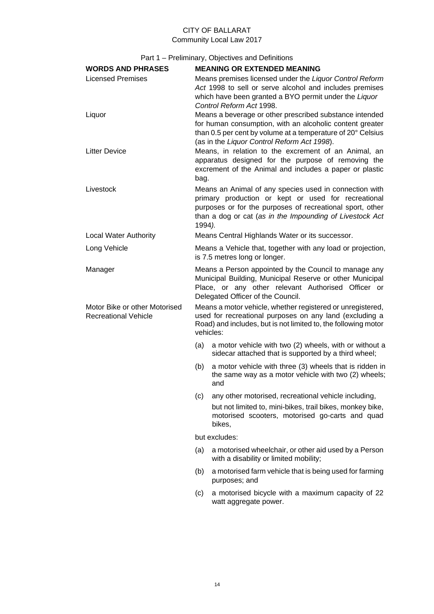| <b>WORDS AND PHRASES</b>                                     |                                                                                                                                                                                                                                                  | <b>MEANING OR EXTENDED MEANING</b>                                                                                                                                                                                                |  |  |
|--------------------------------------------------------------|--------------------------------------------------------------------------------------------------------------------------------------------------------------------------------------------------------------------------------------------------|-----------------------------------------------------------------------------------------------------------------------------------------------------------------------------------------------------------------------------------|--|--|
| <b>Licensed Premises</b>                                     |                                                                                                                                                                                                                                                  | Means premises licensed under the Liquor Control Reform<br>Act 1998 to sell or serve alcohol and includes premises<br>which have been granted a BYO permit under the Liquor<br>Control Reform Act 1998.                           |  |  |
| Liquor                                                       |                                                                                                                                                                                                                                                  | Means a beverage or other prescribed substance intended<br>for human consumption, with an alcoholic content greater<br>than 0.5 per cent by volume at a temperature of 20° Celsius<br>(as in the Liquor Control Reform Act 1998). |  |  |
| <b>Litter Device</b>                                         | bag.                                                                                                                                                                                                                                             | Means, in relation to the excrement of an Animal, an<br>apparatus designed for the purpose of removing the<br>excrement of the Animal and includes a paper or plastic                                                             |  |  |
| Livestock                                                    | Means an Animal of any species used in connection with<br>primary production or kept or used for recreational<br>purposes or for the purposes of recreational sport, other<br>than a dog or cat (as in the Impounding of Livestock Act<br>1994). |                                                                                                                                                                                                                                   |  |  |
| <b>Local Water Authority</b>                                 |                                                                                                                                                                                                                                                  | Means Central Highlands Water or its successor.                                                                                                                                                                                   |  |  |
| Long Vehicle                                                 |                                                                                                                                                                                                                                                  | Means a Vehicle that, together with any load or projection,<br>is 7.5 metres long or longer.                                                                                                                                      |  |  |
| Manager                                                      | Means a Person appointed by the Council to manage any<br>Municipal Building, Municipal Reserve or other Municipal<br>Place, or any other relevant Authorised Officer or<br>Delegated Officer of the Council.                                     |                                                                                                                                                                                                                                   |  |  |
| Motor Bike or other Motorised<br><b>Recreational Vehicle</b> | Means a motor vehicle, whether registered or unregistered,<br>used for recreational purposes on any land (excluding a<br>Road) and includes, but is not limited to, the following motor<br>vehicles:                                             |                                                                                                                                                                                                                                   |  |  |
|                                                              | (a)                                                                                                                                                                                                                                              | a motor vehicle with two (2) wheels, with or without a<br>sidecar attached that is supported by a third wheel;                                                                                                                    |  |  |
|                                                              | (b)                                                                                                                                                                                                                                              | a motor vehicle with three (3) wheels that is ridden in<br>the same way as a motor vehicle with two (2) wheels;<br>and                                                                                                            |  |  |
|                                                              | (c)                                                                                                                                                                                                                                              | any other motorised, recreational vehicle including,                                                                                                                                                                              |  |  |
|                                                              |                                                                                                                                                                                                                                                  | but not limited to, mini-bikes, trail bikes, monkey bike,<br>motorised scooters, motorised go-carts and quad<br>bikes,                                                                                                            |  |  |
|                                                              |                                                                                                                                                                                                                                                  | but excludes:                                                                                                                                                                                                                     |  |  |
|                                                              | (a)                                                                                                                                                                                                                                              | a motorised wheelchair, or other aid used by a Person<br>with a disability or limited mobility;                                                                                                                                   |  |  |
|                                                              | (b)                                                                                                                                                                                                                                              | a motorised farm vehicle that is being used for farming<br>purposes; and                                                                                                                                                          |  |  |
|                                                              | (c)                                                                                                                                                                                                                                              | a motorised bicycle with a maximum capacity of 22<br>watt aggregate power.                                                                                                                                                        |  |  |
|                                                              |                                                                                                                                                                                                                                                  |                                                                                                                                                                                                                                   |  |  |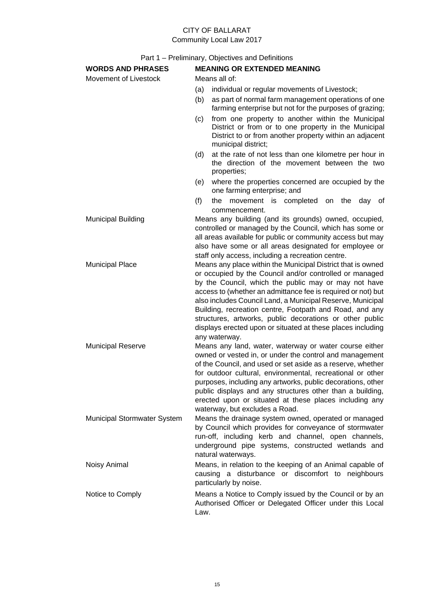# CITY OF BALLARAT

Community Local Law 2017

| <b>WORDS AND PHRASES</b>    | <b>MEANING OR EXTENDED MEANING</b>                                                                                                                                                                                                                                                                                                                                                                                                                                                                                  |  |  |  |
|-----------------------------|---------------------------------------------------------------------------------------------------------------------------------------------------------------------------------------------------------------------------------------------------------------------------------------------------------------------------------------------------------------------------------------------------------------------------------------------------------------------------------------------------------------------|--|--|--|
| Movement of Livestock       | Means all of:                                                                                                                                                                                                                                                                                                                                                                                                                                                                                                       |  |  |  |
|                             | (a)<br>individual or regular movements of Livestock;                                                                                                                                                                                                                                                                                                                                                                                                                                                                |  |  |  |
|                             | as part of normal farm management operations of one<br>(b)<br>farming enterprise but not for the purposes of grazing;                                                                                                                                                                                                                                                                                                                                                                                               |  |  |  |
|                             | from one property to another within the Municipal<br>(c)<br>District or from or to one property in the Municipal<br>District to or from another property within an adjacent<br>municipal district;                                                                                                                                                                                                                                                                                                                  |  |  |  |
|                             | at the rate of not less than one kilometre per hour in<br>(d)<br>the direction of the movement between the two<br>properties;                                                                                                                                                                                                                                                                                                                                                                                       |  |  |  |
|                             | where the properties concerned are occupied by the<br>(e)<br>one farming enterprise; and                                                                                                                                                                                                                                                                                                                                                                                                                            |  |  |  |
|                             | (f)<br>the<br>movement is completed on the<br>day of<br>commencement.                                                                                                                                                                                                                                                                                                                                                                                                                                               |  |  |  |
| <b>Municipal Building</b>   | Means any building (and its grounds) owned, occupied,<br>controlled or managed by the Council, which has some or<br>all areas available for public or community access but may<br>also have some or all areas designated for employee or<br>staff only access, including a recreation centre.                                                                                                                                                                                                                       |  |  |  |
| <b>Municipal Place</b>      | Means any place within the Municipal District that is owned<br>or occupied by the Council and/or controlled or managed<br>by the Council, which the public may or may not have<br>access to (whether an admittance fee is required or not) but<br>also includes Council Land, a Municipal Reserve, Municipal<br>Building, recreation centre, Footpath and Road, and any<br>structures, artworks, public decorations or other public<br>displays erected upon or situated at these places including<br>any waterway. |  |  |  |
| <b>Municipal Reserve</b>    | Means any land, water, waterway or water course either<br>owned or vested in, or under the control and management<br>of the Council, and used or set aside as a reserve, whether<br>for outdoor cultural, environmental, recreational or other<br>purposes, including any artworks, public decorations, other<br>public displays and any structures other than a building,<br>erected upon or situated at these places including any<br>waterway, but excludes a Road.                                              |  |  |  |
| Municipal Stormwater System | Means the drainage system owned, operated or managed<br>by Council which provides for conveyance of stormwater<br>run-off, including kerb and channel, open channels,<br>underground pipe systems, constructed wetlands and<br>natural waterways.                                                                                                                                                                                                                                                                   |  |  |  |
| Noisy Animal                | Means, in relation to the keeping of an Animal capable of<br>causing a disturbance or discomfort to neighbours<br>particularly by noise.                                                                                                                                                                                                                                                                                                                                                                            |  |  |  |
| Notice to Comply            | Means a Notice to Comply issued by the Council or by an<br>Authorised Officer or Delegated Officer under this Local<br>Law.                                                                                                                                                                                                                                                                                                                                                                                         |  |  |  |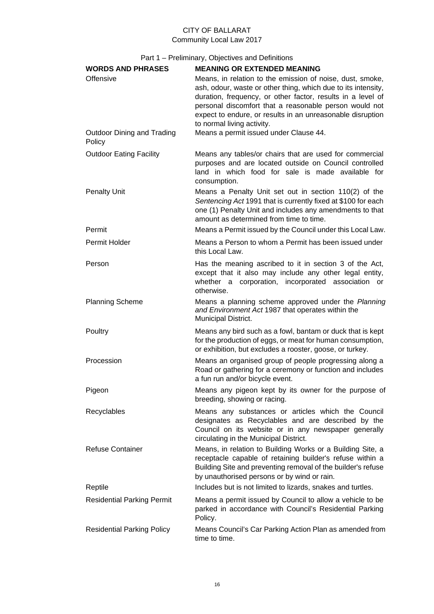| <b>WORDS AND PHRASES</b><br>Offensive       | <b>MEANING OR EXTENDED MEANING</b><br>Means, in relation to the emission of noise, dust, smoke,<br>ash, odour, waste or other thing, which due to its intensity,<br>duration, frequency, or other factor, results in a level of<br>personal discomfort that a reasonable person would not<br>expect to endure, or results in an unreasonable disruption<br>to normal living activity. |
|---------------------------------------------|---------------------------------------------------------------------------------------------------------------------------------------------------------------------------------------------------------------------------------------------------------------------------------------------------------------------------------------------------------------------------------------|
| <b>Outdoor Dining and Trading</b><br>Policy | Means a permit issued under Clause 44.                                                                                                                                                                                                                                                                                                                                                |
| <b>Outdoor Eating Facility</b>              | Means any tables/or chairs that are used for commercial<br>purposes and are located outside on Council controlled<br>land in which food for sale is made available for<br>consumption.                                                                                                                                                                                                |
| <b>Penalty Unit</b>                         | Means a Penalty Unit set out in section 110(2) of the<br>Sentencing Act 1991 that is currently fixed at \$100 for each<br>one (1) Penalty Unit and includes any amendments to that<br>amount as determined from time to time.                                                                                                                                                         |
| Permit                                      | Means a Permit issued by the Council under this Local Law.                                                                                                                                                                                                                                                                                                                            |
| Permit Holder                               | Means a Person to whom a Permit has been issued under<br>this Local Law.                                                                                                                                                                                                                                                                                                              |
| Person                                      | Has the meaning ascribed to it in section 3 of the Act,<br>except that it also may include any other legal entity,<br>whether a corporation, incorporated association or<br>otherwise.                                                                                                                                                                                                |
| <b>Planning Scheme</b>                      | Means a planning scheme approved under the Planning<br>and Environment Act 1987 that operates within the<br>Municipal District.                                                                                                                                                                                                                                                       |
| Poultry                                     | Means any bird such as a fowl, bantam or duck that is kept<br>for the production of eggs, or meat for human consumption,<br>or exhibition, but excludes a rooster, goose, or turkey.                                                                                                                                                                                                  |
| Procession                                  | Means an organised group of people progressing along a<br>Road or gathering for a ceremony or function and includes<br>a fun run and/or bicycle event.                                                                                                                                                                                                                                |
| Pigeon                                      | Means any pigeon kept by its owner for the purpose of<br>breeding, showing or racing.                                                                                                                                                                                                                                                                                                 |
| Recyclables                                 | Means any substances or articles which the Council<br>designates as Recyclables and are described by the<br>Council on its website or in any newspaper generally<br>circulating in the Municipal District.                                                                                                                                                                            |
| <b>Refuse Container</b>                     | Means, in relation to Building Works or a Building Site, a<br>receptacle capable of retaining builder's refuse within a<br>Building Site and preventing removal of the builder's refuse<br>by unauthorised persons or by wind or rain.                                                                                                                                                |
| Reptile                                     | Includes but is not limited to lizards, snakes and turtles.                                                                                                                                                                                                                                                                                                                           |
| <b>Residential Parking Permit</b>           | Means a permit issued by Council to allow a vehicle to be<br>parked in accordance with Council's Residential Parking<br>Policy.                                                                                                                                                                                                                                                       |
| <b>Residential Parking Policy</b>           | Means Council's Car Parking Action Plan as amended from<br>time to time.                                                                                                                                                                                                                                                                                                              |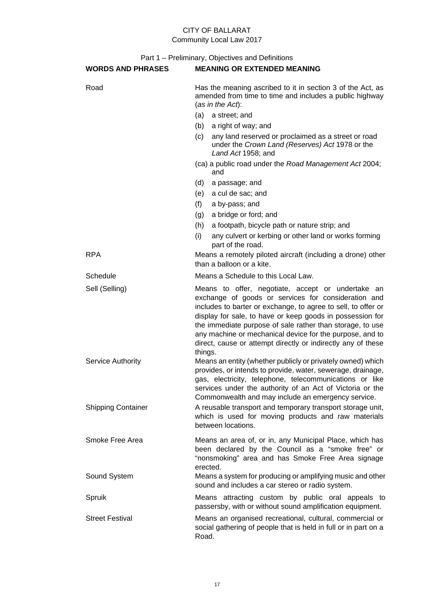| <b>WORDS AND PHRASES</b>  | <b>MEANING OR EXTENDED MEANING</b>                                                                                                                                                                                                                                                                                                                                                                                                         |  |  |
|---------------------------|--------------------------------------------------------------------------------------------------------------------------------------------------------------------------------------------------------------------------------------------------------------------------------------------------------------------------------------------------------------------------------------------------------------------------------------------|--|--|
| Road                      | Has the meaning ascribed to it in section 3 of the Act, as<br>amended from time to time and includes a public highway<br>(as in the Act):                                                                                                                                                                                                                                                                                                  |  |  |
|                           | a street; and<br>(a)                                                                                                                                                                                                                                                                                                                                                                                                                       |  |  |
|                           | a right of way; and<br>(b)                                                                                                                                                                                                                                                                                                                                                                                                                 |  |  |
|                           | any land reserved or proclaimed as a street or road<br>(c)<br>under the Crown Land (Reserves) Act 1978 or the<br>Land Act 1958; and                                                                                                                                                                                                                                                                                                        |  |  |
|                           | (ca) a public road under the Road Management Act 2004;<br>and                                                                                                                                                                                                                                                                                                                                                                              |  |  |
|                           | (d)<br>a passage; and                                                                                                                                                                                                                                                                                                                                                                                                                      |  |  |
|                           | a cul de sac; and<br>(e)                                                                                                                                                                                                                                                                                                                                                                                                                   |  |  |
|                           | (f)<br>a by-pass; and                                                                                                                                                                                                                                                                                                                                                                                                                      |  |  |
|                           | a bridge or ford; and<br>(g)                                                                                                                                                                                                                                                                                                                                                                                                               |  |  |
|                           | a footpath, bicycle path or nature strip; and<br>(h)                                                                                                                                                                                                                                                                                                                                                                                       |  |  |
|                           | any culvert or kerbing or other land or works forming<br>(i)<br>part of the road.                                                                                                                                                                                                                                                                                                                                                          |  |  |
| <b>RPA</b>                | Means a remotely piloted aircraft (including a drone) other<br>than a balloon or a kite.                                                                                                                                                                                                                                                                                                                                                   |  |  |
| Schedule                  | Means a Schedule to this Local Law.                                                                                                                                                                                                                                                                                                                                                                                                        |  |  |
| Sell (Selling)            | Means to offer, negotiate, accept or undertake an<br>exchange of goods or services for consideration and<br>includes to barter or exchange, to agree to sell, to offer or<br>display for sale, to have or keep goods in possession for<br>the immediate purpose of sale rather than storage, to use<br>any machine or mechanical device for the purpose, and to<br>direct, cause or attempt directly or indirectly any of these<br>things. |  |  |
| Service Authority         | Means an entity (whether publicly or privately owned) which<br>provides, or intends to provide, water, sewerage, drainage,<br>gas, electricity, telephone, telecommunications or like<br>services under the authority of an Act of Victoria or the<br>Commonwealth and may include an emergency service.                                                                                                                                   |  |  |
| <b>Shipping Container</b> | A reusable transport and temporary transport storage unit,<br>which is used for moving products and raw materials<br>between locations.                                                                                                                                                                                                                                                                                                    |  |  |
| Smoke Free Area           | Means an area of, or in, any Municipal Place, which has<br>been declared by the Council as a "smoke free" or<br>"nonsmoking" area and has Smoke Free Area signage<br>erected.                                                                                                                                                                                                                                                              |  |  |
| Sound System              | Means a system for producing or amplifying music and other<br>sound and includes a car stereo or radio system.                                                                                                                                                                                                                                                                                                                             |  |  |
| Spruik                    | Means attracting custom by public oral appeals to<br>passersby, with or without sound amplification equipment.                                                                                                                                                                                                                                                                                                                             |  |  |
| <b>Street Festival</b>    | Means an organised recreational, cultural, commercial or<br>social gathering of people that is held in full or in part on a<br>Road.                                                                                                                                                                                                                                                                                                       |  |  |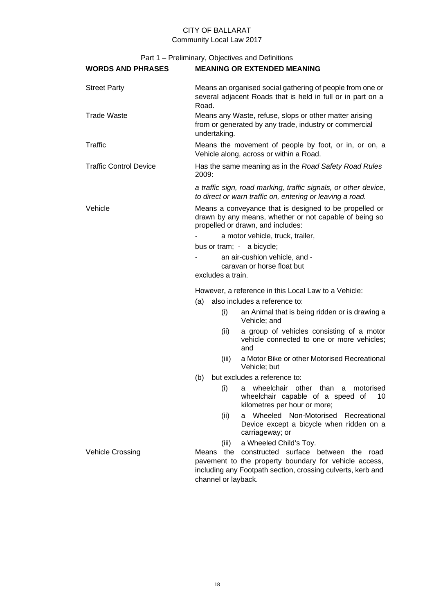| <b>WORDS AND PHRASES</b>      | <b>MEANING OR EXTENDED MEANING</b>                                                                                                                                                                  |  |  |  |
|-------------------------------|-----------------------------------------------------------------------------------------------------------------------------------------------------------------------------------------------------|--|--|--|
| <b>Street Party</b>           | Means an organised social gathering of people from one or<br>several adjacent Roads that is held in full or in part on a<br>Road.                                                                   |  |  |  |
| <b>Trade Waste</b>            | Means any Waste, refuse, slops or other matter arising<br>from or generated by any trade, industry or commercial<br>undertaking.                                                                    |  |  |  |
| Traffic                       | Means the movement of people by foot, or in, or on, a<br>Vehicle along, across or within a Road.                                                                                                    |  |  |  |
| <b>Traffic Control Device</b> | Has the same meaning as in the Road Safety Road Rules<br>2009:                                                                                                                                      |  |  |  |
|                               | a traffic sign, road marking, traffic signals, or other device,<br>to direct or warn traffic on, entering or leaving a road.                                                                        |  |  |  |
| Vehicle                       | Means a conveyance that is designed to be propelled or<br>drawn by any means, whether or not capable of being so<br>propelled or drawn, and includes:                                               |  |  |  |
|                               | a motor vehicle, truck, trailer,                                                                                                                                                                    |  |  |  |
|                               | bus or tram; - a bicycle;                                                                                                                                                                           |  |  |  |
|                               | an air-cushion vehicle, and -                                                                                                                                                                       |  |  |  |
|                               | caravan or horse float but                                                                                                                                                                          |  |  |  |
|                               | excludes a train.                                                                                                                                                                                   |  |  |  |
|                               | However, a reference in this Local Law to a Vehicle:                                                                                                                                                |  |  |  |
|                               | also includes a reference to:<br>(a)                                                                                                                                                                |  |  |  |
|                               | (i)<br>an Animal that is being ridden or is drawing a<br>Vehicle; and                                                                                                                               |  |  |  |
|                               | a group of vehicles consisting of a motor<br>(ii)<br>vehicle connected to one or more vehicles;<br>and                                                                                              |  |  |  |
|                               | a Motor Bike or other Motorised Recreational<br>(iii)<br>Vehicle; but                                                                                                                               |  |  |  |
|                               | but excludes a reference to:<br>(b)                                                                                                                                                                 |  |  |  |
|                               | (i) a wheelchair other than a motorised<br>wheelchair capable of a speed of<br>10<br>kilometres per hour or more;                                                                                   |  |  |  |
|                               | Wheeled Non-Motorised<br>Recreational<br>(ii)<br>a<br>Device except a bicycle when ridden on a<br>carriageway; or                                                                                   |  |  |  |
|                               | a Wheeled Child's Toy.<br>(iii)                                                                                                                                                                     |  |  |  |
| <b>Vehicle Crossing</b>       | constructed surface between the road<br>the<br>Means<br>pavement to the property boundary for vehicle access,<br>including any Footpath section, crossing culverts, kerb and<br>channel or layback. |  |  |  |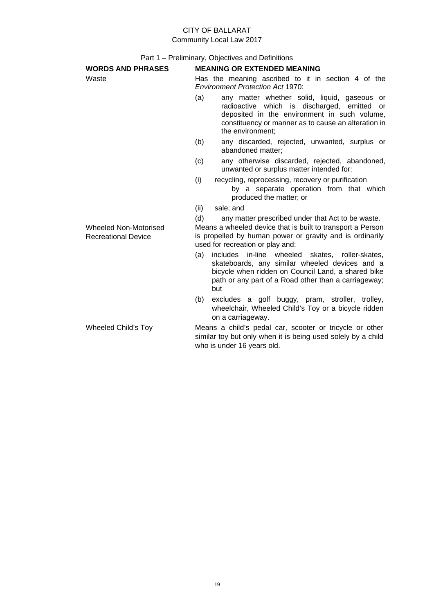Part 1 – Preliminary, Objectives and Definitions

| <b>WORDS AND PHRASES</b>                            | <b>MEANING OR EXTENDED MEANING</b>                                                                                                                                                                                                          |  |  |  |
|-----------------------------------------------------|---------------------------------------------------------------------------------------------------------------------------------------------------------------------------------------------------------------------------------------------|--|--|--|
| Waste                                               | Has the meaning ascribed to it in section 4 of the<br><b>Environment Protection Act 1970:</b>                                                                                                                                               |  |  |  |
|                                                     | any matter whether solid, liquid, gaseous or<br>(a)<br>radioactive which is discharged, emitted<br><sub>or</sub><br>deposited in the environment in such volume,<br>constituency or manner as to cause an alteration in<br>the environment: |  |  |  |
|                                                     | any discarded, rejected, unwanted, surplus or<br>(b)<br>abandoned matter:                                                                                                                                                                   |  |  |  |
|                                                     | (c)<br>any otherwise discarded, rejected, abandoned,<br>unwanted or surplus matter intended for:                                                                                                                                            |  |  |  |
|                                                     | (i)<br>recycling, reprocessing, recovery or purification<br>by a separate operation from that which<br>produced the matter; or                                                                                                              |  |  |  |
|                                                     | (ii)<br>sale; and                                                                                                                                                                                                                           |  |  |  |
| Wheeled Non-Motorised<br><b>Recreational Device</b> | any matter prescribed under that Act to be waste.<br>(d)<br>Means a wheeled device that is built to transport a Person<br>is propelled by human power or gravity and is ordinarily<br>used for recreation or play and:                      |  |  |  |
|                                                     | includes in-line wheeled skates, roller-skates,<br>(a)<br>skateboards, any similar wheeled devices and a<br>bicycle when ridden on Council Land, a shared bike<br>path or any part of a Road other than a carriageway;<br>but               |  |  |  |
|                                                     | excludes a golf buggy, pram, stroller, trolley,<br>(b)<br>wheelchair, Wheeled Child's Toy or a bicycle ridden<br>on a carriageway.                                                                                                          |  |  |  |
| Wheeled Child's Toy                                 | Means a child's pedal car, scooter or tricycle or other<br>similar toy but only when it is being used solely by a child                                                                                                                     |  |  |  |

who is under 16 years old.

19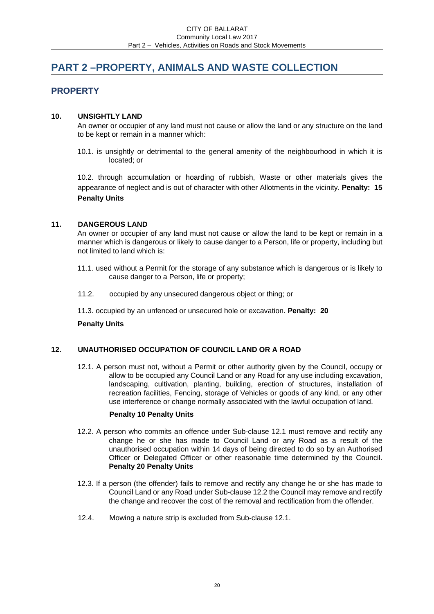# <span id="page-19-0"></span>**PART 2 –PROPERTY, ANIMALS AND WASTE COLLECTION**

# **PROPERTY**

## <span id="page-19-1"></span>**10. UNSIGHTLY LAND**

An owner or occupier of any land must not cause or allow the land or any structure on the land to be kept or remain in a manner which:

10.1. is unsightly or detrimental to the general amenity of the neighbourhood in which it is located; or

10.2. through accumulation or hoarding of rubbish, Waste or other materials gives the appearance of neglect and is out of character with other Allotments in the vicinity. **Penalty: 15 Penalty Units** 

## <span id="page-19-2"></span>**11. DANGEROUS LAND**

An owner or occupier of any land must not cause or allow the land to be kept or remain in a manner which is dangerous or likely to cause danger to a Person, life or property, including but not limited to land which is:

- 11.1. used without a Permit for the storage of any substance which is dangerous or is likely to cause danger to a Person, life or property;
- 11.2. occupied by any unsecured dangerous object or thing; or
- 11.3. occupied by an unfenced or unsecured hole or excavation. **Penalty: 20**

## **Penalty Units**

## <span id="page-19-3"></span>**12. UNAUTHORISED OCCUPATION OF COUNCIL LAND OR A ROAD**

12.1. A person must not, without a Permit or other authority given by the Council, occupy or allow to be occupied any Council Land or any Road for any use including excavation, landscaping, cultivation, planting, building, erection of structures, installation of recreation facilities, Fencing, storage of Vehicles or goods of any kind, or any other use interference or change normally associated with the lawful occupation of land.

## **Penalty 10 Penalty Units**

- 12.2. A person who commits an offence under Sub-clause 12.1 must remove and rectify any change he or she has made to Council Land or any Road as a result of the unauthorised occupation within 14 days of being directed to do so by an Authorised Officer or Delegated Officer or other reasonable time determined by the Council. **Penalty 20 Penalty Units**
- 12.3. If a person (the offender) fails to remove and rectify any change he or she has made to Council Land or any Road under Sub-clause 12.2 the Council may remove and rectify the change and recover the cost of the removal and rectification from the offender.
- 12.4. Mowing a nature strip is excluded from Sub-clause 12.1.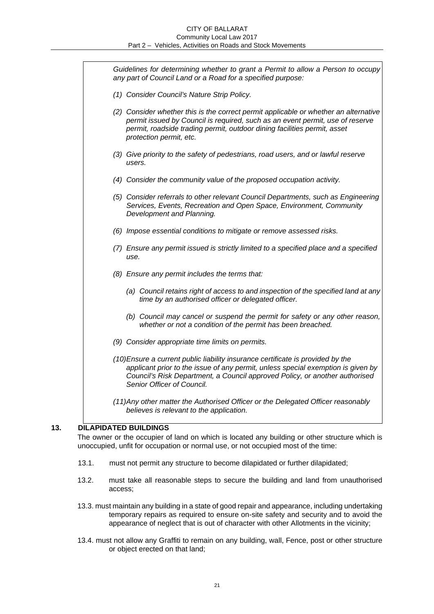| Guidelines for determining whether to grant a Permit to allow a Person to occupy<br>any part of Council Land or a Road for a specified purpose:                                                                                                                                  |
|----------------------------------------------------------------------------------------------------------------------------------------------------------------------------------------------------------------------------------------------------------------------------------|
| (1) Consider Council's Nature Strip Policy.                                                                                                                                                                                                                                      |
| (2) Consider whether this is the correct permit applicable or whether an alternative<br>permit issued by Council is required, such as an event permit, use of reserve<br>permit, roadside trading permit, outdoor dining facilities permit, asset<br>protection permit, etc.     |
| (3) Give priority to the safety of pedestrians, road users, and or lawful reserve<br>users.                                                                                                                                                                                      |
| (4) Consider the community value of the proposed occupation activity.                                                                                                                                                                                                            |
| (5) Consider referrals to other relevant Council Departments, such as Engineering<br>Services, Events, Recreation and Open Space, Environment, Community<br>Development and Planning.                                                                                            |
| (6) Impose essential conditions to mitigate or remove assessed risks.                                                                                                                                                                                                            |
| (7) Ensure any permit issued is strictly limited to a specified place and a specified<br>use.                                                                                                                                                                                    |
| (8) Ensure any permit includes the terms that:                                                                                                                                                                                                                                   |
| (a) Council retains right of access to and inspection of the specified land at any<br>time by an authorised officer or delegated officer.                                                                                                                                        |
| (b) Council may cancel or suspend the permit for safety or any other reason,<br>whether or not a condition of the permit has been breached.                                                                                                                                      |
| (9) Consider appropriate time limits on permits.                                                                                                                                                                                                                                 |
| (10) Ensure a current public liability insurance certificate is provided by the<br>applicant prior to the issue of any permit, unless special exemption is given by<br>Council's Risk Department, a Council approved Policy, or another authorised<br>Senior Officer of Council. |
| (11) Any other matter the Authorised Officer or the Delegated Officer reasonably<br>believes is relevant to the application.                                                                                                                                                     |

## <span id="page-20-0"></span>**13. DILAPIDATED BUILDINGS**

The owner or the occupier of land on which is located any building or other structure which is unoccupied, unfit for occupation or normal use, or not occupied most of the time:

- 13.1. must not permit any structure to become dilapidated or further dilapidated;
- 13.2. must take all reasonable steps to secure the building and land from unauthorised access;
- 13.3. must maintain any building in a state of good repair and appearance, including undertaking temporary repairs as required to ensure on-site safety and security and to avoid the appearance of neglect that is out of character with other Allotments in the vicinity;
- 13.4. must not allow any Graffiti to remain on any building, wall, Fence, post or other structure or object erected on that land;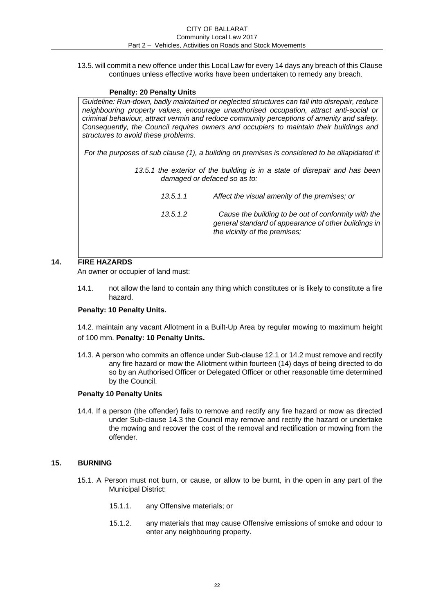13.5. will commit a new offence under this Local Law for every 14 days any breach of this Clause continues unless effective works have been undertaken to remedy any breach.

## **Penalty: 20 Penalty Units**

*Guideline: Run-down, badly maintained or neglected structures can fall into disrepair, reduce neighbouring property values, encourage unauthorised occupation, attract anti-social or criminal behaviour, attract vermin and reduce community perceptions of amenity and safety. Consequently, the Council requires owners and occupiers to maintain their buildings and structures to avoid these problems.* 

*For the purposes of sub clause (1), a building on premises is considered to be dilapidated if:* 

- *13.5.1 the exterior of the building is in a state of disrepair and has been damaged or defaced so as to:* 
	- *13.5.1.1 Affect the visual amenity of the premises; or 13.5.1.2 Cause the building to be out of conformity with the general standard of appearance of other buildings in the vicinity of the premises;*

## <span id="page-21-0"></span>**14. FIRE HAZARDS**

An owner or occupier of land must:

14.1. not allow the land to contain any thing which constitutes or is likely to constitute a fire hazard.

## **Penalty: 10 Penalty Units.**

14.2. maintain any vacant Allotment in a Built-Up Area by regular mowing to maximum height of 100 mm. **Penalty: 10 Penalty Units.** 

14.3. A person who commits an offence under Sub-clause 12.1 or 14.2 must remove and rectify any fire hazard or mow the Allotment within fourteen (14) days of being directed to do so by an Authorised Officer or Delegated Officer or other reasonable time determined by the Council.

## **Penalty 10 Penalty Units**

14.4. If a person (the offender) fails to remove and rectify any fire hazard or mow as directed under Sub-clause 14.3 the Council may remove and rectify the hazard or undertake the mowing and recover the cost of the removal and rectification or mowing from the offender.

## <span id="page-21-1"></span>**15. BURNING**

- 15.1. A Person must not burn, or cause, or allow to be burnt, in the open in any part of the Municipal District:
	- 15.1.1. any Offensive materials; or
	- 15.1.2. any materials that may cause Offensive emissions of smoke and odour to enter any neighbouring property.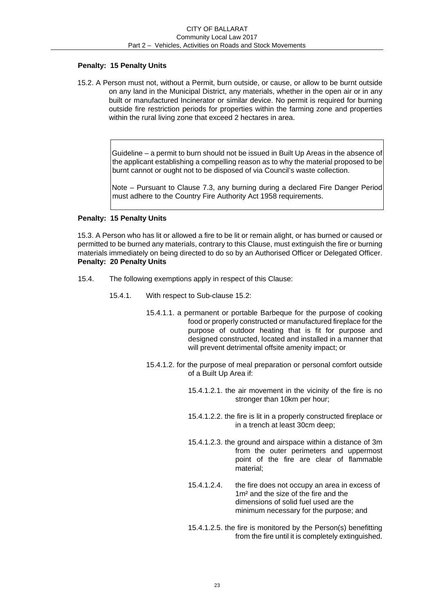## **Penalty: 15 Penalty Units**

15.2. A Person must not, without a Permit, burn outside, or cause, or allow to be burnt outside on any land in the Municipal District, any materials, whether in the open air or in any built or manufactured Incinerator or similar device. No permit is required for burning outside fire restriction periods for properties within the farming zone and properties within the rural living zone that exceed 2 hectares in area.

> Guideline – a permit to burn should not be issued in Built Up Areas in the absence of the applicant establishing a compelling reason as to why the material proposed to be burnt cannot or ought not to be disposed of via Council's waste collection.

> Note – Pursuant to Clause 7.3, any burning during a declared Fire Danger Period must adhere to the Country Fire Authority Act 1958 requirements.

## **Penalty: 15 Penalty Units**

15.3. A Person who has lit or allowed a fire to be lit or remain alight, or has burned or caused or permitted to be burned any materials, contrary to this Clause, must extinguish the fire or burning materials immediately on being directed to do so by an Authorised Officer or Delegated Officer. **Penalty: 20 Penalty Units** 

- 15.4. The following exemptions apply in respect of this Clause:
	- 15.4.1. With respect to Sub-clause 15.2:
		- 15.4.1.1. a permanent or portable Barbeque for the purpose of cooking food or properly constructed or manufactured fireplace for the purpose of outdoor heating that is fit for purpose and designed constructed, located and installed in a manner that will prevent detrimental offsite amenity impact; or
		- 15.4.1.2. for the purpose of meal preparation or personal comfort outside of a Built Up Area if:
			- 15.4.1.2.1. the air movement in the vicinity of the fire is no stronger than 10km per hour;
			- 15.4.1.2.2. the fire is lit in a properly constructed fireplace or in a trench at least 30cm deep;
			- 15.4.1.2.3. the ground and airspace within a distance of 3m from the outer perimeters and uppermost point of the fire are clear of flammable material;
			- 15.4.1.2.4. the fire does not occupy an area in excess of 1m² and the size of the fire and the dimensions of solid fuel used are the minimum necessary for the purpose; and
			- 15.4.1.2.5. the fire is monitored by the Person(s) benefitting from the fire until it is completely extinguished.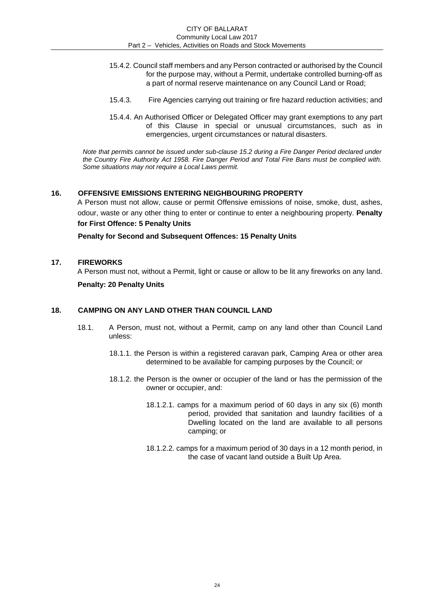- 15.4.2. Council staff members and any Person contracted or authorised by the Council for the purpose may, without a Permit, undertake controlled burning-off as a part of normal reserve maintenance on any Council Land or Road;
- 15.4.3. Fire Agencies carrying out training or fire hazard reduction activities; and
- 15.4.4. An Authorised Officer or Delegated Officer may grant exemptions to any part of this Clause in special or unusual circumstances, such as in emergencies, urgent circumstances or natural disasters.

*Note that permits cannot be issued under sub-clause 15.2 during a Fire Danger Period declared under the Country Fire Authority Act 1958. Fire Danger Period and Total Fire Bans must be complied with. Some situations may not require a Local Laws permit.* 

### <span id="page-23-0"></span>**16. OFFENSIVE EMISSIONS ENTERING NEIGHBOURING PROPERTY**

A Person must not allow, cause or permit Offensive emissions of noise, smoke, dust, ashes, odour, waste or any other thing to enter or continue to enter a neighbouring property. **Penalty for First Offence: 5 Penalty Units** 

**Penalty for Second and Subsequent Offences: 15 Penalty Units** 

### <span id="page-23-1"></span>**17. FIREWORKS**

A Person must not, without a Permit, light or cause or allow to be lit any fireworks on any land. **Penalty: 20 Penalty Units** 

#### <span id="page-23-2"></span>**18. CAMPING ON ANY LAND OTHER THAN COUNCIL LAND**

- 18.1. A Person, must not, without a Permit, camp on any land other than Council Land unless:
	- 18.1.1. the Person is within a registered caravan park, Camping Area or other area determined to be available for camping purposes by the Council; or
	- 18.1.2. the Person is the owner or occupier of the land or has the permission of the owner or occupier, and:
		- 18.1.2.1. camps for a maximum period of 60 days in any six (6) month period, provided that sanitation and laundry facilities of a Dwelling located on the land are available to all persons camping; or
		- 18.1.2.2. camps for a maximum period of 30 days in a 12 month period, in the case of vacant land outside a Built Up Area.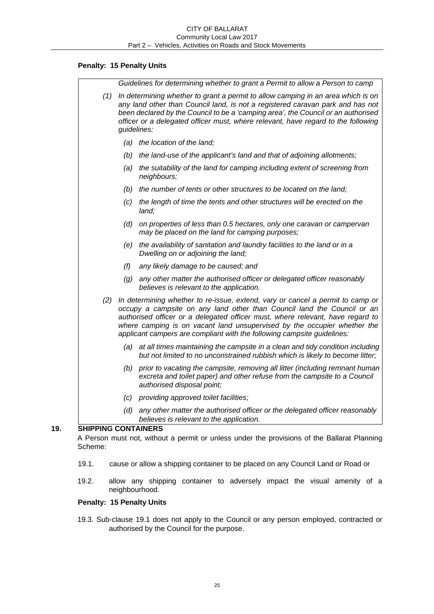## **Penalty: 15 Penalty Units**

|     |     | Guidelines for determining whether to grant a Permit to allow a Person to camp                                                                                                                                                                                                                                                                                                                     |
|-----|-----|----------------------------------------------------------------------------------------------------------------------------------------------------------------------------------------------------------------------------------------------------------------------------------------------------------------------------------------------------------------------------------------------------|
| (1) |     | In determining whether to grant a permit to allow camping in an area which is on<br>any land other than Council land, is not a registered caravan park and has not<br>been declared by the Council to be a 'camping area', the Council or an authorised<br>officer or a delegated officer must, where relevant, have regard to the following<br>guidelines:                                        |
|     |     | (a) the location of the land;                                                                                                                                                                                                                                                                                                                                                                      |
|     |     | (b) the land-use of the applicant's land and that of adjoining allotments;                                                                                                                                                                                                                                                                                                                         |
|     | (a) | the suitability of the land for camping including extent of screening from<br>neighbours;                                                                                                                                                                                                                                                                                                          |
|     |     | (b) the number of tents or other structures to be located on the land;                                                                                                                                                                                                                                                                                                                             |
|     | (C) | the length of time the tents and other structures will be erected on the<br>land;                                                                                                                                                                                                                                                                                                                  |
|     | (d) | on properties of less than 0.5 hectares, only one caravan or campervan<br>may be placed on the land for camping purposes;                                                                                                                                                                                                                                                                          |
|     | (e) | the availability of sanitation and laundry facilities to the land or in a<br>Dwelling on or adjoining the land;                                                                                                                                                                                                                                                                                    |
|     | (f) | any likely damage to be caused; and                                                                                                                                                                                                                                                                                                                                                                |
|     | (g) | any other matter the authorised officer or delegated officer reasonably<br>believes is relevant to the application.                                                                                                                                                                                                                                                                                |
| (2) |     | In determining whether to re-issue, extend, vary or cancel a permit to camp or<br>occupy a campsite on any land other than Council land the Council or an<br>authorised officer or a delegated officer must, where relevant, have regard to<br>where camping is on vacant land unsupervised by the occupier whether the<br>applicant campers are compliant with the following campsite guidelines: |
|     |     | (a) at all times maintaining the campsite in a clean and tidy condition including<br>but not limited to no unconstrained rubbish which is likely to become litter;                                                                                                                                                                                                                                 |
|     | (b) | prior to vacating the campsite, removing all litter (including remnant human<br>excreta and toilet paper) and other refuse from the campsite to a Council<br>authorised disposal point;                                                                                                                                                                                                            |
|     |     | (c) providing approved toilet facilities;                                                                                                                                                                                                                                                                                                                                                          |
|     |     |                                                                                                                                                                                                                                                                                                                                                                                                    |

<span id="page-24-0"></span>19.2. allow any shipping container to adversely impact the visual amenity of a neighbourhood.

# **Penalty: 15 Penalty Units**

19.3. Sub-clause 19.1 does not apply to the Council or any person employed, contracted or authorised by the Council for the purpose.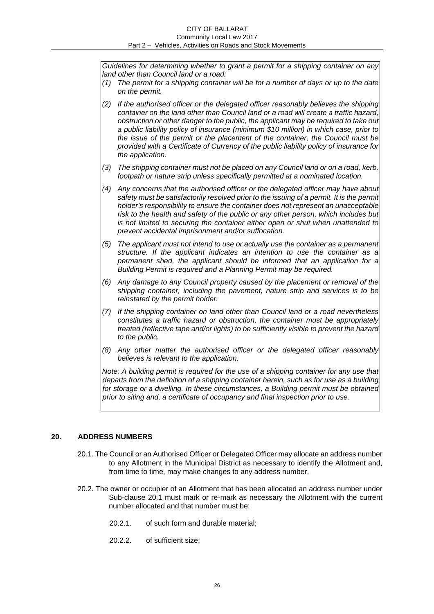#### CITY OF BALLARAT Community Local Law 2017 Part 2 – Vehicles, Activities on Roads and Stock Movements

*Guidelines for determining whether to grant a permit for a shipping container on any land other than Council land or a road:* 

- *(1) The permit for a shipping container will be for a number of days or up to the date on the permit.*
- *(2) If the authorised officer or the delegated officer reasonably believes the shipping container on the land other than Council land or a road will create a traffic hazard, obstruction or other danger to the public, the applicant may be required to take out a public liability policy of insurance (minimum \$10 million) in which case, prior to the issue of the permit or the placement of the container, the Council must be provided with a Certificate of Currency of the public liability policy of insurance for the application.*
- *(3) The shipping container must not be placed on any Council land or on a road, kerb, footpath or nature strip unless specifically permitted at a nominated location.*
- *(4) Any concerns that the authorised officer or the delegated officer may have about*  safety must be satisfactorily resolved prior to the issuing of a permit. It is the permit *holder's responsibility to ensure the container does not represent an unacceptable risk to the health and safety of the public or any other person, which includes but is not limited to securing the container either open or shut when unattended to prevent accidental imprisonment and/or suffocation.*
- *(5) The applicant must not intend to use or actually use the container as a permanent structure. If the applicant indicates an intention to use the container as a permanent shed, the applicant should be informed that an application for a Building Permit is required and a Planning Permit may be required.*
- *(6) Any damage to any Council property caused by the placement or removal of the shipping container, including the pavement, nature strip and services is to be reinstated by the permit holder.*
- *(7) If the shipping container on land other than Council land or a road nevertheless constitutes a traffic hazard or obstruction, the container must be appropriately treated (reflective tape and/or lights) to be sufficiently visible to prevent the hazard to the public.*
- *(8) Any other matter the authorised officer or the delegated officer reasonably believes is relevant to the application.*

*Note: A building permit is required for the use of a shipping container for any use that departs from the definition of a shipping container herein, such as for use as a building for storage or a dwelling. In these circumstances, a Building permit must be obtained prior to siting and, a certificate of occupancy and final inspection prior to use.* 

## <span id="page-25-0"></span>**20. ADDRESS NUMBERS**

- 20.1. The Council or an Authorised Officer or Delegated Officer may allocate an address number to any Allotment in the Municipal District as necessary to identify the Allotment and, from time to time, may make changes to any address number.
- 20.2. The owner or occupier of an Allotment that has been allocated an address number under Sub-clause 20.1 must mark or re-mark as necessary the Allotment with the current number allocated and that number must be:
	- 20.2.1. of such form and durable material;
	- 20.2.2. of sufficient size;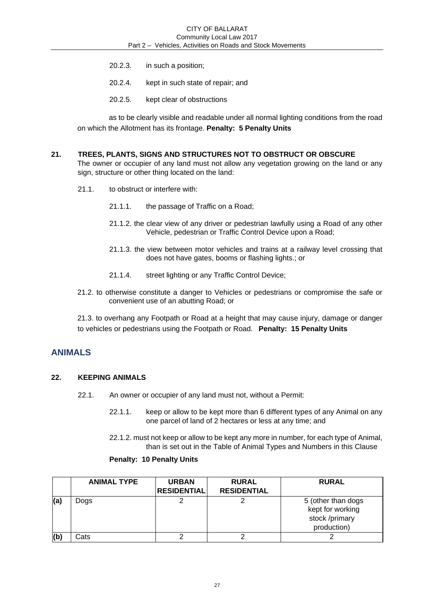- 20.2.3. in such a position;
- 20.2.4. kept in such state of repair; and
- 20.2.5. kept clear of obstructions

as to be clearly visible and readable under all normal lighting conditions from the road on which the Allotment has its frontage. **Penalty: 5 Penalty Units** 

# <span id="page-26-0"></span>**21. TREES, PLANTS, SIGNS AND STRUCTURES NOT TO OBSTRUCT OR OBSCURE**

The owner or occupier of any land must not allow any vegetation growing on the land or any sign, structure or other thing located on the land:

- 21.1. to obstruct or interfere with:
	- 21.1.1. the passage of Traffic on a Road;
	- 21.1.2. the clear view of any driver or pedestrian lawfully using a Road of any other Vehicle, pedestrian or Traffic Control Device upon a Road;
	- 21.1.3. the view between motor vehicles and trains at a railway level crossing that does not have gates, booms or flashing lights.; or
	- 21.1.4. street lighting or any Traffic Control Device;
- 21.2. to otherwise constitute a danger to Vehicles or pedestrians or compromise the safe or convenient use of an abutting Road; or

21.3. to overhang any Footpath or Road at a height that may cause injury, damage or danger to vehicles or pedestrians using the Footpath or Road. **Penalty: 15 Penalty Units** 

# <span id="page-26-1"></span>**ANIMALS**

## **22. KEEPING ANIMALS**

- 22.1. An owner or occupier of any land must not, without a Permit:
	- 22.1.1. keep or allow to be kept more than 6 different types of any Animal on any one parcel of land of 2 hectares or less at any time; and

22.1.2. must not keep or allow to be kept any more in number, for each type of Animal, than is set out in the Table of Animal Types and Numbers in this Clause

#### **Penalty: 10 Penalty Units**

|     | <b>ANIMAL TYPE</b> | <b>URBAN</b><br><b>RESIDENTIAL</b> | <b>RURAL</b><br><b>RESIDENTIAL</b> | <b>RURAL</b>                                                            |
|-----|--------------------|------------------------------------|------------------------------------|-------------------------------------------------------------------------|
| (a) | Dogs               |                                    |                                    | 5 (other than dogs<br>kept for working<br>stock /primary<br>production) |
| (b) | Cats               |                                    |                                    |                                                                         |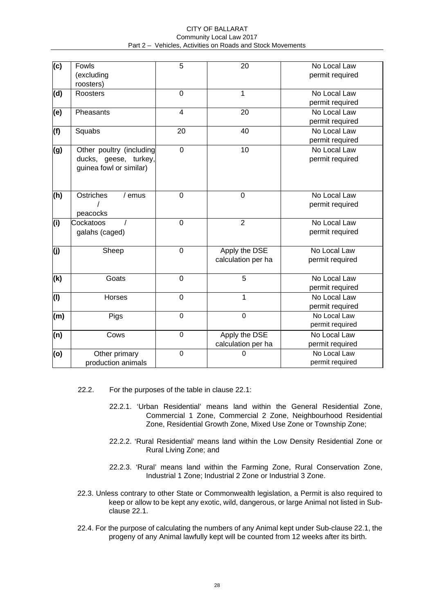#### CITY OF BALLARAT Community Local Law 2017 Part 2 – Vehicles, Activities on Roads and Stock Movements

| $\overline{\text{(c)}}$ | Fowls                    | 5                       | 20                 | No Local Law    |
|-------------------------|--------------------------|-------------------------|--------------------|-----------------|
|                         | (excluding               |                         |                    | permit required |
|                         | roosters)                |                         |                    |                 |
| (d)                     | Roosters                 | $\mathbf 0$             | 1                  | No Local Law    |
|                         |                          |                         |                    | permit required |
| (e)                     | Pheasants                | $\overline{\mathbf{4}}$ | 20                 | No Local Law    |
|                         |                          |                         |                    | permit required |
| (f)                     | Squabs                   | 20                      | 40                 | No Local Law    |
|                         |                          |                         |                    | permit required |
| (g)                     | Other poultry (including | $\mathbf 0$             | 10                 | No Local Law    |
|                         | ducks, geese, turkey,    |                         |                    | permit required |
|                         | guinea fowl or similar)  |                         |                    |                 |
|                         |                          |                         |                    |                 |
|                         |                          |                         |                    |                 |
| (h)                     | Ostriches<br>/ emus      | $\mathbf 0$             | $\mathbf 0$        | No Local Law    |
|                         |                          |                         |                    | permit required |
|                         | peacocks                 |                         |                    |                 |
| (i)                     | Cockatoos                | $\mathbf 0$             | $\overline{2}$     | No Local Law    |
|                         | galahs (caged)           |                         |                    | permit required |
|                         |                          |                         |                    |                 |
| (i)                     | Sheep                    | $\mathbf 0$             | Apply the DSE      | No Local Law    |
|                         |                          |                         | calculation per ha | permit required |
|                         |                          |                         |                    |                 |
| (k)                     | Goats                    | $\mathbf 0$             | $\overline{5}$     | No Local Law    |
|                         |                          |                         |                    | permit required |
| (1)                     | Horses                   | $\mathbf 0$             | 1                  | No Local Law    |
|                         |                          |                         |                    | permit required |
| (m)                     | Pigs                     | $\boldsymbol{0}$        | $\mathbf 0$        | No Local Law    |
|                         |                          |                         |                    | permit required |
| (n)                     | Cows                     | $\mathbf 0$             | Apply the DSE      | No Local Law    |
|                         |                          |                         | calculation per ha | permit required |
| (o)                     | Other primary            | $\mathbf 0$             | 0                  | No Local Law    |
|                         | production animals       |                         |                    | permit required |
|                         |                          |                         |                    |                 |

- 22.2. For the purposes of the table in clause 22.1:
	- 22.2.1. 'Urban Residential' means land within the General Residential Zone, Commercial 1 Zone, Commercial 2 Zone, Neighbourhood Residential Zone, Residential Growth Zone, Mixed Use Zone or Township Zone;
	- 22.2.2. 'Rural Residential' means land within the Low Density Residential Zone or Rural Living Zone; and
	- 22.2.3. 'Rural' means land within the Farming Zone, Rural Conservation Zone, Industrial 1 Zone; Industrial 2 Zone or Industrial 3 Zone.
- 22.3. Unless contrary to other State or Commonwealth legislation, a Permit is also required to keep or allow to be kept any exotic, wild, dangerous, or large Animal not listed in Subclause 22.1.
- 22.4. For the purpose of calculating the numbers of any Animal kept under Sub-clause 22.1, the progeny of any Animal lawfully kept will be counted from 12 weeks after its birth.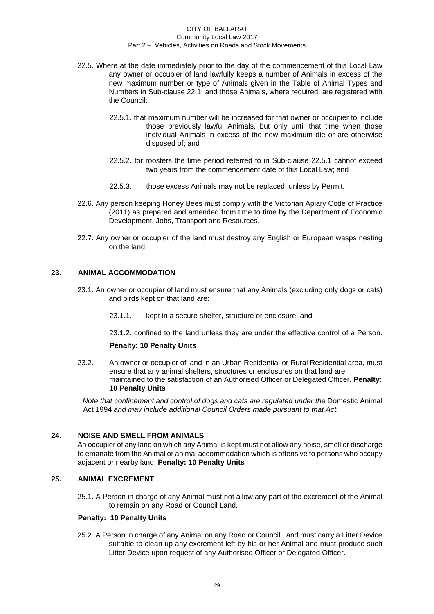- 22.5. Where at the date immediately prior to the day of the commencement of this Local Law any owner or occupier of land lawfully keeps a number of Animals in excess of the new maximum number or type of Animals given in the Table of Animal Types and Numbers in Sub-clause 22.1, and those Animals, where required, are registered with the Council:
	- 22.5.1. that maximum number will be increased for that owner or occupier to include those previously lawful Animals, but only until that time when those individual Animals in excess of the new maximum die or are otherwise disposed of; and
	- 22.5.2. for roosters the time period referred to in Sub-clause 22.5.1 cannot exceed two years from the commencement date of this Local Law; and
	- 22.5.3. those excess Animals may not be replaced, unless by Permit.
- 22.6. Any person keeping Honey Bees must comply with the Victorian Apiary Code of Practice (2011) as prepared and amended from time to time by the Department of Economic Development, Jobs, Transport and Resources.
- 22.7. Any owner or occupier of the land must destroy any English or European wasps nesting on the land.

## <span id="page-28-0"></span>**23. ANIMAL ACCOMMODATION**

- 23.1. An owner or occupier of land must ensure that any Animals (excluding only dogs or cats) and birds kept on that land are:
	- 23.1.1. kept in a secure shelter, structure or enclosure; and

23.1.2. confined to the land unless they are under the effective control of a Person.

## **Penalty: 10 Penalty Units**

23.2. An owner or occupier of land in an Urban Residential or Rural Residential area, must ensure that any animal shelters, structures or enclosures on that land are maintained to the satisfaction of an Authorised Officer or Delegated Officer. **Penalty: 10 Penalty Units** 

*Note that confinement and control of dogs and cats are regulated under the Domestic Animal* Act 1994 *and may include additional Council Orders made pursuant to that Act.* 

## <span id="page-28-1"></span>**24. NOISE AND SMELL FROM ANIMALS**

An occupier of any land on which any Animal is kept must not allow any noise, smell or discharge to emanate from the Animal or animal accommodation which is offensive to persons who occupy adjacent or nearby land. **Penalty: 10 Penalty Units** 

## <span id="page-28-2"></span>**25. ANIMAL EXCREMENT**

25.1. A Person in charge of any Animal must not allow any part of the excrement of the Animal to remain on any Road or Council Land.

#### **Penalty: 10 Penalty Units**

25.2. A Person in charge of any Animal on any Road or Council Land must carry a Litter Device suitable to clean up any excrement left by his or her Animal and must produce such Litter Device upon request of any Authorised Officer or Delegated Officer.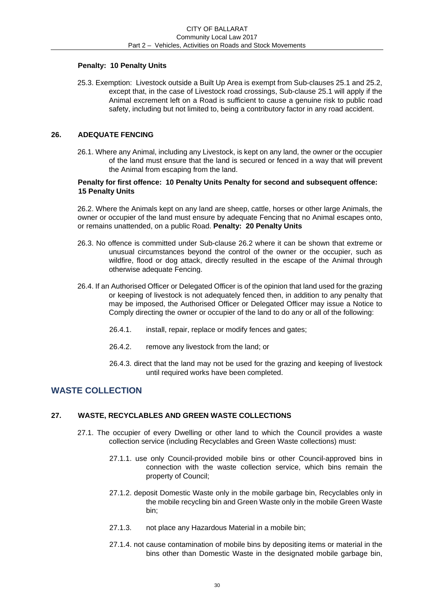## **Penalty: 10 Penalty Units**

25.3. Exemption: Livestock outside a Built Up Area is exempt from Sub-clauses 25.1 and 25.2, except that, in the case of Livestock road crossings, Sub-clause 25.1 will apply if the Animal excrement left on a Road is sufficient to cause a genuine risk to public road safety, including but not limited to, being a contributory factor in any road accident.

## <span id="page-29-0"></span>**26. ADEQUATE FENCING**

26.1. Where any Animal, including any Livestock, is kept on any land, the owner or the occupier of the land must ensure that the land is secured or fenced in a way that will prevent the Animal from escaping from the land.

### **Penalty for first offence: 10 Penalty Units Penalty for second and subsequent offence: 15 Penalty Units**

26.2. Where the Animals kept on any land are sheep, cattle, horses or other large Animals, the owner or occupier of the land must ensure by adequate Fencing that no Animal escapes onto, or remains unattended, on a public Road. **Penalty: 20 Penalty Units** 

- 26.3. No offence is committed under Sub-clause 26.2 where it can be shown that extreme or unusual circumstances beyond the control of the owner or the occupier, such as wildfire, flood or dog attack, directly resulted in the escape of the Animal through otherwise adequate Fencing.
- 26.4. If an Authorised Officer or Delegated Officer is of the opinion that land used for the grazing or keeping of livestock is not adequately fenced then, in addition to any penalty that may be imposed, the Authorised Officer or Delegated Officer may issue a Notice to Comply directing the owner or occupier of the land to do any or all of the following:
	- 26.4.1. install, repair, replace or modify fences and gates;
	- 26.4.2. remove any livestock from the land; or
	- 26.4.3. direct that the land may not be used for the grazing and keeping of livestock until required works have been completed.

# **WASTE COLLECTION**

#### <span id="page-29-1"></span>**27. WASTE, RECYCLABLES AND GREEN WASTE COLLECTIONS**

- 27.1. The occupier of every Dwelling or other land to which the Council provides a waste collection service (including Recyclables and Green Waste collections) must:
	- 27.1.1. use only Council-provided mobile bins or other Council-approved bins in connection with the waste collection service, which bins remain the property of Council;
	- 27.1.2. deposit Domestic Waste only in the mobile garbage bin, Recyclables only in the mobile recycling bin and Green Waste only in the mobile Green Waste bin;
	- 27.1.3. not place any Hazardous Material in a mobile bin;
	- 27.1.4. not cause contamination of mobile bins by depositing items or material in the bins other than Domestic Waste in the designated mobile garbage bin,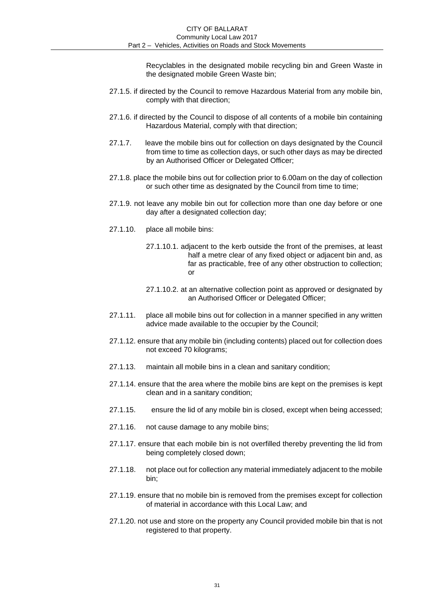Recyclables in the designated mobile recycling bin and Green Waste in the designated mobile Green Waste bin;

- 27.1.5. if directed by the Council to remove Hazardous Material from any mobile bin, comply with that direction;
- 27.1.6. if directed by the Council to dispose of all contents of a mobile bin containing Hazardous Material, comply with that direction;
- 27.1.7. leave the mobile bins out for collection on days designated by the Council from time to time as collection days, or such other days as may be directed by an Authorised Officer or Delegated Officer;
- 27.1.8. place the mobile bins out for collection prior to 6.00am on the day of collection or such other time as designated by the Council from time to time;
- 27.1.9. not leave any mobile bin out for collection more than one day before or one day after a designated collection day;
- 27.1.10. place all mobile bins:
	- 27.1.10.1. adjacent to the kerb outside the front of the premises, at least half a metre clear of any fixed object or adjacent bin and, as far as practicable, free of any other obstruction to collection; or
	- 27.1.10.2. at an alternative collection point as approved or designated by an Authorised Officer or Delegated Officer;
- 27.1.11. place all mobile bins out for collection in a manner specified in any written advice made available to the occupier by the Council;
- 27.1.12. ensure that any mobile bin (including contents) placed out for collection does not exceed 70 kilograms;
- 27.1.13. maintain all mobile bins in a clean and sanitary condition;
- 27.1.14. ensure that the area where the mobile bins are kept on the premises is kept clean and in a sanitary condition;
- 27.1.15. ensure the lid of any mobile bin is closed, except when being accessed;
- 27.1.16. not cause damage to any mobile bins;
- 27.1.17. ensure that each mobile bin is not overfilled thereby preventing the lid from being completely closed down;
- 27.1.18. not place out for collection any material immediately adjacent to the mobile bin;
- 27.1.19. ensure that no mobile bin is removed from the premises except for collection of material in accordance with this Local Law; and
- 27.1.20. not use and store on the property any Council provided mobile bin that is not registered to that property.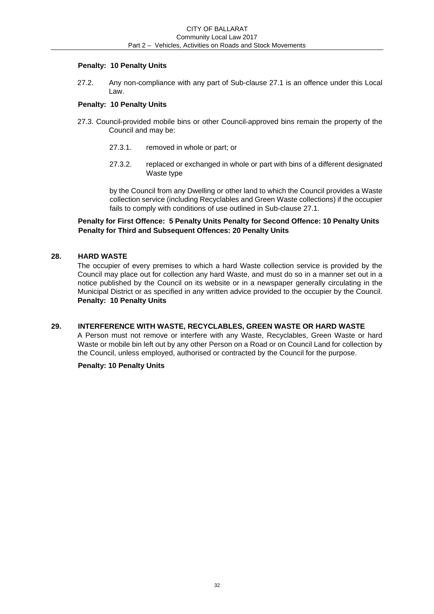## **Penalty: 10 Penalty Units**

27.2. Any non-compliance with any part of Sub-clause 27.1 is an offence under this Local Law.

### **Penalty: 10 Penalty Units**

- 27.3. Council-provided mobile bins or other Council-approved bins remain the property of the Council and may be:
	- 27.3.1. removed in whole or part; or
	- 27.3.2. replaced or exchanged in whole or part with bins of a different designated Waste type

by the Council from any Dwelling or other land to which the Council provides a Waste collection service (including Recyclables and Green Waste collections) if the occupier fails to comply with conditions of use outlined in Sub-clause 27.1.

## **Penalty for First Offence: 5 Penalty Units Penalty for Second Offence: 10 Penalty Units Penalty for Third and Subsequent Offences: 20 Penalty Units**

## <span id="page-31-0"></span>**28. HARD WASTE**

The occupier of every premises to which a hard Waste collection service is provided by the Council may place out for collection any hard Waste, and must do so in a manner set out in a notice published by the Council on its website or in a newspaper generally circulating in the Municipal District or as specified in any written advice provided to the occupier by the Council. **Penalty: 10 Penalty Units** 

## <span id="page-31-1"></span>**29. INTERFERENCE WITH WASTE, RECYCLABLES, GREEN WASTE OR HARD WASTE**

A Person must not remove or interfere with any Waste, Recyclables, Green Waste or hard Waste or mobile bin left out by any other Person on a Road or on Council Land for collection by the Council, unless employed, authorised or contracted by the Council for the purpose.

#### **Penalty: 10 Penalty Units**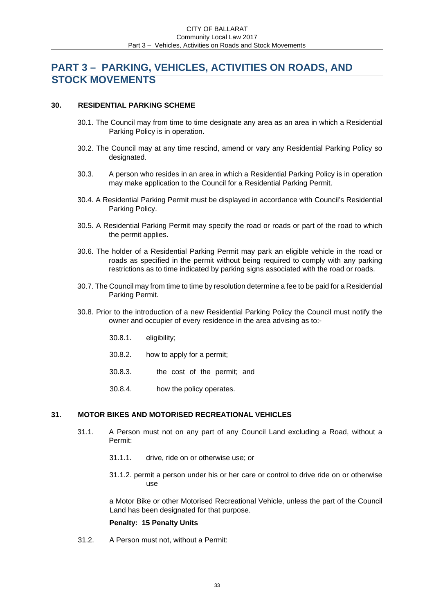# <span id="page-32-0"></span>**PART 3 – PARKING, VEHICLES, ACTIVITIES ON ROADS, AND STOCK MOVEMENTS**

### <span id="page-32-1"></span>**30. RESIDENTIAL PARKING SCHEME**

- 30.1. The Council may from time to time designate any area as an area in which a Residential Parking Policy is in operation.
- 30.2. The Council may at any time rescind, amend or vary any Residential Parking Policy so designated.
- 30.3. A person who resides in an area in which a Residential Parking Policy is in operation may make application to the Council for a Residential Parking Permit.
- 30.4. A Residential Parking Permit must be displayed in accordance with Council's Residential Parking Policy.
- 30.5. A Residential Parking Permit may specify the road or roads or part of the road to which the permit applies.
- 30.6. The holder of a Residential Parking Permit may park an eligible vehicle in the road or roads as specified in the permit without being required to comply with any parking restrictions as to time indicated by parking signs associated with the road or roads.
- 30.7. The Council may from time to time by resolution determine a fee to be paid for a Residential Parking Permit.
- 30.8. Prior to the introduction of a new Residential Parking Policy the Council must notify the owner and occupier of every residence in the area advising as to:-
	- 30.8.1. eligibility;
	- 30.8.2. how to apply for a permit;
	- 30.8.3. the cost of the permit; and
	- 30.8.4. how the policy operates.

## <span id="page-32-2"></span>**31. MOTOR BIKES AND MOTORISED RECREATIONAL VEHICLES**

- 31.1. A Person must not on any part of any Council Land excluding a Road, without a Permit:
	- 31.1.1. drive, ride on or otherwise use; or
	- 31.1.2. permit a person under his or her care or control to drive ride on or otherwise use

a Motor Bike or other Motorised Recreational Vehicle, unless the part of the Council Land has been designated for that purpose.

#### **Penalty: 15 Penalty Units**

31.2. A Person must not, without a Permit: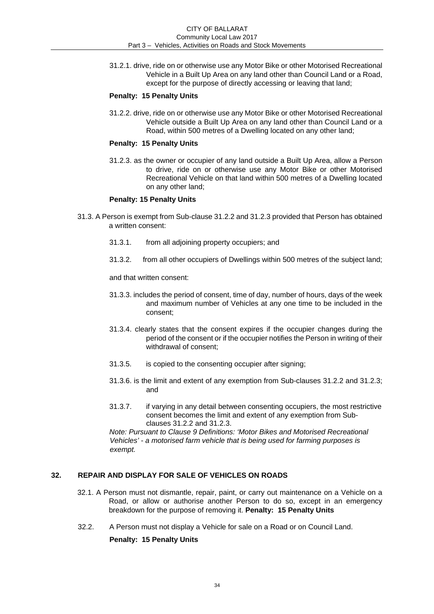31.2.1. drive, ride on or otherwise use any Motor Bike or other Motorised Recreational Vehicle in a Built Up Area on any land other than Council Land or a Road, except for the purpose of directly accessing or leaving that land;

## **Penalty: 15 Penalty Units**

31.2.2. drive, ride on or otherwise use any Motor Bike or other Motorised Recreational Vehicle outside a Built Up Area on any land other than Council Land or a Road, within 500 metres of a Dwelling located on any other land;

### **Penalty: 15 Penalty Units**

31.2.3. as the owner or occupier of any land outside a Built Up Area, allow a Person to drive, ride on or otherwise use any Motor Bike or other Motorised Recreational Vehicle on that land within 500 metres of a Dwelling located on any other land;

### **Penalty: 15 Penalty Units**

- 31.3. A Person is exempt from Sub-clause 31.2.2 and 31.2.3 provided that Person has obtained a written consent:
	- 31.3.1. from all adjoining property occupiers; and
	- 31.3.2. from all other occupiers of Dwellings within 500 metres of the subject land;

and that written consent:

- 31.3.3. includes the period of consent, time of day, number of hours, days of the week and maximum number of Vehicles at any one time to be included in the consent;
- 31.3.4. clearly states that the consent expires if the occupier changes during the period of the consent or if the occupier notifies the Person in writing of their withdrawal of consent;
- 31.3.5. is copied to the consenting occupier after signing;
- 31.3.6. is the limit and extent of any exemption from Sub-clauses 31.2.2 and 31.2.3; and
- 31.3.7. if varying in any detail between consenting occupiers, the most restrictive consent becomes the limit and extent of any exemption from Subclauses 31.2.2 and 31.2.3.

*Note: Pursuant to Clause 9 Definitions: 'Motor Bikes and Motorised Recreational Vehicles' - a motorised farm vehicle that is being used for farming purposes is exempt.* 

## <span id="page-33-0"></span>**32. REPAIR AND DISPLAY FOR SALE OF VEHICLES ON ROADS**

- 32.1. A Person must not dismantle, repair, paint, or carry out maintenance on a Vehicle on a Road, or allow or authorise another Person to do so, except in an emergency breakdown for the purpose of removing it. **Penalty: 15 Penalty Units**
- 32.2. A Person must not display a Vehicle for sale on a Road or on Council Land.

## **Penalty: 15 Penalty Units**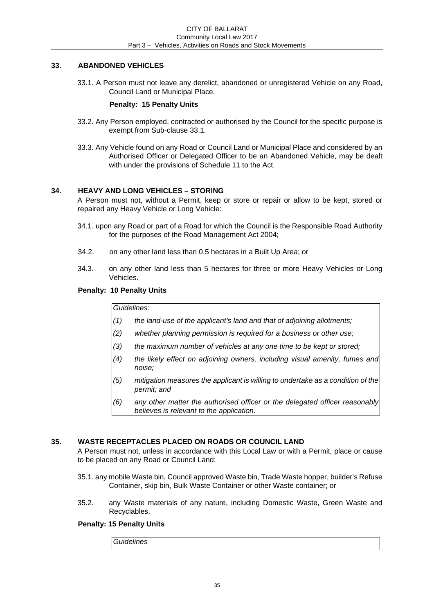## <span id="page-34-0"></span>**33. ABANDONED VEHICLES**

33.1. A Person must not leave any derelict, abandoned or unregistered Vehicle on any Road, Council Land or Municipal Place.

## **Penalty: 15 Penalty Units**

- 33.2. Any Person employed, contracted or authorised by the Council for the specific purpose is exempt from Sub-clause 33.1.
- 33.3. Any Vehicle found on any Road or Council Land or Municipal Place and considered by an Authorised Officer or Delegated Officer to be an Abandoned Vehicle, may be dealt with under the provisions of Schedule 11 to the Act.

## <span id="page-34-1"></span>**34. HEAVY AND LONG VEHICLES – STORING**

A Person must not, without a Permit, keep or store or repair or allow to be kept, stored or repaired any Heavy Vehicle or Long Vehicle:

- 34.1. upon any Road or part of a Road for which the Council is the Responsible Road Authority for the purposes of the Road Management Act 2004;
- 34.2. on any other land less than 0.5 hectares in a Built Up Area; or
- 34.3. on any other land less than 5 hectares for three or more Heavy Vehicles or Long Vehicles.

## **Penalty: 10 Penalty Units**

*Guidelines:* 

- *(1) the land-use of the applicant's land and that of adjoining allotments;*
- *(2) whether planning permission is required for a business or other use;*
- *(3) the maximum number of vehicles at any one time to be kept or stored;*
- *(4) the likely effect on adjoining owners, including visual amenity, fumes and noise;*
- *(5) mitigation measures the applicant is willing to undertake as a condition of the permit; and*
- *(6) any other matter the authorised officer or the delegated officer reasonably believes is relevant to the application.*

## <span id="page-34-2"></span>**35. WASTE RECEPTACLES PLACED ON ROADS OR COUNCIL LAND**

A Person must not, unless in accordance with this Local Law or with a Permit, place or cause to be placed on any Road or Council Land:

- 35.1. any mobile Waste bin, Council approved Waste bin, Trade Waste hopper, builder's Refuse Container, skip bin, Bulk Waste Container or other Waste container; or
- 35.2. any Waste materials of any nature, including Domestic Waste, Green Waste and Recyclables.

## **Penalty: 15 Penalty Units**

*Guidelines*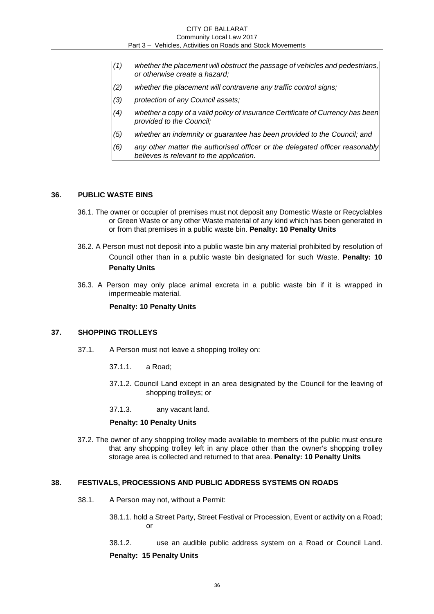- *(1) whether the placement will obstruct the passage of vehicles and pedestrians, or otherwise create a hazard;*
- *(2) whether the placement will contravene any traffic control signs;*
- *(3) protection of any Council assets;*
- *(4) whether a copy of a valid policy of insurance Certificate of Currency has been provided to the Council;*
- *(5) whether an indemnity or guarantee has been provided to the Council; and*
- *(6) any other matter the authorised officer or the delegated officer reasonably believes is relevant to the application.*

#### <span id="page-35-0"></span>**36. PUBLIC WASTE BINS**

- 36.1. The owner or occupier of premises must not deposit any Domestic Waste or Recyclables or Green Waste or any other Waste material of any kind which has been generated in or from that premises in a public waste bin. **Penalty: 10 Penalty Units**
- 36.2. A Person must not deposit into a public waste bin any material prohibited by resolution of Council other than in a public waste bin designated for such Waste. **Penalty: 10 Penalty Units**
- 36.3. A Person may only place animal excreta in a public waste bin if it is wrapped in impermeable material.

#### **Penalty: 10 Penalty Units**

#### <span id="page-35-1"></span>**37. SHOPPING TROLLEYS**

- 37.1. A Person must not leave a shopping trolley on:
	- 37.1.1. a Road;
	- 37.1.2. Council Land except in an area designated by the Council for the leaving of shopping trolleys; or
	- 37.1.3. any vacant land.

#### **Penalty: 10 Penalty Units**

37.2. The owner of any shopping trolley made available to members of the public must ensure that any shopping trolley left in any place other than the owner's shopping trolley storage area is collected and returned to that area. **Penalty: 10 Penalty Units** 

### <span id="page-35-2"></span>**38. FESTIVALS, PROCESSIONS AND PUBLIC ADDRESS SYSTEMS ON ROADS**

- 38.1. A Person may not, without a Permit:
	- 38.1.1. hold a Street Party, Street Festival or Procession, Event or activity on a Road; or
	- 38.1.2. use an audible public address system on a Road or Council Land.

#### **Penalty: 15 Penalty Units**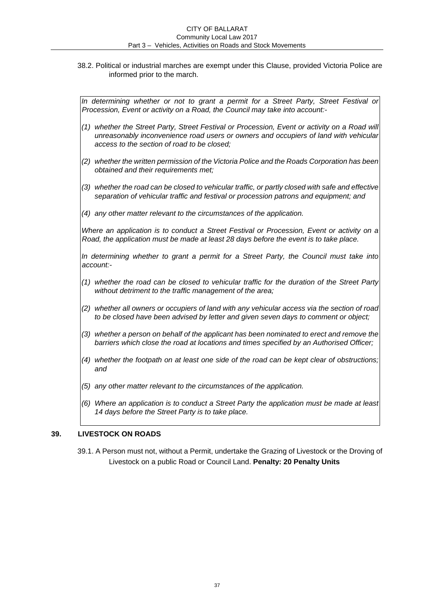38.2. Political or industrial marches are exempt under this Clause, provided Victoria Police are informed prior to the march.

*In determining whether or not to grant a permit for a Street Party, Street Festival or Procession, Event or activity on a Road, the Council may take into account:-* 

- *(1) whether the Street Party, Street Festival or Procession, Event or activity on a Road will unreasonably inconvenience road users or owners and occupiers of land with vehicular access to the section of road to be closed;*
- *(2) whether the written permission of the Victoria Police and the Roads Corporation has been obtained and their requirements met;*
- *(3) whether the road can be closed to vehicular traffic, or partly closed with safe and effective separation of vehicular traffic and festival or procession patrons and equipment; and*
- *(4) any other matter relevant to the circumstances of the application.*

*Where an application is to conduct a Street Festival or Procession, Event or activity on a Road, the application must be made at least 28 days before the event is to take place.* 

In determining whether to grant a permit for a Street Party, the Council must take into *account:-* 

- *(1) whether the road can be closed to vehicular traffic for the duration of the Street Party without detriment to the traffic management of the area;*
- *(2) whether all owners or occupiers of land with any vehicular access via the section of road to be closed have been advised by letter and given seven days to comment or object;*
- *(3) whether a person on behalf of the applicant has been nominated to erect and remove the barriers which close the road at locations and times specified by an Authorised Officer;*
- *(4) whether the footpath on at least one side of the road can be kept clear of obstructions; and*
- *(5) any other matter relevant to the circumstances of the application.*
- *(6) Where an application is to conduct a Street Party the application must be made at least 14 days before the Street Party is to take place.*

# **39. LIVESTOCK ON ROADS**

39.1. A Person must not, without a Permit, undertake the Grazing of Livestock or the Droving of Livestock on a public Road or Council Land. **Penalty: 20 Penalty Units**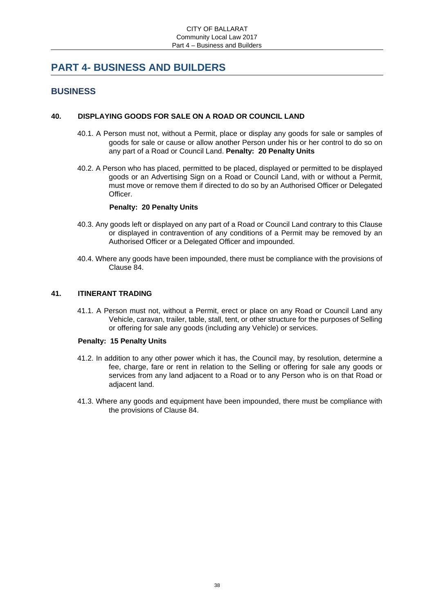# **PART 4- BUSINESS AND BUILDERS**

# **BUSINESS**

# **40. DISPLAYING GOODS FOR SALE ON A ROAD OR COUNCIL LAND**

- 40.1. A Person must not, without a Permit, place or display any goods for sale or samples of goods for sale or cause or allow another Person under his or her control to do so on any part of a Road or Council Land. **Penalty: 20 Penalty Units**
- 40.2. A Person who has placed, permitted to be placed, displayed or permitted to be displayed goods or an Advertising Sign on a Road or Council Land, with or without a Permit, must move or remove them if directed to do so by an Authorised Officer or Delegated Officer.

#### **Penalty: 20 Penalty Units**

- 40.3. Any goods left or displayed on any part of a Road or Council Land contrary to this Clause or displayed in contravention of any conditions of a Permit may be removed by an Authorised Officer or a Delegated Officer and impounded.
- 40.4. Where any goods have been impounded, there must be compliance with the provisions of Clause 84.

### **41. ITINERANT TRADING**

41.1. A Person must not, without a Permit, erect or place on any Road or Council Land any Vehicle, caravan, trailer, table, stall, tent, or other structure for the purposes of Selling or offering for sale any goods (including any Vehicle) or services.

#### **Penalty: 15 Penalty Units**

- 41.2. In addition to any other power which it has, the Council may, by resolution, determine a fee, charge, fare or rent in relation to the Selling or offering for sale any goods or services from any land adjacent to a Road or to any Person who is on that Road or adjacent land.
- 41.3. Where any goods and equipment have been impounded, there must be compliance with the provisions of Clause 84.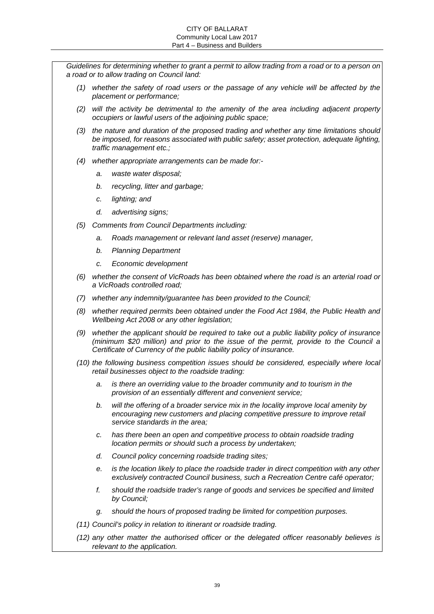*Guidelines for determining whether to grant a permit to allow trading from a road or to a person on a road or to allow trading on Council land:* 

- *(1) whether the safety of road users or the passage of any vehicle will be affected by the placement or performance;*
- *(2) will the activity be detrimental to the amenity of the area including adjacent property occupiers or lawful users of the adjoining public space;*
- *(3) the nature and duration of the proposed trading and whether any time limitations should be imposed, for reasons associated with public safety; asset protection, adequate lighting, traffic management etc.;*
- *(4) whether appropriate arrangements can be made for:* 
	- *a. waste water disposal;*
	- *b. recycling, litter and garbage;*
	- *c. lighting; and*
	- *d. advertising signs;*
- *(5) Comments from Council Departments including:* 
	- *a. Roads management or relevant land asset (reserve) manager,*
	- *b. Planning Department*
	- *c. Economic development*
- *(6) whether the consent of VicRoads has been obtained where the road is an arterial road or a VicRoads controlled road;*
- *(7) whether any indemnity/guarantee has been provided to the Council;*
- *(8) whether required permits been obtained under the Food Act 1984, the Public Health and Wellbeing Act 2008 or any other legislation;*
- *(9) whether the applicant should be required to take out a public liability policy of insurance (minimum \$20 million) and prior to the issue of the permit, provide to the Council a Certificate of Currency of the public liability policy of insurance.*
- *(10) the following business competition issues should be considered, especially where local retail businesses object to the roadside trading:* 
	- *a. is there an overriding value to the broader community and to tourism in the provision of an essentially different and convenient service;*
	- *b. will the offering of a broader service mix in the locality improve local amenity by encouraging new customers and placing competitive pressure to improve retail service standards in the area;*
	- *c. has there been an open and competitive process to obtain roadside trading location permits or should such a process by undertaken;*
	- *d. Council policy concerning roadside trading sites;*
	- *e. is the location likely to place the roadside trader in direct competition with any other exclusively contracted Council business, such a Recreation Centre café operator;*
	- *f. should the roadside trader's range of goods and services be specified and limited by Council;*
	- *g. should the hours of proposed trading be limited for competition purposes.*
- *(11) Council's policy in relation to itinerant or roadside trading.*
- *(12) any other matter the authorised officer or the delegated officer reasonably believes is relevant to the application.*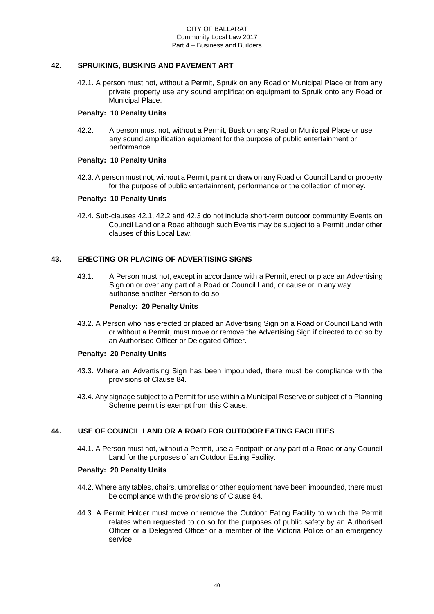# **42. SPRUIKING, BUSKING AND PAVEMENT ART**

42.1. A person must not, without a Permit, Spruik on any Road or Municipal Place or from any private property use any sound amplification equipment to Spruik onto any Road or Municipal Place.

# **Penalty: 10 Penalty Units**

42.2. A person must not, without a Permit, Busk on any Road or Municipal Place or use any sound amplification equipment for the purpose of public entertainment or performance.

#### **Penalty: 10 Penalty Units**

42.3. A person must not, without a Permit, paint or draw on any Road or Council Land or property for the purpose of public entertainment, performance or the collection of money.

# **Penalty: 10 Penalty Units**

42.4. Sub-clauses 42.1, 42.2 and 42.3 do not include short-term outdoor community Events on Council Land or a Road although such Events may be subject to a Permit under other clauses of this Local Law.

# **43. ERECTING OR PLACING OF ADVERTISING SIGNS**

43.1. A Person must not, except in accordance with a Permit, erect or place an Advertising Sign on or over any part of a Road or Council Land, or cause or in any way authorise another Person to do so.

#### **Penalty: 20 Penalty Units**

43.2. A Person who has erected or placed an Advertising Sign on a Road or Council Land with or without a Permit, must move or remove the Advertising Sign if directed to do so by an Authorised Officer or Delegated Officer.

# **Penalty: 20 Penalty Units**

- 43.3. Where an Advertising Sign has been impounded, there must be compliance with the provisions of Clause 84.
- 43.4. Any signage subject to a Permit for use within a Municipal Reserve or subject of a Planning Scheme permit is exempt from this Clause.

# **44. USE OF COUNCIL LAND OR A ROAD FOR OUTDOOR EATING FACILITIES**

44.1. A Person must not, without a Permit, use a Footpath or any part of a Road or any Council Land for the purposes of an Outdoor Eating Facility.

# **Penalty: 20 Penalty Units**

- 44.2. Where any tables, chairs, umbrellas or other equipment have been impounded, there must be compliance with the provisions of Clause 84.
- 44.3. A Permit Holder must move or remove the Outdoor Eating Facility to which the Permit relates when requested to do so for the purposes of public safety by an Authorised Officer or a Delegated Officer or a member of the Victoria Police or an emergency service.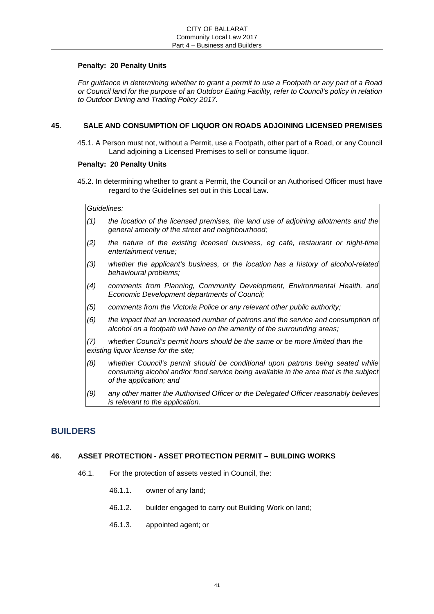### **Penalty: 20 Penalty Units**

*For guidance in determining whether to grant a permit to use a Footpath or any part of a Road or Council land for the purpose of an Outdoor Eating Facility, refer to Council's policy in relation to Outdoor Dining and Trading Policy 2017.* 

# **45. SALE AND CONSUMPTION OF LIQUOR ON ROADS ADJOINING LICENSED PREMISES**

45.1. A Person must not, without a Permit, use a Footpath, other part of a Road, or any Council Land adjoining a Licensed Premises to sell or consume liquor.

# **Penalty: 20 Penalty Units**

45.2. In determining whether to grant a Permit, the Council or an Authorised Officer must have regard to the Guidelines set out in this Local Law.

#### *Guidelines:*

- *(1) the location of the licensed premises, the land use of adjoining allotments and the general amenity of the street and neighbourhood;*
- *(2) the nature of the existing licensed business, eg café, restaurant or night-time entertainment venue;*
- *(3) whether the applicant's business, or the location has a history of alcohol-related behavioural problems;*
- *(4) comments from Planning, Community Development, Environmental Health, and Economic Development departments of Council;*
- *(5) comments from the Victoria Police or any relevant other public authority;*
- *(6) the impact that an increased number of patrons and the service and consumption of alcohol on a footpath will have on the amenity of the surrounding areas;*

*(7) whether Council's permit hours should be the same or be more limited than the existing liquor license for the site;* 

- *(8) whether Council's permit should be conditional upon patrons being seated while consuming alcohol and/or food service being available in the area that is the subject of the application; and*
- *(9) any other matter the Authorised Officer or the Delegated Officer reasonably believes is relevant to the application.*

# **BUILDERS**

# **46. ASSET PROTECTION - ASSET PROTECTION PERMIT – BUILDING WORKS**

- 46.1. For the protection of assets vested in Council, the:
	- 46.1.1. owner of any land;
	- 46.1.2. builder engaged to carry out Building Work on land;
	- 46.1.3. appointed agent; or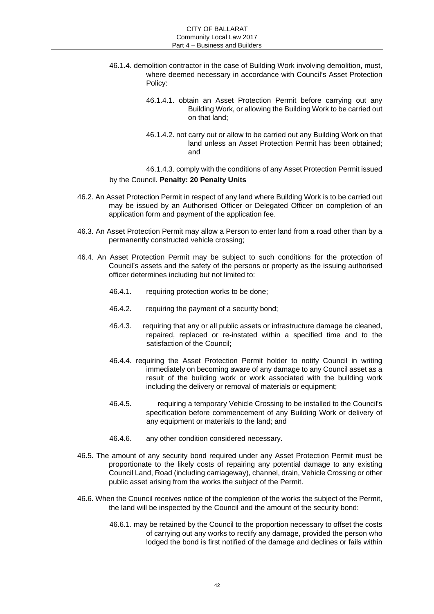- 46.1.4. demolition contractor in the case of Building Work involving demolition, must, where deemed necessary in accordance with Council's Asset Protection Policy:
	- 46.1.4.1. obtain an Asset Protection Permit before carrying out any Building Work, or allowing the Building Work to be carried out on that land;
	- 46.1.4.2. not carry out or allow to be carried out any Building Work on that land unless an Asset Protection Permit has been obtained; and

46.1.4.3. comply with the conditions of any Asset Protection Permit issued by the Council. **Penalty: 20 Penalty Units** 

- 46.2. An Asset Protection Permit in respect of any land where Building Work is to be carried out may be issued by an Authorised Officer or Delegated Officer on completion of an application form and payment of the application fee.
- 46.3. An Asset Protection Permit may allow a Person to enter land from a road other than by a permanently constructed vehicle crossing;
- 46.4. An Asset Protection Permit may be subject to such conditions for the protection of Council's assets and the safety of the persons or property as the issuing authorised officer determines including but not limited to:
	- 46.4.1. requiring protection works to be done;
	- 46.4.2. requiring the payment of a security bond;
	- 46.4.3. requiring that any or all public assets or infrastructure damage be cleaned, repaired, replaced or re-instated within a specified time and to the satisfaction of the Council;
	- 46.4.4. requiring the Asset Protection Permit holder to notify Council in writing immediately on becoming aware of any damage to any Council asset as a result of the building work or work associated with the building work including the delivery or removal of materials or equipment;
	- 46.4.5. requiring a temporary Vehicle Crossing to be installed to the Council's specification before commencement of any Building Work or delivery of any equipment or materials to the land; and
	- 46.4.6. any other condition considered necessary.
- 46.5. The amount of any security bond required under any Asset Protection Permit must be proportionate to the likely costs of repairing any potential damage to any existing Council Land, Road (including carriageway), channel, drain, Vehicle Crossing or other public asset arising from the works the subject of the Permit.
- 46.6. When the Council receives notice of the completion of the works the subject of the Permit, the land will be inspected by the Council and the amount of the security bond:
	- 46.6.1. may be retained by the Council to the proportion necessary to offset the costs of carrying out any works to rectify any damage, provided the person who lodged the bond is first notified of the damage and declines or fails within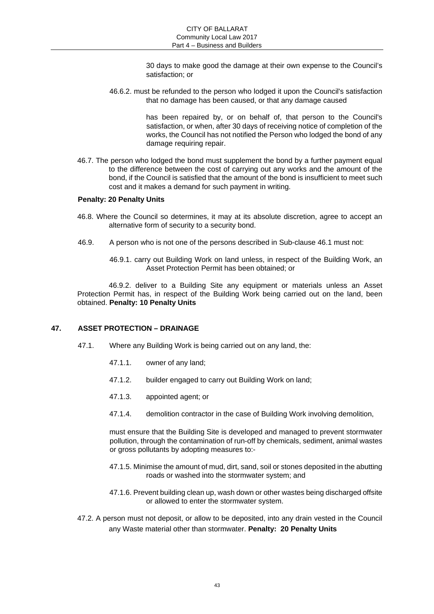30 days to make good the damage at their own expense to the Council's satisfaction; or

46.6.2. must be refunded to the person who lodged it upon the Council's satisfaction that no damage has been caused, or that any damage caused

> has been repaired by, or on behalf of, that person to the Council's satisfaction, or when, after 30 days of receiving notice of completion of the works, the Council has not notified the Person who lodged the bond of any damage requiring repair.

46.7. The person who lodged the bond must supplement the bond by a further payment equal to the difference between the cost of carrying out any works and the amount of the bond, if the Council is satisfied that the amount of the bond is insufficient to meet such cost and it makes a demand for such payment in writing.

#### **Penalty: 20 Penalty Units**

- 46.8. Where the Council so determines, it may at its absolute discretion, agree to accept an alternative form of security to a security bond.
- 46.9. A person who is not one of the persons described in Sub-clause 46.1 must not:
	- 46.9.1. carry out Building Work on land unless, in respect of the Building Work, an Asset Protection Permit has been obtained; or

46.9.2. deliver to a Building Site any equipment or materials unless an Asset Protection Permit has, in respect of the Building Work being carried out on the land, been obtained. **Penalty: 10 Penalty Units** 

# **47. ASSET PROTECTION – DRAINAGE**

- 47.1. Where any Building Work is being carried out on any land, the:
	- 47.1.1. owner of any land;
	- 47.1.2. builder engaged to carry out Building Work on land;
	- 47.1.3. appointed agent; or
	- 47.1.4. demolition contractor in the case of Building Work involving demolition,

must ensure that the Building Site is developed and managed to prevent stormwater pollution, through the contamination of run-off by chemicals, sediment, animal wastes or gross pollutants by adopting measures to:-

- 47.1.5. Minimise the amount of mud, dirt, sand, soil or stones deposited in the abutting roads or washed into the stormwater system; and
- 47.1.6. Prevent building clean up, wash down or other wastes being discharged offsite or allowed to enter the stormwater system.
- 47.2. A person must not deposit, or allow to be deposited, into any drain vested in the Council any Waste material other than stormwater. **Penalty: 20 Penalty Units**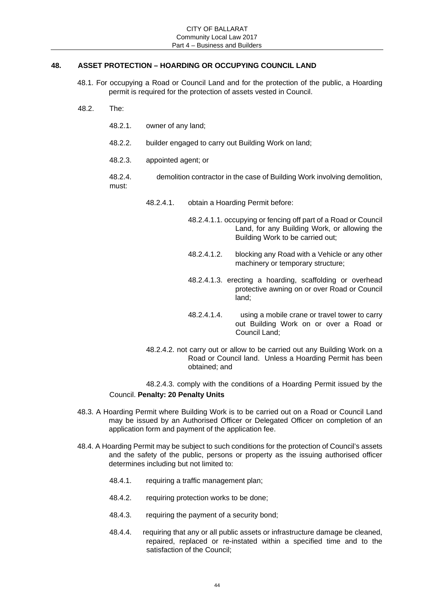# **48. ASSET PROTECTION – HOARDING OR OCCUPYING COUNCIL LAND**

- 48.1. For occupying a Road or Council Land and for the protection of the public, a Hoarding permit is required for the protection of assets vested in Council.
- 48.2. The:
	- 48.2.1. owner of any land;
	- 48.2.2. builder engaged to carry out Building Work on land;
	- 48.2.3. appointed agent; or
	- 48.2.4. demolition contractor in the case of Building Work involving demolition, must:
		- 48.2.4.1. obtain a Hoarding Permit before:
			- 48.2.4.1.1. occupying or fencing off part of a Road or Council Land, for any Building Work, or allowing the Building Work to be carried out;
			- 48.2.4.1.2. blocking any Road with a Vehicle or any other machinery or temporary structure;
			- 48.2.4.1.3. erecting a hoarding, scaffolding or overhead protective awning on or over Road or Council land;
			- 48.2.4.1.4. using a mobile crane or travel tower to carry out Building Work on or over a Road or Council Land;
		- 48.2.4.2. not carry out or allow to be carried out any Building Work on a Road or Council land. Unless a Hoarding Permit has been obtained; and

48.2.4.3. comply with the conditions of a Hoarding Permit issued by the Council. **Penalty: 20 Penalty Units** 

- 48.3. A Hoarding Permit where Building Work is to be carried out on a Road or Council Land may be issued by an Authorised Officer or Delegated Officer on completion of an application form and payment of the application fee.
- 48.4. A Hoarding Permit may be subject to such conditions for the protection of Council's assets and the safety of the public, persons or property as the issuing authorised officer determines including but not limited to:
	- 48.4.1. requiring a traffic management plan;
	- 48.4.2. requiring protection works to be done;
	- 48.4.3. requiring the payment of a security bond;
	- 48.4.4. requiring that any or all public assets or infrastructure damage be cleaned, repaired, replaced or re-instated within a specified time and to the satisfaction of the Council;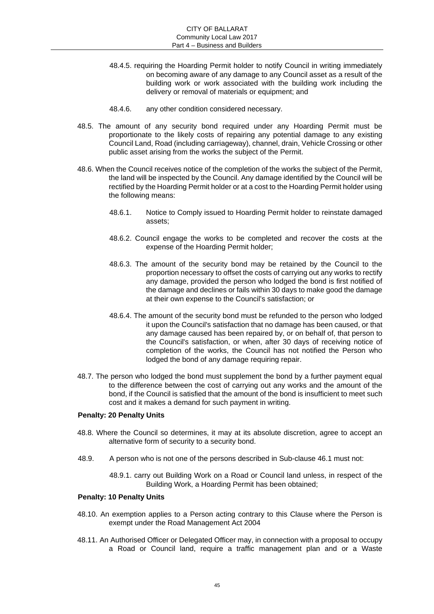- 48.4.5. requiring the Hoarding Permit holder to notify Council in writing immediately on becoming aware of any damage to any Council asset as a result of the building work or work associated with the building work including the delivery or removal of materials or equipment; and
- 48.4.6. any other condition considered necessary.
- 48.5. The amount of any security bond required under any Hoarding Permit must be proportionate to the likely costs of repairing any potential damage to any existing Council Land, Road (including carriageway), channel, drain, Vehicle Crossing or other public asset arising from the works the subject of the Permit.
- 48.6. When the Council receives notice of the completion of the works the subject of the Permit, the land will be inspected by the Council. Any damage identified by the Council will be rectified by the Hoarding Permit holder or at a cost to the Hoarding Permit holder using the following means:
	- 48.6.1. Notice to Comply issued to Hoarding Permit holder to reinstate damaged assets;
	- 48.6.2. Council engage the works to be completed and recover the costs at the expense of the Hoarding Permit holder;
	- 48.6.3. The amount of the security bond may be retained by the Council to the proportion necessary to offset the costs of carrying out any works to rectify any damage, provided the person who lodged the bond is first notified of the damage and declines or fails within 30 days to make good the damage at their own expense to the Council's satisfaction; or
	- 48.6.4. The amount of the security bond must be refunded to the person who lodged it upon the Council's satisfaction that no damage has been caused, or that any damage caused has been repaired by, or on behalf of, that person to the Council's satisfaction, or when, after 30 days of receiving notice of completion of the works, the Council has not notified the Person who lodged the bond of any damage requiring repair.
- 48.7. The person who lodged the bond must supplement the bond by a further payment equal to the difference between the cost of carrying out any works and the amount of the bond, if the Council is satisfied that the amount of the bond is insufficient to meet such cost and it makes a demand for such payment in writing.

#### **Penalty: 20 Penalty Units**

- 48.8. Where the Council so determines, it may at its absolute discretion, agree to accept an alternative form of security to a security bond.
- 48.9. A person who is not one of the persons described in Sub-clause 46.1 must not:

48.9.1. carry out Building Work on a Road or Council land unless, in respect of the Building Work, a Hoarding Permit has been obtained;

#### **Penalty: 10 Penalty Units**

- 48.10. An exemption applies to a Person acting contrary to this Clause where the Person is exempt under the Road Management Act 2004
- 48.11. An Authorised Officer or Delegated Officer may, in connection with a proposal to occupy a Road or Council land, require a traffic management plan and or a Waste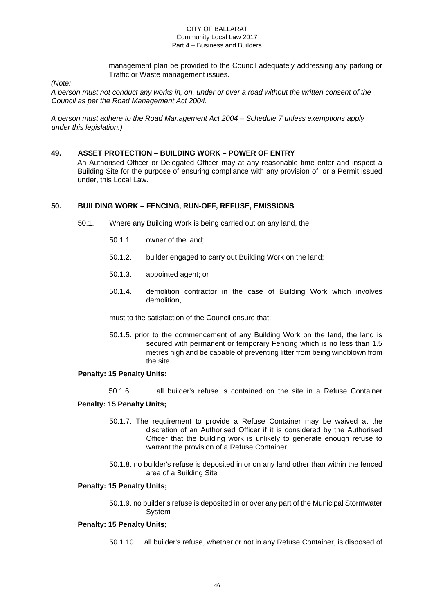management plan be provided to the Council adequately addressing any parking or Traffic or Waste management issues.

*(Note:* 

*A person must not conduct any works in, on, under or over a road without the written consent of the Council as per the Road Management Act 2004.* 

*A person must adhere to the Road Management Act 2004 – Schedule 7 unless exemptions apply under this legislation.)* 

#### **49. ASSET PROTECTION – BUILDING WORK – POWER OF ENTRY**

An Authorised Officer or Delegated Officer may at any reasonable time enter and inspect a Building Site for the purpose of ensuring compliance with any provision of, or a Permit issued under, this Local Law.

#### **50. BUILDING WORK – FENCING, RUN-OFF, REFUSE, EMISSIONS**

- 50.1. Where any Building Work is being carried out on any land, the:
	- 50.1.1. owner of the land;
	- 50.1.2. builder engaged to carry out Building Work on the land;
	- 50.1.3. appointed agent; or
	- 50.1.4. demolition contractor in the case of Building Work which involves demolition,

must to the satisfaction of the Council ensure that:

50.1.5. prior to the commencement of any Building Work on the land, the land is secured with permanent or temporary Fencing which is no less than 1.5 metres high and be capable of preventing litter from being windblown from the site

#### **Penalty: 15 Penalty Units;**

50.1.6. all builder's refuse is contained on the site in a Refuse Container

#### **Penalty: 15 Penalty Units;**

- 50.1.7. The requirement to provide a Refuse Container may be waived at the discretion of an Authorised Officer if it is considered by the Authorised Officer that the building work is unlikely to generate enough refuse to warrant the provision of a Refuse Container
- 50.1.8. no builder's refuse is deposited in or on any land other than within the fenced area of a Building Site

### **Penalty: 15 Penalty Units;**

50.1.9. no builder's refuse is deposited in or over any part of the Municipal Stormwater System

#### **Penalty: 15 Penalty Units;**

50.1.10. all builder's refuse, whether or not in any Refuse Container, is disposed of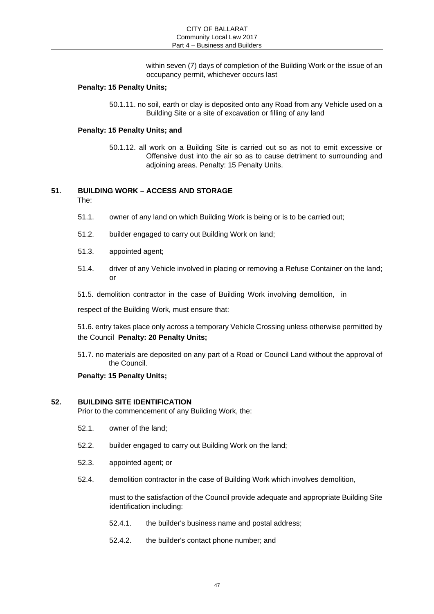within seven (7) days of completion of the Building Work or the issue of an occupancy permit, whichever occurs last

#### **Penalty: 15 Penalty Units;**

50.1.11. no soil, earth or clay is deposited onto any Road from any Vehicle used on a Building Site or a site of excavation or filling of any land

#### **Penalty: 15 Penalty Units; and**

50.1.12. all work on a Building Site is carried out so as not to emit excessive or Offensive dust into the air so as to cause detriment to surrounding and adjoining areas. Penalty: 15 Penalty Units.

# **51. BUILDING WORK – ACCESS AND STORAGE**

The:

- 51.1. owner of any land on which Building Work is being or is to be carried out;
- 51.2. builder engaged to carry out Building Work on land;
- 51.3. appointed agent;
- 51.4. driver of any Vehicle involved in placing or removing a Refuse Container on the land; or
- 51.5. demolition contractor in the case of Building Work involving demolition, in

respect of the Building Work, must ensure that:

51.6. entry takes place only across a temporary Vehicle Crossing unless otherwise permitted by the Council **Penalty: 20 Penalty Units;** 

51.7. no materials are deposited on any part of a Road or Council Land without the approval of the Council.

#### **Penalty: 15 Penalty Units;**

#### **52. BUILDING SITE IDENTIFICATION**

Prior to the commencement of any Building Work, the:

- 52.1. owner of the land;
- 52.2. builder engaged to carry out Building Work on the land;
- 52.3. appointed agent; or
- 52.4. demolition contractor in the case of Building Work which involves demolition,

must to the satisfaction of the Council provide adequate and appropriate Building Site identification including:

- 52.4.1. the builder's business name and postal address;
- 52.4.2. the builder's contact phone number; and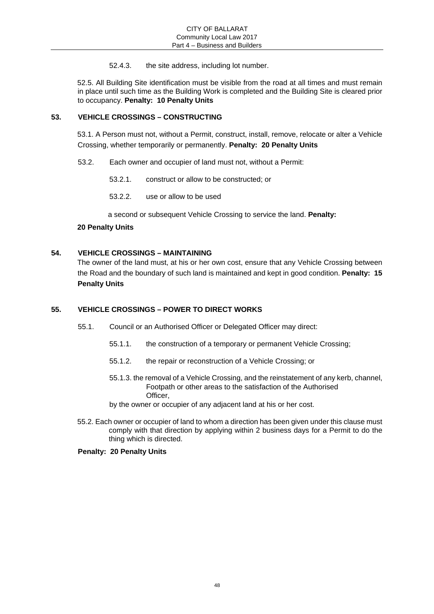52.4.3. the site address, including lot number.

52.5. All Building Site identification must be visible from the road at all times and must remain in place until such time as the Building Work is completed and the Building Site is cleared prior to occupancy. **Penalty: 10 Penalty Units** 

# **53. VEHICLE CROSSINGS – CONSTRUCTING**

53.1. A Person must not, without a Permit, construct, install, remove, relocate or alter a Vehicle Crossing, whether temporarily or permanently. **Penalty: 20 Penalty Units** 

- 53.2. Each owner and occupier of land must not, without a Permit:
	- 53.2.1. construct or allow to be constructed; or
	- 53.2.2. use or allow to be used

a second or subsequent Vehicle Crossing to service the land. **Penalty:** 

# **20 Penalty Units**

# **54. VEHICLE CROSSINGS – MAINTAINING**

The owner of the land must, at his or her own cost, ensure that any Vehicle Crossing between the Road and the boundary of such land is maintained and kept in good condition. **Penalty: 15 Penalty Units** 

# **55. VEHICLE CROSSINGS – POWER TO DIRECT WORKS**

- 55.1. Council or an Authorised Officer or Delegated Officer may direct:
	- 55.1.1. the construction of a temporary or permanent Vehicle Crossing;
	- 55.1.2. the repair or reconstruction of a Vehicle Crossing; or
	- 55.1.3. the removal of a Vehicle Crossing, and the reinstatement of any kerb, channel, Footpath or other areas to the satisfaction of the Authorised Officer,
	- by the owner or occupier of any adjacent land at his or her cost.
- 55.2. Each owner or occupier of land to whom a direction has been given under this clause must comply with that direction by applying within 2 business days for a Permit to do the thing which is directed.

**Penalty: 20 Penalty Units**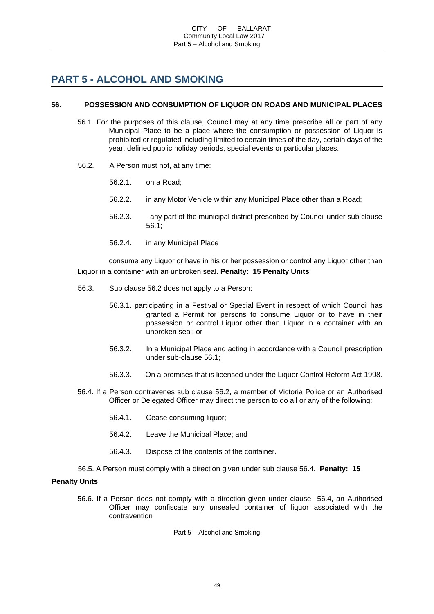# **PART 5 - ALCOHOL AND SMOKING**

# **56. POSSESSION AND CONSUMPTION OF LIQUOR ON ROADS AND MUNICIPAL PLACES**

- 56.1. For the purposes of this clause, Council may at any time prescribe all or part of any Municipal Place to be a place where the consumption or possession of Liquor is prohibited or regulated including limited to certain times of the day, certain days of the year, defined public holiday periods, special events or particular places.
- 56.2. A Person must not, at any time:
	- 56.2.1. on a Road;
	- 56.2.2. in any Motor Vehicle within any Municipal Place other than a Road;
	- 56.2.3. any part of the municipal district prescribed by Council under sub clause 56.1;
	- 56.2.4. in any Municipal Place

consume any Liquor or have in his or her possession or control any Liquor other than Liquor in a container with an unbroken seal. **Penalty: 15 Penalty Units** 

- 56.3. Sub clause 56.2 does not apply to a Person:
	- 56.3.1. participating in a Festival or Special Event in respect of which Council has granted a Permit for persons to consume Liquor or to have in their possession or control Liquor other than Liquor in a container with an unbroken seal; or
	- 56.3.2. In a Municipal Place and acting in accordance with a Council prescription under sub-clause 56.1;
	- 56.3.3. On a premises that is licensed under the Liquor Control Reform Act 1998.
- 56.4. If a Person contravenes sub clause 56.2, a member of Victoria Police or an Authorised Officer or Delegated Officer may direct the person to do all or any of the following:
	- 56.4.1. Cease consuming liquor;
	- 56.4.2. Leave the Municipal Place; and
	- 56.4.3. Dispose of the contents of the container.

56.5. A Person must comply with a direction given under sub clause 56.4. **Penalty: 15** 

# **Penalty Units**

56.6. If a Person does not comply with a direction given under clause 56.4, an Authorised Officer may confiscate any unsealed container of liquor associated with the contravention

Part 5 – Alcohol and Smoking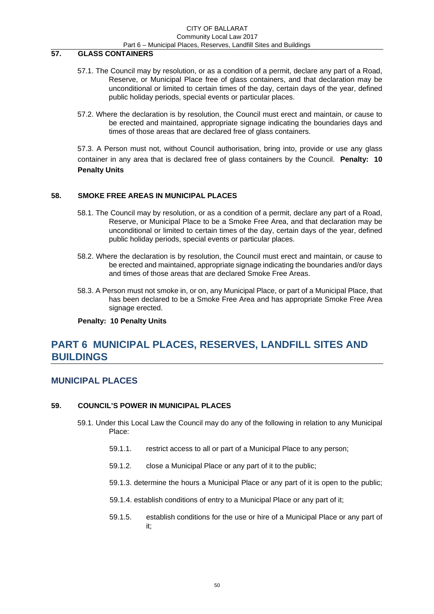#### CITY OF BALLARAT Community Local Law 2017 Part 6 – Municipal Places, Reserves, Landfill Sites and Buildings

# **57. GLASS CONTAINERS**

- 57.1. The Council may by resolution, or as a condition of a permit, declare any part of a Road, Reserve, or Municipal Place free of glass containers, and that declaration may be unconditional or limited to certain times of the day, certain days of the year, defined public holiday periods, special events or particular places.
- 57.2. Where the declaration is by resolution, the Council must erect and maintain, or cause to be erected and maintained, appropriate signage indicating the boundaries days and times of those areas that are declared free of glass containers.

57.3. A Person must not, without Council authorisation, bring into, provide or use any glass container in any area that is declared free of glass containers by the Council. **Penalty: 10 Penalty Units** 

#### **58. SMOKE FREE AREAS IN MUNICIPAL PLACES**

- 58.1. The Council may by resolution, or as a condition of a permit, declare any part of a Road, Reserve, or Municipal Place to be a Smoke Free Area, and that declaration may be unconditional or limited to certain times of the day, certain days of the year, defined public holiday periods, special events or particular places.
- 58.2. Where the declaration is by resolution, the Council must erect and maintain, or cause to be erected and maintained, appropriate signage indicating the boundaries and/or days and times of those areas that are declared Smoke Free Areas.
- 58.3. A Person must not smoke in, or on, any Municipal Place, or part of a Municipal Place, that has been declared to be a Smoke Free Area and has appropriate Smoke Free Area signage erected.

#### **Penalty: 10 Penalty Units**

# **PART 6 MUNICIPAL PLACES, RESERVES, LANDFILL SITES AND BUILDINGS**

# **MUNICIPAL PLACES**

#### **59. COUNCIL'S POWER IN MUNICIPAL PLACES**

- 59.1. Under this Local Law the Council may do any of the following in relation to any Municipal Place:
	- 59.1.1. restrict access to all or part of a Municipal Place to any person;
	- 59.1.2. close a Municipal Place or any part of it to the public;
	- 59.1.3. determine the hours a Municipal Place or any part of it is open to the public;
	- 59.1.4. establish conditions of entry to a Municipal Place or any part of it;
	- 59.1.5. establish conditions for the use or hire of a Municipal Place or any part of it;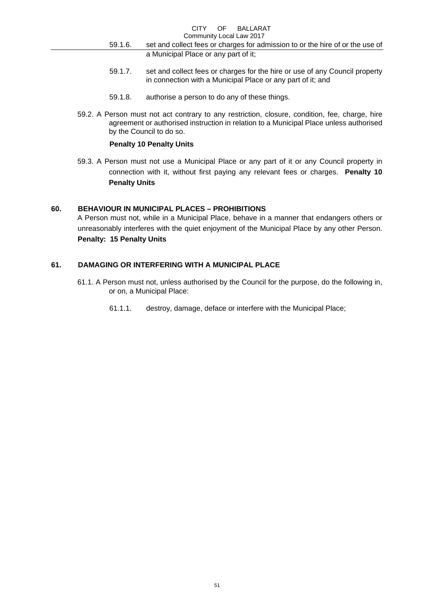- 59.1.6. set and collect fees or charges for admission to or the hire of or the use of a Municipal Place or any part of it;
- 59.1.7. set and collect fees or charges for the hire or use of any Council property in connection with a Municipal Place or any part of it; and
- 59.1.8. authorise a person to do any of these things.
- 59.2. A Person must not act contrary to any restriction, closure, condition, fee, charge, hire agreement or authorised instruction in relation to a Municipal Place unless authorised by the Council to do so.

#### **Penalty 10 Penalty Units**

59.3. A Person must not use a Municipal Place or any part of it or any Council property in connection with it, without first paying any relevant fees or charges. **Penalty 10 Penalty Units** 

#### **60. BEHAVIOUR IN MUNICIPAL PLACES – PROHIBITIONS**

A Person must not, while in a Municipal Place, behave in a manner that endangers others or unreasonably interferes with the quiet enjoyment of the Municipal Place by any other Person. **Penalty: 15 Penalty Units** 

#### **61. DAMAGING OR INTERFERING WITH A MUNICIPAL PLACE**

- 61.1. A Person must not, unless authorised by the Council for the purpose, do the following in, or on, a Municipal Place:
	- 61.1.1. destroy, damage, deface or interfere with the Municipal Place;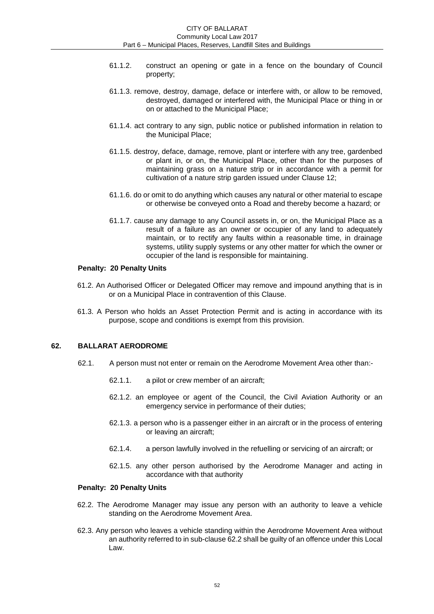- 61.1.2. construct an opening or gate in a fence on the boundary of Council property;
- 61.1.3. remove, destroy, damage, deface or interfere with, or allow to be removed, destroyed, damaged or interfered with, the Municipal Place or thing in or on or attached to the Municipal Place;
- 61.1.4. act contrary to any sign, public notice or published information in relation to the Municipal Place;
- 61.1.5. destroy, deface, damage, remove, plant or interfere with any tree, gardenbed or plant in, or on, the Municipal Place, other than for the purposes of maintaining grass on a nature strip or in accordance with a permit for cultivation of a nature strip garden issued under Clause 12;
- 61.1.6. do or omit to do anything which causes any natural or other material to escape or otherwise be conveyed onto a Road and thereby become a hazard; or
- 61.1.7. cause any damage to any Council assets in, or on, the Municipal Place as a result of a failure as an owner or occupier of any land to adequately maintain, or to rectify any faults within a reasonable time, in drainage systems, utility supply systems or any other matter for which the owner or occupier of the land is responsible for maintaining.

#### **Penalty: 20 Penalty Units**

- 61.2. An Authorised Officer or Delegated Officer may remove and impound anything that is in or on a Municipal Place in contravention of this Clause.
- 61.3. A Person who holds an Asset Protection Permit and is acting in accordance with its purpose, scope and conditions is exempt from this provision.

#### **62. BALLARAT AERODROME**

- 62.1. A person must not enter or remain on the Aerodrome Movement Area other than:-
	- 62.1.1. a pilot or crew member of an aircraft;
	- 62.1.2. an employee or agent of the Council, the Civil Aviation Authority or an emergency service in performance of their duties;
	- 62.1.3. a person who is a passenger either in an aircraft or in the process of entering or leaving an aircraft;
	- 62.1.4. a person lawfully involved in the refuelling or servicing of an aircraft; or
	- 62.1.5. any other person authorised by the Aerodrome Manager and acting in accordance with that authority

#### **Penalty: 20 Penalty Units**

- 62.2. The Aerodrome Manager may issue any person with an authority to leave a vehicle standing on the Aerodrome Movement Area.
- 62.3. Any person who leaves a vehicle standing within the Aerodrome Movement Area without an authority referred to in sub-clause 62.2 shall be guilty of an offence under this Local Law.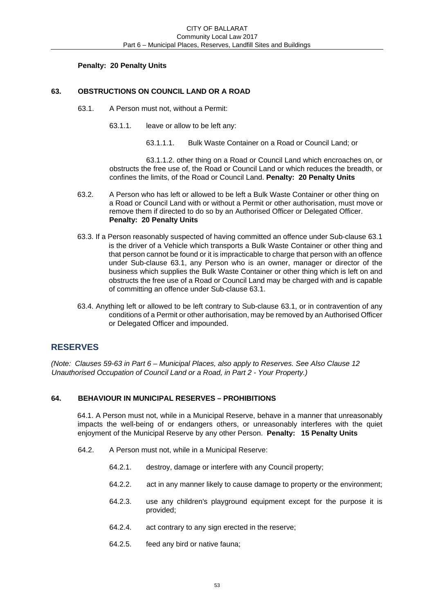### **Penalty: 20 Penalty Units**

# **63. OBSTRUCTIONS ON COUNCIL LAND OR A ROAD**

- 63.1. A Person must not, without a Permit:
	- 63.1.1. leave or allow to be left any:
		- 63.1.1.1. Bulk Waste Container on a Road or Council Land; or

63.1.1.2. other thing on a Road or Council Land which encroaches on, or obstructs the free use of, the Road or Council Land or which reduces the breadth, or confines the limits, of the Road or Council Land. **Penalty: 20 Penalty Units** 

- 63.2. A Person who has left or allowed to be left a Bulk Waste Container or other thing on a Road or Council Land with or without a Permit or other authorisation, must move or remove them if directed to do so by an Authorised Officer or Delegated Officer. **Penalty: 20 Penalty Units**
- 63.3. If a Person reasonably suspected of having committed an offence under Sub-clause 63.1 is the driver of a Vehicle which transports a Bulk Waste Container or other thing and that person cannot be found or it is impracticable to charge that person with an offence under Sub-clause 63.1, any Person who is an owner, manager or director of the business which supplies the Bulk Waste Container or other thing which is left on and obstructs the free use of a Road or Council Land may be charged with and is capable of committing an offence under Sub-clause 63.1.
- 63.4. Anything left or allowed to be left contrary to Sub-clause 63.1, or in contravention of any conditions of a Permit or other authorisation, may be removed by an Authorised Officer or Delegated Officer and impounded.

# **RESERVES**

*(Note: Clauses 59-63 in Part 6 – Municipal Places, also apply to Reserves. See Also Clause 12 Unauthorised Occupation of Council Land or a Road, in Part 2 - Your Property.)* 

# **64. BEHAVIOUR IN MUNICIPAL RESERVES – PROHIBITIONS**

64.1. A Person must not, while in a Municipal Reserve, behave in a manner that unreasonably impacts the well-being of or endangers others, or unreasonably interferes with the quiet enjoyment of the Municipal Reserve by any other Person. **Penalty: 15 Penalty Units** 

- 64.2. A Person must not, while in a Municipal Reserve:
	- 64.2.1. destroy, damage or interfere with any Council property;
	- 64.2.2. act in any manner likely to cause damage to property or the environment;
	- 64.2.3. use any children's playground equipment except for the purpose it is provided;
	- 64.2.4. act contrary to any sign erected in the reserve;
	- 64.2.5. feed any bird or native fauna;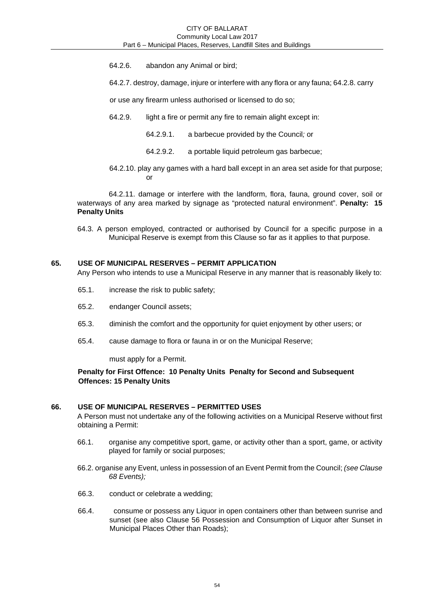- 64.2.6. abandon any Animal or bird;
- 64.2.7. destroy, damage, injure or interfere with any flora or any fauna; 64.2.8. carry
- or use any firearm unless authorised or licensed to do so;
- 64.2.9. light a fire or permit any fire to remain alight except in:
	- 64.2.9.1. a barbecue provided by the Council*;* or
	- 64.2.9.2. a portable liquid petroleum gas barbecue;
- 64.2.10. play any games with a hard ball except in an area set aside for that purpose; or

64.2.11. damage or interfere with the landform, flora, fauna, ground cover, soil or waterways of any area marked by signage as "protected natural environment". **Penalty: 15 Penalty Units** 

64.3. A person employed, contracted or authorised by Council for a specific purpose in a Municipal Reserve is exempt from this Clause so far as it applies to that purpose.

#### **65. USE OF MUNICIPAL RESERVES – PERMIT APPLICATION**

Any Person who intends to use a Municipal Reserve in any manner that is reasonably likely to:

- 65.1. increase the risk to public safety;
- 65.2. endanger Council assets;
- 65.3. diminish the comfort and the opportunity for quiet enjoyment by other users; or
- 65.4. cause damage to flora or fauna in or on the Municipal Reserve;

must apply for a Permit.

# **Penalty for First Offence: 10 Penalty Units Penalty for Second and Subsequent Offences: 15 Penalty Units**

#### **66. USE OF MUNICIPAL RESERVES – PERMITTED USES**

A Person must not undertake any of the following activities on a Municipal Reserve without first obtaining a Permit:

- 66.1. organise any competitive sport, game, or activity other than a sport, game, or activity played for family or social purposes;
- 66.2. organise any Event, unless in possession of an Event Permit from the Council; *(see Clause 68 Events);*
- 66.3. conduct or celebrate a wedding;
- 66.4. consume or possess any Liquor in open containers other than between sunrise and sunset (see also Clause 56 Possession and Consumption of Liquor after Sunset in Municipal Places Other than Roads);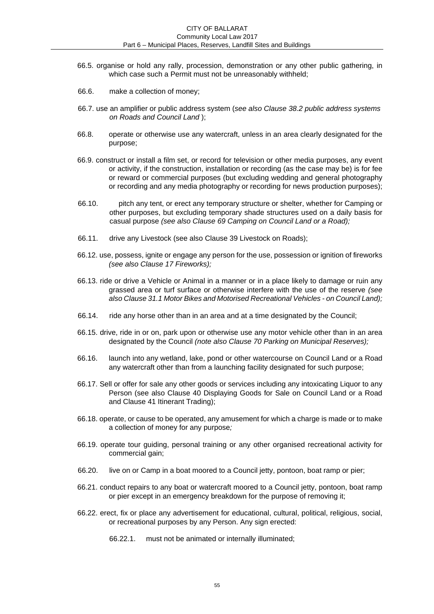- 66.5. organise or hold any rally, procession, demonstration or any other public gathering, in which case such a Permit must not be unreasonably withheld;
- 66.6. make a collection of money;
- 66.7. use an amplifier or public address system (*see also Clause 38.2 public address systems on Roads and Council Land* );
- 66.8. operate or otherwise use any watercraft, unless in an area clearly designated for the purpose;
- 66.9. construct or install a film set, or record for television or other media purposes, any event or activity, if the construction, installation or recording (as the case may be) is for fee or reward or commercial purposes (but excluding wedding and general photography or recording and any media photography or recording for news production purposes);
- 66.10. pitch any tent, or erect any temporary structure or shelter, whether for Camping or other purposes, but excluding temporary shade structures used on a daily basis for casual purpose *(see also Clause 69 Camping on Council Land or a Road);*
- 66.11. drive any Livestock (see also Clause 39 Livestock on Roads);
- 66.12. use, possess, ignite or engage any person for the use, possession or ignition of fireworks *(see also Clause 17 Fireworks);*
- 66.13. ride or drive a Vehicle or Animal in a manner or in a place likely to damage or ruin any grassed area or turf surface or otherwise interfere with the use of the reserve *(see also Clause 31.1 Motor Bikes and Motorised Recreational Vehicles - on Council Land);*
- 66.14. ride any horse other than in an area and at a time designated by the Council;
- 66.15. drive, ride in or on, park upon or otherwise use any motor vehicle other than in an area designated by the Council *(note also Clause 70 Parking on Municipal Reserves);*
- 66.16. launch into any wetland, lake, pond or other watercourse on Council Land or a Road any watercraft other than from a launching facility designated for such purpose;
- 66.17. Sell or offer for sale any other goods or services including any intoxicating Liquor to any Person (see also Clause 40 Displaying Goods for Sale on Council Land or a Road and Clause 41 Itinerant Trading);
- 66.18. operate, or cause to be operated, any amusement for which a charge is made or to make a collection of money for any purpose*;*
- 66.19. operate tour guiding, personal training or any other organised recreational activity for commercial gain;
- 66.20. live on or Camp in a boat moored to a Council jetty, pontoon, boat ramp or pier;
- 66.21. conduct repairs to any boat or watercraft moored to a Council jetty, pontoon, boat ramp or pier except in an emergency breakdown for the purpose of removing it;
- 66.22. erect, fix or place any advertisement for educational, cultural, political, religious, social, or recreational purposes by any Person. Any sign erected:
	- 66.22.1. must not be animated or internally illuminated;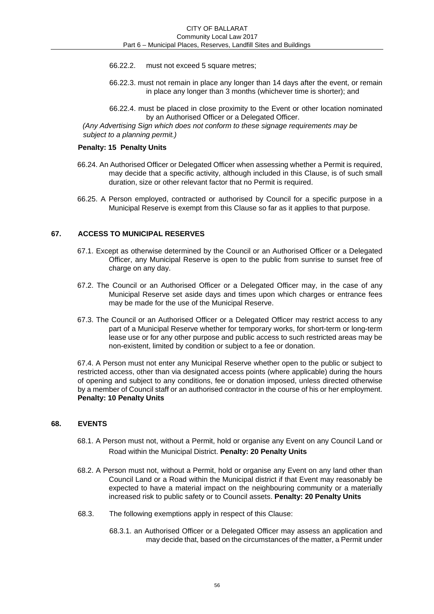- 66.22.2. must not exceed 5 square metres;
- 66.22.3. must not remain in place any longer than 14 days after the event, or remain in place any longer than 3 months (whichever time is shorter); and
- 66.22.4. must be placed in close proximity to the Event or other location nominated by an Authorised Officer or a Delegated Officer.

*(Any Advertising Sign which does not conform to these signage requirements may be subject to a planning permit.)* 

#### **Penalty: 15 Penalty Units**

- 66.24. An Authorised Officer or Delegated Officer when assessing whether a Permit is required, may decide that a specific activity, although included in this Clause, is of such small duration, size or other relevant factor that no Permit is required.
- 66.25. A Person employed, contracted or authorised by Council for a specific purpose in a Municipal Reserve is exempt from this Clause so far as it applies to that purpose.

#### **67. ACCESS TO MUNICIPAL RESERVES**

- 67.1. Except as otherwise determined by the Council or an Authorised Officer or a Delegated Officer, any Municipal Reserve is open to the public from sunrise to sunset free of charge on any day.
- 67.2. The Council or an Authorised Officer or a Delegated Officer may, in the case of any Municipal Reserve set aside days and times upon which charges or entrance fees may be made for the use of the Municipal Reserve.
- 67.3. The Council or an Authorised Officer or a Delegated Officer may restrict access to any part of a Municipal Reserve whether for temporary works, for short-term or long-term lease use or for any other purpose and public access to such restricted areas may be non-existent, limited by condition or subject to a fee or donation.

67.4. A Person must not enter any Municipal Reserve whether open to the public or subject to restricted access, other than via designated access points (where applicable) during the hours of opening and subject to any conditions, fee or donation imposed, unless directed otherwise by a member of Council staff or an authorised contractor in the course of his or her employment. **Penalty: 10 Penalty Units** 

# **68. EVENTS**

- 68.1. A Person must not, without a Permit, hold or organise any Event on any Council Land or Road within the Municipal District. **Penalty: 20 Penalty Units**
- 68.2. A Person must not, without a Permit, hold or organise any Event on any land other than Council Land or a Road within the Municipal district if that Event may reasonably be expected to have a material impact on the neighbouring community or a materially increased risk to public safety or to Council assets. **Penalty: 20 Penalty Units**
- 68.3. The following exemptions apply in respect of this Clause:
	- 68.3.1. an Authorised Officer or a Delegated Officer may assess an application and may decide that, based on the circumstances of the matter, a Permit under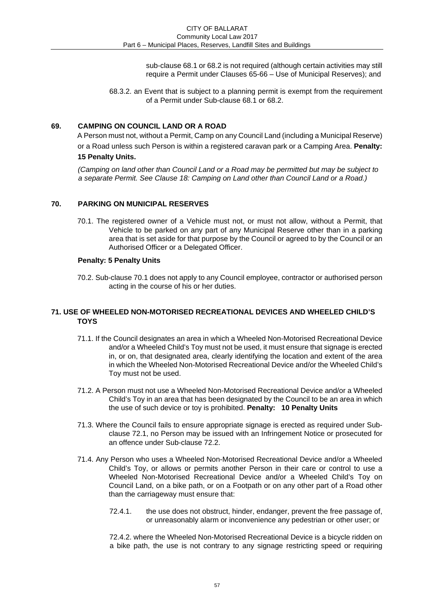sub-clause 68.1 or 68.2 is not required (although certain activities may still require a Permit under Clauses 65-66 – Use of Municipal Reserves); and

68.3.2. an Event that is subject to a planning permit is exempt from the requirement of a Permit under Sub-clause 68.1 or 68.2.

# **69. CAMPING ON COUNCIL LAND OR A ROAD**

A Person must not, without a Permit, Camp on any Council Land (including a Municipal Reserve) or a Road unless such Person is within a registered caravan park or a Camping Area. **Penalty: 15 Penalty Units.** 

*(Camping on land other than Council Land or a Road may be permitted but may be subject to a separate Permit. See Clause 18: Camping on Land other than Council Land or a Road.)* 

# **70. PARKING ON MUNICIPAL RESERVES**

70.1. The registered owner of a Vehicle must not, or must not allow, without a Permit, that Vehicle to be parked on any part of any Municipal Reserve other than in a parking area that is set aside for that purpose by the Council or agreed to by the Council or an Authorised Officer or a Delegated Officer.

# **Penalty: 5 Penalty Units**

70.2. Sub-clause 70.1 does not apply to any Council employee, contractor or authorised person acting in the course of his or her duties.

# **71. USE OF WHEELED NON-MOTORISED RECREATIONAL DEVICES AND WHEELED CHILD'S TOYS**

- 71.1. If the Council designates an area in which a Wheeled Non-Motorised Recreational Device and/or a Wheeled Child's Toy must not be used, it must ensure that signage is erected in, or on, that designated area, clearly identifying the location and extent of the area in which the Wheeled Non-Motorised Recreational Device and/or the Wheeled Child's Toy must not be used.
- 71.2. A Person must not use a Wheeled Non-Motorised Recreational Device and/or a Wheeled Child's Toy in an area that has been designated by the Council to be an area in which the use of such device or toy is prohibited. **Penalty: 10 Penalty Units**
- 71.3. Where the Council fails to ensure appropriate signage is erected as required under Subclause 72.1, no Person may be issued with an Infringement Notice or prosecuted for an offence under Sub-clause 72.2.
- 71.4. Any Person who uses a Wheeled Non-Motorised Recreational Device and/or a Wheeled Child's Toy, or allows or permits another Person in their care or control to use a Wheeled Non-Motorised Recreational Device and/or a Wheeled Child's Toy on Council Land, on a bike path, or on a Footpath or on any other part of a Road other than the carriageway must ensure that:
	- 72.4.1. the use does not obstruct, hinder, endanger, prevent the free passage of, or unreasonably alarm or inconvenience any pedestrian or other user; or

72.4.2. where the Wheeled Non-Motorised Recreational Device is a bicycle ridden on a bike path, the use is not contrary to any signage restricting speed or requiring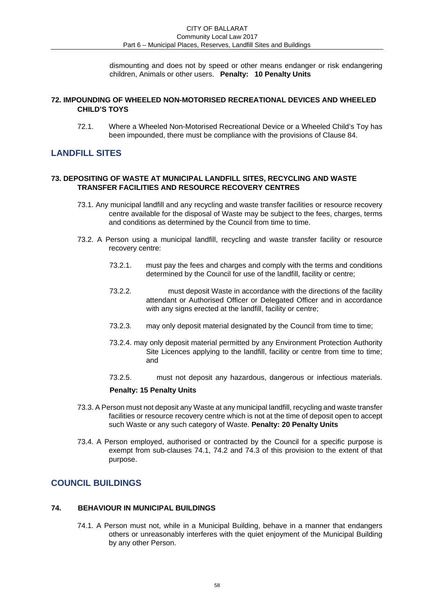dismounting and does not by speed or other means endanger or risk endangering children, Animals or other users. **Penalty: 10 Penalty Units** 

# **72. IMPOUNDING OF WHEELED NON-MOTORISED RECREATIONAL DEVICES AND WHEELED CHILD'S TOYS**

72.1. Where a Wheeled Non-Motorised Recreational Device or a Wheeled Child's Toy has been impounded, there must be compliance with the provisions of Clause 84.

# **LANDFILL SITES**

### **73. DEPOSITING OF WASTE AT MUNICIPAL LANDFILL SITES, RECYCLING AND WASTE TRANSFER FACILITIES AND RESOURCE RECOVERY CENTRES**

- 73.1. Any municipal landfill and any recycling and waste transfer facilities or resource recovery centre available for the disposal of Waste may be subject to the fees, charges, terms and conditions as determined by the Council from time to time.
- 73.2. A Person using a municipal landfill, recycling and waste transfer facility or resource recovery centre:
	- 73.2.1. must pay the fees and charges and comply with the terms and conditions determined by the Council for use of the landfill, facility or centre;
	- 73.2.2. must deposit Waste in accordance with the directions of the facility attendant or Authorised Officer or Delegated Officer and in accordance with any signs erected at the landfill, facility or centre;
	- 73.2.3. may only deposit material designated by the Council from time to time;
	- 73.2.4. may only deposit material permitted by any Environment Protection Authority Site Licences applying to the landfill, facility or centre from time to time; and
	- 73.2.5. must not deposit any hazardous, dangerous or infectious materials.

# **Penalty: 15 Penalty Units**

- 73.3. A Person must not deposit any Waste at any municipal landfill, recycling and waste transfer facilities or resource recovery centre which is not at the time of deposit open to accept such Waste or any such category of Waste. **Penalty: 20 Penalty Units**
- 73.4. A Person employed, authorised or contracted by the Council for a specific purpose is exempt from sub-clauses 74.1, 74.2 and 74.3 of this provision to the extent of that purpose.

# **COUNCIL BUILDINGS**

# **74. BEHAVIOUR IN MUNICIPAL BUILDINGS**

74.1. A Person must not, while in a Municipal Building, behave in a manner that endangers others or unreasonably interferes with the quiet enjoyment of the Municipal Building by any other Person.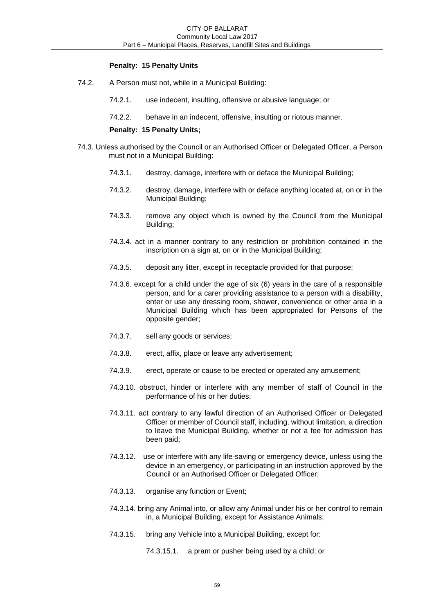# **Penalty: 15 Penalty Units**

- 74.2. A Person must not, while in a Municipal Building:
	- 74.2.1. use indecent, insulting, offensive or abusive language; or
	- 74.2.2. behave in an indecent, offensive, insulting or riotous manner.

#### **Penalty: 15 Penalty Units;**

- 74.3. Unless authorised by the Council or an Authorised Officer or Delegated Officer, a Person must not in a Municipal Building:
	- 74.3.1. destroy, damage, interfere with or deface the Municipal Building;
	- 74.3.2. destroy, damage, interfere with or deface anything located at, on or in the Municipal Building;
	- 74.3.3. remove any object which is owned by the Council from the Municipal Building;
	- 74.3.4. act in a manner contrary to any restriction or prohibition contained in the inscription on a sign at, on or in the Municipal Building;
	- 74.3.5. deposit any litter, except in receptacle provided for that purpose;
	- 74.3.6. except for a child under the age of six (6) years in the care of a responsible person, and for a carer providing assistance to a person with a disability, enter or use any dressing room, shower, convenience or other area in a Municipal Building which has been appropriated for Persons of the opposite gender;
	- 74.3.7. sell any goods or services;
	- 74.3.8. erect, affix, place or leave any advertisement;
	- 74.3.9. erect, operate or cause to be erected or operated any amusement;
	- 74.3.10. obstruct, hinder or interfere with any member of staff of Council in the performance of his or her duties;
	- 74.3.11. act contrary to any lawful direction of an Authorised Officer or Delegated Officer or member of Council staff, including, without limitation, a direction to leave the Municipal Building, whether or not a fee for admission has been paid;
	- 74.3.12. use or interfere with any life-saving or emergency device, unless using the device in an emergency, or participating in an instruction approved by the Council or an Authorised Officer or Delegated Officer;
	- 74.3.13. organise any function or Event;
	- 74.3.14. bring any Animal into, or allow any Animal under his or her control to remain in, a Municipal Building, except for Assistance Animals;
	- 74.3.15. bring any Vehicle into a Municipal Building, except for:

74.3.15.1. a pram or pusher being used by a child; or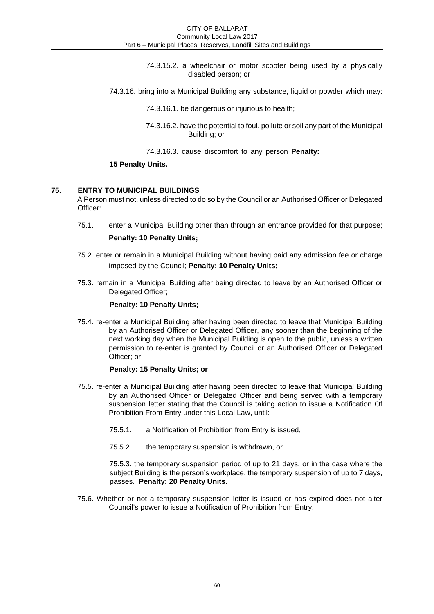- 74.3.15.2. a wheelchair or motor scooter being used by a physically disabled person; or
- 74.3.16. bring into a Municipal Building any substance, liquid or powder which may:

74.3.16.1. be dangerous or injurious to health;

74.3.16.2. have the potential to foul, pollute or soil any part of the Municipal Building; or

74.3.16.3. cause discomfort to any person **Penalty:** 

### **15 Penalty Units.**

# **75. ENTRY TO MUNICIPAL BUILDINGS**

A Person must not, unless directed to do so by the Council or an Authorised Officer or Delegated Officer:

75.1. enter a Municipal Building other than through an entrance provided for that purpose;

# **Penalty: 10 Penalty Units;**

- 75.2. enter or remain in a Municipal Building without having paid any admission fee or charge imposed by the Council; **Penalty: 10 Penalty Units;**
- 75.3. remain in a Municipal Building after being directed to leave by an Authorised Officer or Delegated Officer:

#### **Penalty: 10 Penalty Units;**

75.4. re-enter a Municipal Building after having been directed to leave that Municipal Building by an Authorised Officer or Delegated Officer, any sooner than the beginning of the next working day when the Municipal Building is open to the public, unless a written permission to re-enter is granted by Council or an Authorised Officer or Delegated Officer; or

#### **Penalty: 15 Penalty Units; or**

- 75.5. re-enter a Municipal Building after having been directed to leave that Municipal Building by an Authorised Officer or Delegated Officer and being served with a temporary suspension letter stating that the Council is taking action to issue a Notification Of Prohibition From Entry under this Local Law, until:
	- 75.5.1. a Notification of Prohibition from Entry is issued,
	- 75.5.2. the temporary suspension is withdrawn, or

75.5.3. the temporary suspension period of up to 21 days, or in the case where the subject Building is the person's workplace, the temporary suspension of up to 7 days, passes. **Penalty: 20 Penalty Units.** 

75.6. Whether or not a temporary suspension letter is issued or has expired does not alter Council's power to issue a Notification of Prohibition from Entry.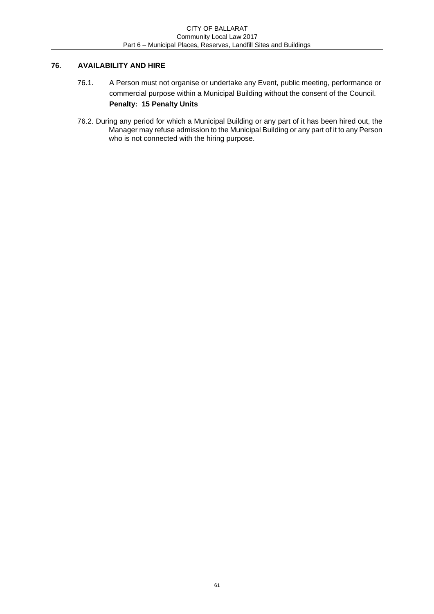# **76. AVAILABILITY AND HIRE**

- 76.1. A Person must not organise or undertake any Event, public meeting, performance or commercial purpose within a Municipal Building without the consent of the Council. **Penalty: 15 Penalty Units**
- 76.2. During any period for which a Municipal Building or any part of it has been hired out, the Manager may refuse admission to the Municipal Building or any part of it to any Person who is not connected with the hiring purpose.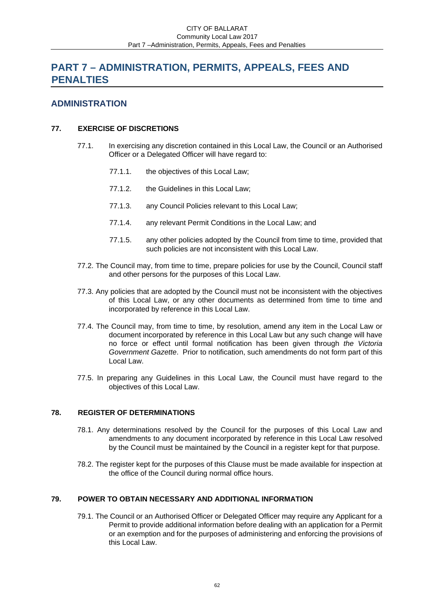# **PART 7 – ADMINISTRATION, PERMITS, APPEALS, FEES AND PENALTIES**

# **ADMINISTRATION**

# **77. EXERCISE OF DISCRETIONS**

- 77.1. In exercising any discretion contained in this Local Law, the Council or an Authorised Officer or a Delegated Officer will have regard to:
	- 77.1.1. the objectives of this Local Law;
	- 77.1.2. the Guidelines in this Local Law;
	- 77.1.3. any Council Policies relevant to this Local Law;
	- 77.1.4. any relevant Permit Conditions in the Local Law; and
	- 77.1.5. any other policies adopted by the Council from time to time, provided that such policies are not inconsistent with this Local Law.
- 77.2. The Council may, from time to time, prepare policies for use by the Council, Council staff and other persons for the purposes of this Local Law.
- 77.3. Any policies that are adopted by the Council must not be inconsistent with the objectives of this Local Law, or any other documents as determined from time to time and incorporated by reference in this Local Law.
- 77.4. The Council may, from time to time, by resolution, amend any item in the Local Law or document incorporated by reference in this Local Law but any such change will have no force or effect until formal notification has been given through *the Victoria Government Gazette*. Prior to notification, such amendments do not form part of this Local Law.
- 77.5. In preparing any Guidelines in this Local Law, the Council must have regard to the objectives of this Local Law.

# **78. REGISTER OF DETERMINATIONS**

- 78.1. Any determinations resolved by the Council for the purposes of this Local Law and amendments to any document incorporated by reference in this Local Law resolved by the Council must be maintained by the Council in a register kept for that purpose.
- 78.2. The register kept for the purposes of this Clause must be made available for inspection at the office of the Council during normal office hours.

# **79. POWER TO OBTAIN NECESSARY AND ADDITIONAL INFORMATION**

79.1. The Council or an Authorised Officer or Delegated Officer may require any Applicant for a Permit to provide additional information before dealing with an application for a Permit or an exemption and for the purposes of administering and enforcing the provisions of this Local Law.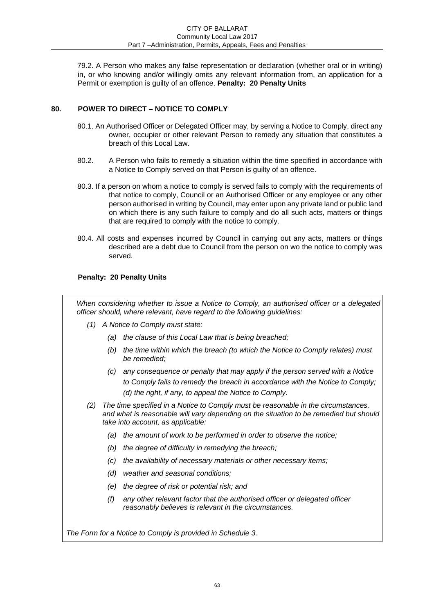79.2. A Person who makes any false representation or declaration (whether oral or in writing) in, or who knowing and/or willingly omits any relevant information from, an application for a Permit or exemption is guilty of an offence. **Penalty: 20 Penalty Units** 

# **80. POWER TO DIRECT – NOTICE TO COMPLY**

- 80.1. An Authorised Officer or Delegated Officer may, by serving a Notice to Comply, direct any owner, occupier or other relevant Person to remedy any situation that constitutes a breach of this Local Law.
- 80.2. A Person who fails to remedy a situation within the time specified in accordance with a Notice to Comply served on that Person is guilty of an offence.
- 80.3. If a person on whom a notice to comply is served fails to comply with the requirements of that notice to comply, Council or an Authorised Officer or any employee or any other person authorised in writing by Council, may enter upon any private land or public land on which there is any such failure to comply and do all such acts, matters or things that are required to comply with the notice to comply.
- 80.4. All costs and expenses incurred by Council in carrying out any acts, matters or things described are a debt due to Council from the person on wo the notice to comply was served.

# **Penalty: 20 Penalty Units**

*When considering whether to issue a Notice to Comply, an authorised officer or a delegated officer should, where relevant, have regard to the following guidelines:* 

- *(1) A Notice to Comply must state:* 
	- *(a) the clause of this Local Law that is being breached;*
	- *(b) the time within which the breach (to which the Notice to Comply relates) must be remedied;*
	- *(c) any consequence or penalty that may apply if the person served with a Notice to Comply fails to remedy the breach in accordance with the Notice to Comply; (d) the right, if any, to appeal the Notice to Comply.*
- *(2) The time specified in a Notice to Comply must be reasonable in the circumstances, and what is reasonable will vary depending on the situation to be remedied but should take into account, as applicable:* 
	- *(a) the amount of work to be performed in order to observe the notice;*
	- *(b) the degree of difficulty in remedying the breach;*
	- *(c) the availability of necessary materials or other necessary items;*
	- *(d) weather and seasonal conditions;*
	- *(e) the degree of risk or potential risk; and*
	- *(f) any other relevant factor that the authorised officer or delegated officer reasonably believes is relevant in the circumstances.*

*The Form for a Notice to Comply is provided in Schedule 3.*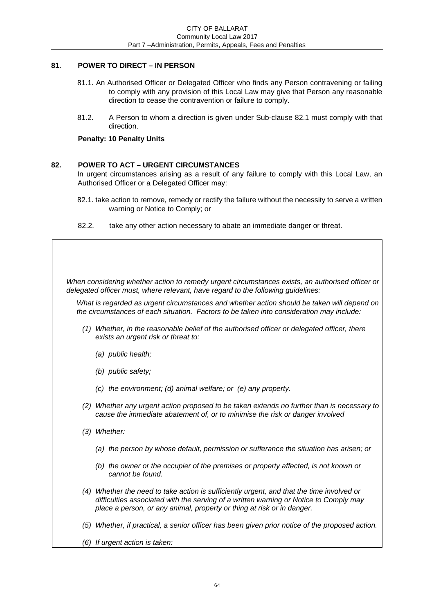# **81. POWER TO DIRECT – IN PERSON**

- 81.1. An Authorised Officer or Delegated Officer who finds any Person contravening or failing to comply with any provision of this Local Law may give that Person any reasonable direction to cease the contravention or failure to comply.
- 81.2. A Person to whom a direction is given under Sub-clause 82.1 must comply with that direction.

# **Penalty: 10 Penalty Units**

# **82. POWER TO ACT – URGENT CIRCUMSTANCES**

In urgent circumstances arising as a result of any failure to comply with this Local Law, an Authorised Officer or a Delegated Officer may:

- 82.1. take action to remove, remedy or rectify the failure without the necessity to serve a written warning or Notice to Comply; or
- 82.2. take any other action necessary to abate an immediate danger or threat.

*When considering whether action to remedy urgent circumstances exists, an authorised officer or delegated officer must, where relevant, have regard to the following guidelines:* 

*What is regarded as urgent circumstances and whether action should be taken will depend on the circumstances of each situation. Factors to be taken into consideration may include:* 

- *(1) Whether, in the reasonable belief of the authorised officer or delegated officer, there exists an urgent risk or threat to:*
	- *(a) public health;*
	- *(b) public safety;*
	- *(c) the environment; (d) animal welfare; or (e) any property.*
- *(2) Whether any urgent action proposed to be taken extends no further than is necessary to cause the immediate abatement of, or to minimise the risk or danger involved*
- *(3) Whether:* 
	- *(a) the person by whose default, permission or sufferance the situation has arisen; or*
	- *(b) the owner or the occupier of the premises or property affected, is not known or cannot be found.*
- *(4) Whether the need to take action is sufficiently urgent, and that the time involved or difficulties associated with the serving of a written warning or Notice to Comply may place a person, or any animal, property or thing at risk or in danger.*
- *(5) Whether, if practical, a senior officer has been given prior notice of the proposed action.*
- *(6) If urgent action is taken:*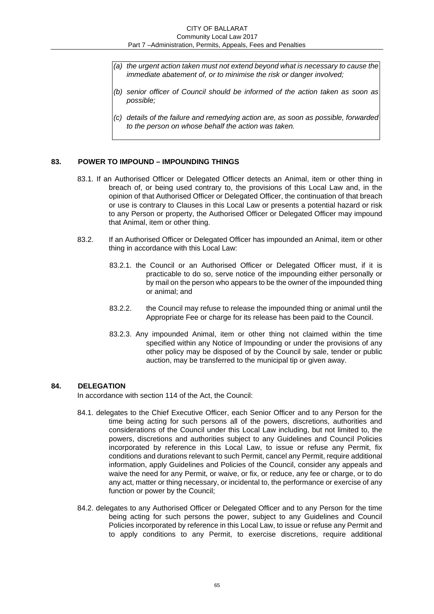- *(a) the urgent action taken must not extend beyond what is necessary to cause the immediate abatement of, or to minimise the risk or danger involved;*
- *(b) senior officer of Council should be informed of the action taken as soon as possible;*
- *(c) details of the failure and remedying action are, as soon as possible, forwarded to the person on whose behalf the action was taken.*

#### **83. POWER TO IMPOUND – IMPOUNDING THINGS**

- 83.1. If an Authorised Officer or Delegated Officer detects an Animal, item or other thing in breach of, or being used contrary to, the provisions of this Local Law and, in the opinion of that Authorised Officer or Delegated Officer, the continuation of that breach or use is contrary to Clauses in this Local Law or presents a potential hazard or risk to any Person or property, the Authorised Officer or Delegated Officer may impound that Animal, item or other thing.
- 83.2. If an Authorised Officer or Delegated Officer has impounded an Animal, item or other thing in accordance with this Local Law:
	- 83.2.1. the Council or an Authorised Officer or Delegated Officer must, if it is practicable to do so, serve notice of the impounding either personally or by mail on the person who appears to be the owner of the impounded thing or animal; and
	- 83.2.2. the Council may refuse to release the impounded thing or animal until the Appropriate Fee or charge for its release has been paid to the Council.
	- 83.2.3. Any impounded Animal, item or other thing not claimed within the time specified within any Notice of Impounding or under the provisions of any other policy may be disposed of by the Council by sale, tender or public auction, may be transferred to the municipal tip or given away.

#### **84. DELEGATION**

In accordance with section 114 of the Act, the Council:

- 84.1. delegates to the Chief Executive Officer, each Senior Officer and to any Person for the time being acting for such persons all of the powers, discretions, authorities and considerations of the Council under this Local Law including, but not limited to, the powers, discretions and authorities subject to any Guidelines and Council Policies incorporated by reference in this Local Law, to issue or refuse any Permit, fix conditions and durations relevant to such Permit, cancel any Permit, require additional information, apply Guidelines and Policies of the Council, consider any appeals and waive the need for any Permit, or waive, or fix, or reduce, any fee or charge, or to do any act, matter or thing necessary, or incidental to, the performance or exercise of any function or power by the Council;
- 84.2. delegates to any Authorised Officer or Delegated Officer and to any Person for the time being acting for such persons the power, subject to any Guidelines and Council Policies incorporated by reference in this Local Law, to issue or refuse any Permit and to apply conditions to any Permit, to exercise discretions, require additional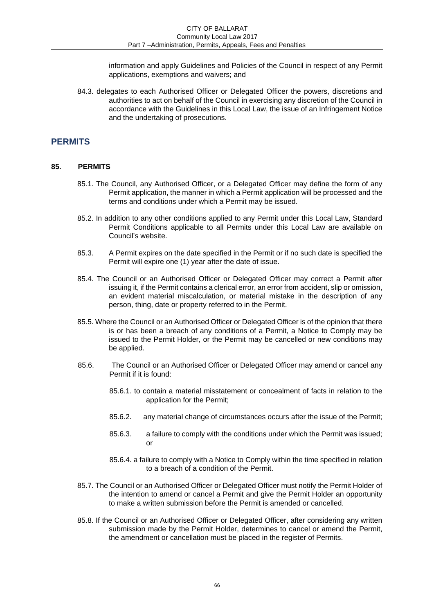information and apply Guidelines and Policies of the Council in respect of any Permit applications, exemptions and waivers; and

84.3. delegates to each Authorised Officer or Delegated Officer the powers, discretions and authorities to act on behalf of the Council in exercising any discretion of the Council in accordance with the Guidelines in this Local Law, the issue of an Infringement Notice and the undertaking of prosecutions.

# **PERMITS**

#### **85. PERMITS**

- 85.1. The Council, any Authorised Officer, or a Delegated Officer may define the form of any Permit application, the manner in which a Permit application will be processed and the terms and conditions under which a Permit may be issued.
- 85.2. In addition to any other conditions applied to any Permit under this Local Law, Standard Permit Conditions applicable to all Permits under this Local Law are available on Council's website.
- 85.3. A Permit expires on the date specified in the Permit or if no such date is specified the Permit will expire one (1) year after the date of issue.
- 85.4. The Council or an Authorised Officer or Delegated Officer may correct a Permit after issuing it, if the Permit contains a clerical error, an error from accident, slip or omission, an evident material miscalculation, or material mistake in the description of any person, thing, date or property referred to in the Permit.
- 85.5. Where the Council or an Authorised Officer or Delegated Officer is of the opinion that there is or has been a breach of any conditions of a Permit, a Notice to Comply may be issued to the Permit Holder, or the Permit may be cancelled or new conditions may be applied.
- 85.6. The Council or an Authorised Officer or Delegated Officer may amend or cancel any Permit if it is found:
	- 85.6.1. to contain a material misstatement or concealment of facts in relation to the application for the Permit;
	- 85.6.2. any material change of circumstances occurs after the issue of the Permit;
	- 85.6.3. a failure to comply with the conditions under which the Permit was issued; or
	- 85.6.4. a failure to comply with a Notice to Comply within the time specified in relation to a breach of a condition of the Permit.
- 85.7. The Council or an Authorised Officer or Delegated Officer must notify the Permit Holder of the intention to amend or cancel a Permit and give the Permit Holder an opportunity to make a written submission before the Permit is amended or cancelled.
- 85.8. If the Council or an Authorised Officer or Delegated Officer, after considering any written submission made by the Permit Holder, determines to cancel or amend the Permit, the amendment or cancellation must be placed in the register of Permits.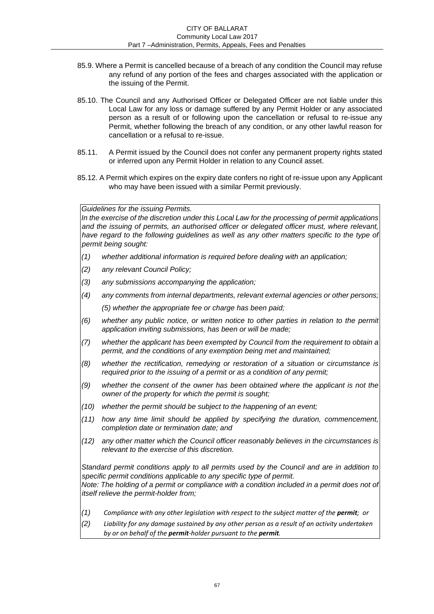- 85.9. Where a Permit is cancelled because of a breach of any condition the Council may refuse any refund of any portion of the fees and charges associated with the application or the issuing of the Permit.
- 85.10. The Council and any Authorised Officer or Delegated Officer are not liable under this Local Law for any loss or damage suffered by any Permit Holder or any associated person as a result of or following upon the cancellation or refusal to re-issue any Permit, whether following the breach of any condition, or any other lawful reason for cancellation or a refusal to re-issue.
- 85.11. A Permit issued by the Council does not confer any permanent property rights stated or inferred upon any Permit Holder in relation to any Council asset.
- 85.12. A Permit which expires on the expiry date confers no right of re-issue upon any Applicant who may have been issued with a similar Permit previously.

*Guidelines for the issuing Permits.* 

*In the exercise of the discretion under this Local Law for the processing of permit applications and the issuing of permits, an authorised officer or delegated officer must, where relevant,*  have regard to the following guidelines as well as any other matters specific to the type of *permit being sought:* 

- *(1) whether additional information is required before dealing with an application;*
- *(2) any relevant Council Policy;*
- *(3) any submissions accompanying the application;*
- *(4) any comments from internal departments, relevant external agencies or other persons; (5) whether the appropriate fee or charge has been paid;*
- *(6) whether any public notice, or written notice to other parties in relation to the permit application inviting submissions, has been or will be made;*
- *(7) whether the applicant has been exempted by Council from the requirement to obtain a permit, and the conditions of any exemption being met and maintained;*
- *(8) whether the rectification, remedying or restoration of a situation or circumstance is required prior to the issuing of a permit or as a condition of any permit;*
- *(9) whether the consent of the owner has been obtained where the applicant is not the owner of the property for which the permit is sought;*
- *(10) whether the permit should be subject to the happening of an event;*
- *(11) how any time limit should be applied by specifying the duration, commencement, completion date or termination date; and*
- *(12) any other matter which the Council officer reasonably believes in the circumstances is relevant to the exercise of this discretion.*

*Standard permit conditions apply to all permits used by the Council and are in addition to specific permit conditions applicable to any specific type of permit. Note: The holding of a permit or compliance with a condition included in a permit does not of itself relieve the permit-holder from;* 

- *(1) Compliance with any other legislation with respect to the subject matter of the permit; or*
- *(2) Liability for any damage sustained by any other person as a result of an activity undertaken by or on behalf of the permit-holder pursuant to the permit.*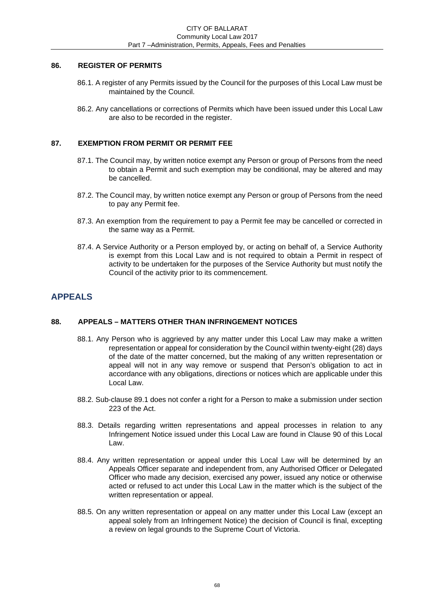# **86. REGISTER OF PERMITS**

- 86.1. A register of any Permits issued by the Council for the purposes of this Local Law must be maintained by the Council.
- 86.2. Any cancellations or corrections of Permits which have been issued under this Local Law are also to be recorded in the register.

# **87. EXEMPTION FROM PERMIT OR PERMIT FEE**

- 87.1. The Council may, by written notice exempt any Person or group of Persons from the need to obtain a Permit and such exemption may be conditional, may be altered and may be cancelled.
- 87.2. The Council may, by written notice exempt any Person or group of Persons from the need to pay any Permit fee.
- 87.3. An exemption from the requirement to pay a Permit fee may be cancelled or corrected in the same way as a Permit.
- 87.4. A Service Authority or a Person employed by, or acting on behalf of, a Service Authority is exempt from this Local Law and is not required to obtain a Permit in respect of activity to be undertaken for the purposes of the Service Authority but must notify the Council of the activity prior to its commencement.

# **APPEALS**

# **88. APPEALS – MATTERS OTHER THAN INFRINGEMENT NOTICES**

- 88.1. Any Person who is aggrieved by any matter under this Local Law may make a written representation or appeal for consideration by the Council within twenty-eight (28) days of the date of the matter concerned, but the making of any written representation or appeal will not in any way remove or suspend that Person's obligation to act in accordance with any obligations, directions or notices which are applicable under this Local Law.
- 88.2. Sub-clause 89.1 does not confer a right for a Person to make a submission under section 223 of the Act.
- 88.3. Details regarding written representations and appeal processes in relation to any Infringement Notice issued under this Local Law are found in Clause 90 of this Local Law.
- 88.4. Any written representation or appeal under this Local Law will be determined by an Appeals Officer separate and independent from, any Authorised Officer or Delegated Officer who made any decision, exercised any power, issued any notice or otherwise acted or refused to act under this Local Law in the matter which is the subject of the written representation or appeal.
- 88.5. On any written representation or appeal on any matter under this Local Law (except an appeal solely from an Infringement Notice) the decision of Council is final, excepting a review on legal grounds to the Supreme Court of Victoria.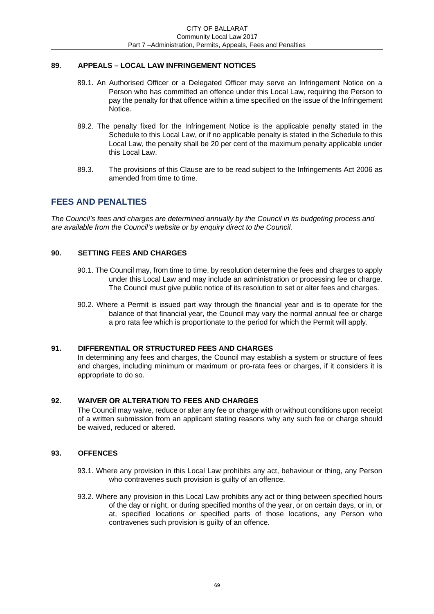# **89. APPEALS – LOCAL LAW INFRINGEMENT NOTICES**

- 89.1. An Authorised Officer or a Delegated Officer may serve an Infringement Notice on a Person who has committed an offence under this Local Law, requiring the Person to pay the penalty for that offence within a time specified on the issue of the Infringement Notice.
- 89.2. The penalty fixed for the Infringement Notice is the applicable penalty stated in the Schedule to this Local Law, or if no applicable penalty is stated in the Schedule to this Local Law, the penalty shall be 20 per cent of the maximum penalty applicable under this Local Law.
- 89.3. The provisions of this Clause are to be read subject to the Infringements Act 2006 as amended from time to time.

# **FEES AND PENALTIES**

*The Council's fees and charges are determined annually by the Council in its budgeting process and are available from the Council's website or by enquiry direct to the Council.* 

# **90. SETTING FEES AND CHARGES**

- 90.1. The Council may, from time to time, by resolution determine the fees and charges to apply under this Local Law and may include an administration or processing fee or charge. The Council must give public notice of its resolution to set or alter fees and charges.
- 90.2. Where a Permit is issued part way through the financial year and is to operate for the balance of that financial year, the Council may vary the normal annual fee or charge a pro rata fee which is proportionate to the period for which the Permit will apply.

# **91. DIFFERENTIAL OR STRUCTURED FEES AND CHARGES**

In determining any fees and charges, the Council may establish a system or structure of fees and charges, including minimum or maximum or pro-rata fees or charges, if it considers it is appropriate to do so.

# **92. WAIVER OR ALTERATION TO FEES AND CHARGES**

The Council may waive, reduce or alter any fee or charge with or without conditions upon receipt of a written submission from an applicant stating reasons why any such fee or charge should be waived, reduced or altered.

# **93. OFFENCES**

- 93.1. Where any provision in this Local Law prohibits any act, behaviour or thing, any Person who contravenes such provision is quilty of an offence.
- 93.2. Where any provision in this Local Law prohibits any act or thing between specified hours of the day or night, or during specified months of the year, or on certain days, or in, or at, specified locations or specified parts of those locations, any Person who contravenes such provision is guilty of an offence.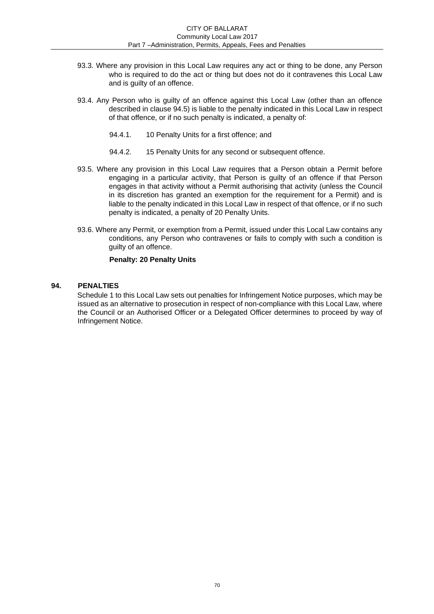- 93.3. Where any provision in this Local Law requires any act or thing to be done, any Person who is required to do the act or thing but does not do it contravenes this Local Law and is guilty of an offence.
- 93.4. Any Person who is guilty of an offence against this Local Law (other than an offence described in clause 94.5) is liable to the penalty indicated in this Local Law in respect of that offence, or if no such penalty is indicated, a penalty of:
	- 94.4.1. 10 Penalty Units for a first offence; and
	- 94.4.2. 15 Penalty Units for any second or subsequent offence.
- 93.5. Where any provision in this Local Law requires that a Person obtain a Permit before engaging in a particular activity, that Person is guilty of an offence if that Person engages in that activity without a Permit authorising that activity (unless the Council in its discretion has granted an exemption for the requirement for a Permit) and is liable to the penalty indicated in this Local Law in respect of that offence, or if no such penalty is indicated, a penalty of 20 Penalty Units.
- 93.6. Where any Permit, or exemption from a Permit, issued under this Local Law contains any conditions, any Person who contravenes or fails to comply with such a condition is guilty of an offence.

#### **Penalty: 20 Penalty Units**

### **94. PENALTIES**

Schedule 1 to this Local Law sets out penalties for Infringement Notice purposes, which may be issued as an alternative to prosecution in respect of non-compliance with this Local Law, where the Council or an Authorised Officer or a Delegated Officer determines to proceed by way of Infringement Notice.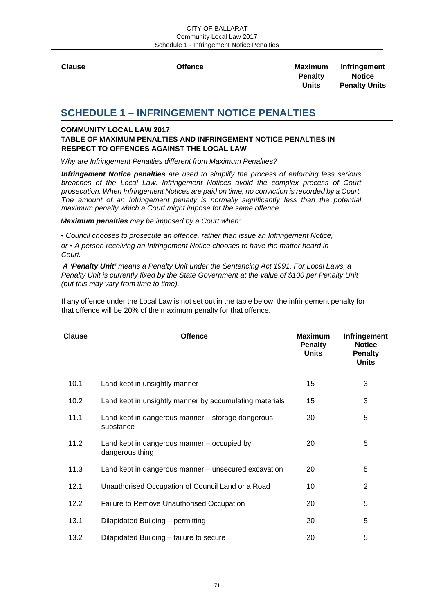**Clause Offence Maximum Infringement Penalty Notice**<br>Units **Penalty Units Penalty Units** 

# **SCHEDULE 1 – INFRINGEMENT NOTICE PENALTIES**

# **COMMUNITY LOCAL LAW 2017**

# **TABLE OF MAXIMUM PENALTIES AND INFRINGEMENT NOTICE PENALTIES IN RESPECT TO OFFENCES AGAINST THE LOCAL LAW**

*Why are Infringement Penalties different from Maximum Penalties?* 

*Infringement Notice penalties are used to simplify the process of enforcing less serious breaches of the Local Law. Infringement Notices avoid the complex process of Court prosecution. When Infringement Notices are paid on time, no conviction is recorded by a Court. The amount of an Infringement penalty is normally significantly less than the potential maximum penalty which a Court might impose for the same offence.* 

*Maximum penalties may be imposed by a Court when:* 

• *Council chooses to prosecute an offence, rather than issue an Infringement Notice, or* • *A person receiving an Infringement Notice chooses to have the matter heard in Court.* 

*A 'Penalty Unit' means a Penalty Unit under the Sentencing Act 1991. For Local Laws, a Penalty Unit is currently fixed by the State Government at the value of \$100 per Penalty Unit (but this may vary from time to time).* 

If any offence under the Local Law is not set out in the table below, the infringement penalty for that offence will be 20% of the maximum penalty for that offence.

| <b>Clause</b> | <b>Offence</b>                                                 | <b>Maximum</b><br><b>Penalty</b><br><b>Units</b> | Infringement<br><b>Notice</b><br><b>Penalty</b><br><b>Units</b> |
|---------------|----------------------------------------------------------------|--------------------------------------------------|-----------------------------------------------------------------|
| 10.1          | Land kept in unsightly manner                                  | 15                                               | 3                                                               |
| 10.2          | Land kept in unsightly manner by accumulating materials        | 15                                               | 3                                                               |
| 11.1          | Land kept in dangerous manner – storage dangerous<br>substance | 20                                               | 5                                                               |
| 11.2          | Land kept in dangerous manner – occupied by<br>dangerous thing | 20                                               | 5                                                               |
| 11.3          | Land kept in dangerous manner - unsecured excavation           | 20                                               | 5                                                               |
| 12.1          | Unauthorised Occupation of Council Land or a Road              | 10                                               | 2                                                               |
| 12.2          | Failure to Remove Unauthorised Occupation                      | 20                                               | 5                                                               |
| 13.1          | Dilapidated Building - permitting                              | 20                                               | 5                                                               |
| 13.2          | Dilapidated Building – failure to secure                       | 20                                               | 5                                                               |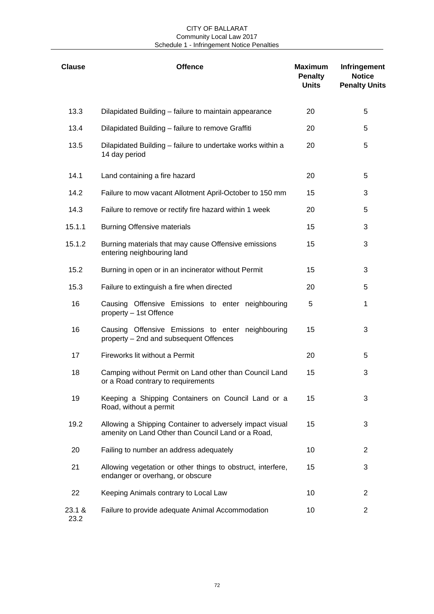#### CITY OF BALLARAT Community Local Law 2017 Schedule 1 - Infringement Notice Penalties

| <b>Clause</b>  | <b>Offence</b>                                                                                                 | <b>Maximum</b><br><b>Penalty</b><br><b>Units</b> | Infringement<br><b>Notice</b><br><b>Penalty Units</b> |
|----------------|----------------------------------------------------------------------------------------------------------------|--------------------------------------------------|-------------------------------------------------------|
| 13.3           | Dilapidated Building - failure to maintain appearance                                                          | 20                                               | 5                                                     |
| 13.4           | Dilapidated Building - failure to remove Graffiti                                                              | 20                                               | 5                                                     |
| 13.5           | Dilapidated Building - failure to undertake works within a<br>14 day period                                    | 20                                               | 5                                                     |
| 14.1           | Land containing a fire hazard                                                                                  | 20                                               | 5                                                     |
| 14.2           | Failure to mow vacant Allotment April-October to 150 mm                                                        | 15                                               | 3                                                     |
| 14.3           | Failure to remove or rectify fire hazard within 1 week                                                         | 20                                               | 5                                                     |
| 15.1.1         | <b>Burning Offensive materials</b>                                                                             | 15                                               | 3                                                     |
| 15.1.2         | Burning materials that may cause Offensive emissions<br>entering neighbouring land                             | 15                                               | 3                                                     |
| 15.2           | Burning in open or in an incinerator without Permit                                                            | 15                                               | 3                                                     |
| 15.3           | Failure to extinguish a fire when directed                                                                     | 20                                               | 5                                                     |
| 16             | Causing Offensive Emissions to enter neighbouring<br>property - 1st Offence                                    | 5                                                | 1                                                     |
| 16             | Causing Offensive Emissions to enter neighbouring<br>property - 2nd and subsequent Offences                    | 15                                               | 3                                                     |
| 17             | Fireworks lit without a Permit                                                                                 | 20                                               | 5                                                     |
| 18             | Camping without Permit on Land other than Council Land<br>or a Road contrary to requirements                   | 15                                               | 3                                                     |
| 19             | Keeping a Shipping Containers on Council Land or a<br>Road, without a permit                                   | 15                                               | 3                                                     |
| 19.2           | Allowing a Shipping Container to adversely impact visual<br>amenity on Land Other than Council Land or a Road, | 15                                               | 3                                                     |
| 20             | Failing to number an address adequately                                                                        | 10                                               | $\overline{2}$                                        |
| 21             | Allowing vegetation or other things to obstruct, interfere,<br>endanger or overhang, or obscure                | 15                                               | 3                                                     |
| 22             | Keeping Animals contrary to Local Law                                                                          | 10                                               | 2                                                     |
| 23.1 &<br>23.2 | Failure to provide adequate Animal Accommodation                                                               | 10                                               | $\overline{2}$                                        |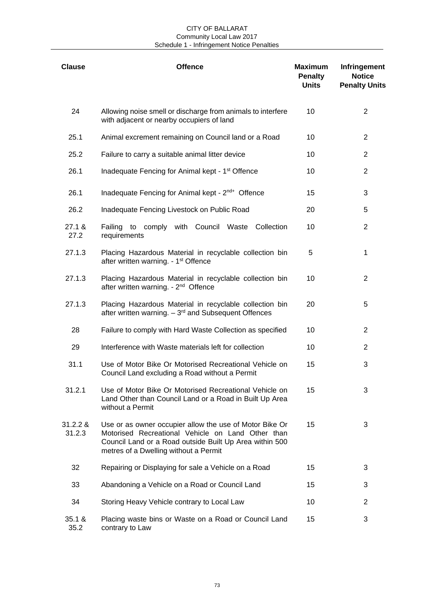| <b>Clause</b>      | <b>Offence</b>                                                                                                                                                                                                   | <b>Maximum</b><br><b>Penalty</b><br><b>Units</b> | Infringement<br><b>Notice</b><br><b>Penalty Units</b> |
|--------------------|------------------------------------------------------------------------------------------------------------------------------------------------------------------------------------------------------------------|--------------------------------------------------|-------------------------------------------------------|
| 24                 | Allowing noise smell or discharge from animals to interfere<br>with adjacent or nearby occupiers of land                                                                                                         | 10                                               | $\overline{2}$                                        |
| 25.1               | Animal excrement remaining on Council land or a Road                                                                                                                                                             | 10                                               | $\overline{2}$                                        |
| 25.2               | Failure to carry a suitable animal litter device                                                                                                                                                                 | 10                                               | $\overline{2}$                                        |
| 26.1               | Inadequate Fencing for Animal kept - 1 <sup>st</sup> Offence                                                                                                                                                     | 10                                               | $\overline{2}$                                        |
| 26.1               | Inadequate Fencing for Animal kept - 2 <sup>nd+</sup> Offence                                                                                                                                                    | 15                                               | 3                                                     |
| 26.2               | Inadequate Fencing Livestock on Public Road                                                                                                                                                                      | 20                                               | 5                                                     |
| 27.1 &<br>27.2     | Failing to comply with Council Waste<br>Collection<br>requirements                                                                                                                                               | 10                                               | 2                                                     |
| 27.1.3             | Placing Hazardous Material in recyclable collection bin<br>after written warning. - 1 <sup>st</sup> Offence                                                                                                      | 5                                                | 1                                                     |
| 27.1.3             | Placing Hazardous Material in recyclable collection bin<br>after written warning. - 2 <sup>nd</sup> Offence                                                                                                      | 10                                               | 2                                                     |
| 27.1.3             | Placing Hazardous Material in recyclable collection bin<br>after written warning. $-3rd$ and Subsequent Offences                                                                                                 | 20                                               | 5                                                     |
| 28                 | Failure to comply with Hard Waste Collection as specified                                                                                                                                                        | 10                                               | $\overline{2}$                                        |
| 29                 | Interference with Waste materials left for collection                                                                                                                                                            | 10                                               | 2                                                     |
| 31.1               | Use of Motor Bike Or Motorised Recreational Vehicle on<br>Council Land excluding a Road without a Permit                                                                                                         | 15                                               | 3                                                     |
| 31.2.1             | Use of Motor Bike Or Motorised Recreational Vehicle on<br>Land Other than Council Land or a Road in Built Up Area<br>without a Permit                                                                            | 15                                               | 3                                                     |
| 31.2.2 &<br>31.2.3 | Use or as owner occupier allow the use of Motor Bike Or<br>Motorised Recreational Vehicle on Land Other than<br>Council Land or a Road outside Built Up Area within 500<br>metres of a Dwelling without a Permit | 15                                               | 3                                                     |
| 32                 | Repairing or Displaying for sale a Vehicle on a Road                                                                                                                                                             | 15                                               | 3                                                     |
| 33                 | Abandoning a Vehicle on a Road or Council Land                                                                                                                                                                   | 15                                               | 3                                                     |
| 34                 | Storing Heavy Vehicle contrary to Local Law                                                                                                                                                                      | 10                                               | 2                                                     |
| 35.1 &<br>35.2     | Placing waste bins or Waste on a Road or Council Land<br>contrary to Law                                                                                                                                         | 15                                               | 3                                                     |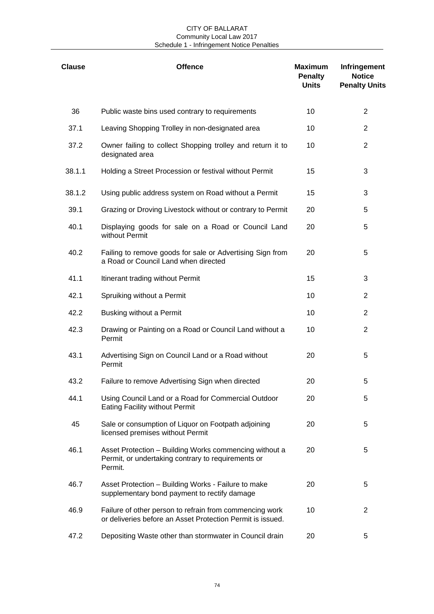| <b>Clause</b> | <b>Offence</b>                                                                                                          | <b>Maximum</b><br><b>Penalty</b><br><b>Units</b> | Infringement<br><b>Notice</b><br><b>Penalty Units</b> |
|---------------|-------------------------------------------------------------------------------------------------------------------------|--------------------------------------------------|-------------------------------------------------------|
| 36            | Public waste bins used contrary to requirements                                                                         | 10                                               | $\overline{2}$                                        |
| 37.1          | Leaving Shopping Trolley in non-designated area                                                                         | 10                                               | $\overline{2}$                                        |
| 37.2          | Owner failing to collect Shopping trolley and return it to<br>designated area                                           | 10                                               | $\overline{2}$                                        |
| 38.1.1        | Holding a Street Procession or festival without Permit                                                                  | 15                                               | 3                                                     |
| 38.1.2        | Using public address system on Road without a Permit                                                                    | 15                                               | 3                                                     |
| 39.1          | Grazing or Droving Livestock without or contrary to Permit                                                              | 20                                               | 5                                                     |
| 40.1          | Displaying goods for sale on a Road or Council Land<br>without Permit                                                   | 20                                               | 5                                                     |
| 40.2          | Failing to remove goods for sale or Advertising Sign from<br>a Road or Council Land when directed                       | 20                                               | 5                                                     |
| 41.1          | Itinerant trading without Permit                                                                                        | 15                                               | 3                                                     |
| 42.1          | Spruiking without a Permit                                                                                              | 10                                               | $\overline{2}$                                        |
| 42.2          | Busking without a Permit                                                                                                | 10                                               | $\overline{2}$                                        |
| 42.3          | Drawing or Painting on a Road or Council Land without a<br>Permit                                                       | 10                                               | $\overline{2}$                                        |
| 43.1          | Advertising Sign on Council Land or a Road without<br>Permit                                                            | 20                                               | 5                                                     |
| 43.2          | Failure to remove Advertising Sign when directed                                                                        | 20                                               | 5                                                     |
| 44.1          | Using Council Land or a Road for Commercial Outdoor<br><b>Eating Facility without Permit</b>                            | 20                                               | 5                                                     |
| 45            | Sale or consumption of Liquor on Footpath adjoining<br>licensed premises without Permit                                 | 20                                               | 5                                                     |
| 46.1          | Asset Protection - Building Works commencing without a<br>Permit, or undertaking contrary to requirements or<br>Permit. | 20                                               | 5                                                     |
| 46.7          | Asset Protection - Building Works - Failure to make<br>supplementary bond payment to rectify damage                     | 20                                               | 5                                                     |
| 46.9          | Failure of other person to refrain from commencing work<br>or deliveries before an Asset Protection Permit is issued.   | 10                                               | 2                                                     |
| 47.2          | Depositing Waste other than stormwater in Council drain                                                                 | 20                                               | 5                                                     |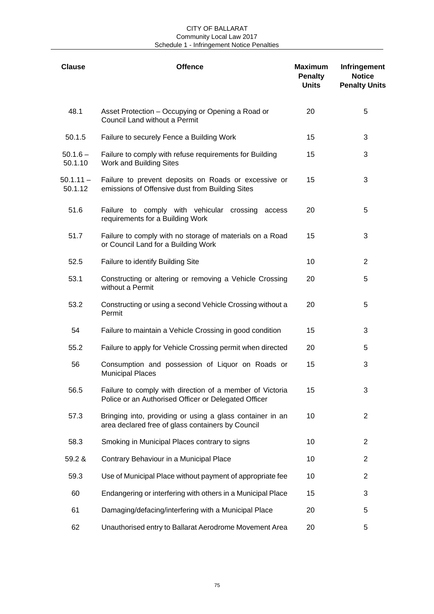| <b>Clause</b>          | <b>Offence</b>                                                                                                   | <b>Maximum</b><br><b>Penalty</b><br><b>Units</b> | Infringement<br><b>Notice</b><br><b>Penalty Units</b> |
|------------------------|------------------------------------------------------------------------------------------------------------------|--------------------------------------------------|-------------------------------------------------------|
| 48.1                   | Asset Protection - Occupying or Opening a Road or<br>Council Land without a Permit                               | 20                                               | 5                                                     |
| 50.1.5                 | Failure to securely Fence a Building Work                                                                        | 15                                               | 3                                                     |
| $50.1.6 -$<br>50.1.10  | Failure to comply with refuse requirements for Building<br>Work and Building Sites                               | 15                                               | 3                                                     |
| $50.1.11 -$<br>50.1.12 | Failure to prevent deposits on Roads or excessive or<br>emissions of Offensive dust from Building Sites          | 15                                               | 3                                                     |
| 51.6                   | Failure to comply with vehicular crossing<br>access<br>requirements for a Building Work                          | 20                                               | 5                                                     |
| 51.7                   | Failure to comply with no storage of materials on a Road<br>or Council Land for a Building Work                  | 15                                               | 3                                                     |
| 52.5                   | Failure to identify Building Site                                                                                | 10                                               | $\overline{2}$                                        |
| 53.1                   | Constructing or altering or removing a Vehicle Crossing<br>without a Permit                                      | 20                                               | 5                                                     |
| 53.2                   | Constructing or using a second Vehicle Crossing without a<br>Permit                                              | 20                                               | 5                                                     |
| 54                     | Failure to maintain a Vehicle Crossing in good condition                                                         | 15                                               | 3                                                     |
| 55.2                   | Failure to apply for Vehicle Crossing permit when directed                                                       | 20                                               | 5                                                     |
| 56                     | Consumption and possession of Liquor on Roads or<br><b>Municipal Places</b>                                      | 15                                               | 3                                                     |
| 56.5                   | Failure to comply with direction of a member of Victoria<br>Police or an Authorised Officer or Delegated Officer | 15                                               | 3                                                     |
| 57.3                   | Bringing into, providing or using a glass container in an<br>area declared free of glass containers by Council   | 10                                               | $\overline{2}$                                        |
| 58.3                   | Smoking in Municipal Places contrary to signs                                                                    | 10                                               | $\overline{2}$                                        |
| 59.2 &                 | Contrary Behaviour in a Municipal Place                                                                          | 10                                               | $\overline{2}$                                        |
| 59.3                   | Use of Municipal Place without payment of appropriate fee                                                        | 10                                               | 2                                                     |
| 60                     | Endangering or interfering with others in a Municipal Place                                                      | 15                                               | 3                                                     |
| 61                     | Damaging/defacing/interfering with a Municipal Place                                                             | 20                                               | 5                                                     |
| 62                     | Unauthorised entry to Ballarat Aerodrome Movement Area                                                           | 20                                               | 5                                                     |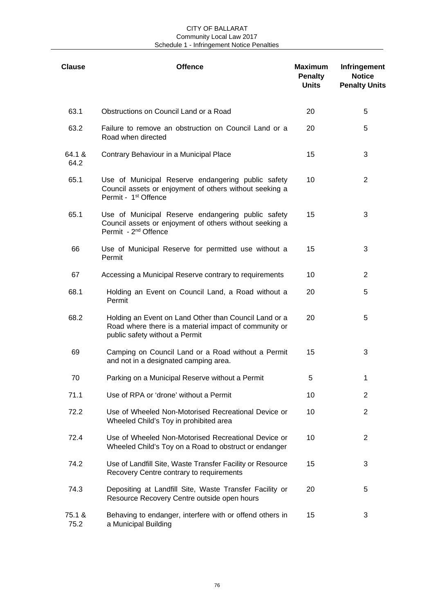| <b>Clause</b>  | <b>Offence</b>                                                                                                                                    | <b>Maximum</b><br><b>Penalty</b><br><b>Units</b> | Infringement<br><b>Notice</b><br><b>Penalty Units</b> |
|----------------|---------------------------------------------------------------------------------------------------------------------------------------------------|--------------------------------------------------|-------------------------------------------------------|
| 63.1           | Obstructions on Council Land or a Road                                                                                                            | 20                                               | 5                                                     |
| 63.2           | Failure to remove an obstruction on Council Land or a<br>Road when directed                                                                       | 20                                               | 5                                                     |
| 64.1 &<br>64.2 | Contrary Behaviour in a Municipal Place                                                                                                           | 15                                               | 3                                                     |
| 65.1           | Use of Municipal Reserve endangering public safety<br>Council assets or enjoyment of others without seeking a<br>Permit - 1 <sup>st</sup> Offence | 10                                               | 2                                                     |
| 65.1           | Use of Municipal Reserve endangering public safety<br>Council assets or enjoyment of others without seeking a<br>Permit - 2 <sup>nd</sup> Offence | 15                                               | 3                                                     |
| 66             | Use of Municipal Reserve for permitted use without a<br>Permit                                                                                    | 15                                               | 3                                                     |
| 67             | Accessing a Municipal Reserve contrary to requirements                                                                                            | 10                                               | $\overline{2}$                                        |
| 68.1           | Holding an Event on Council Land, a Road without a<br>Permit                                                                                      | 20                                               | 5                                                     |
| 68.2           | Holding an Event on Land Other than Council Land or a<br>Road where there is a material impact of community or<br>public safety without a Permit  | 20                                               | 5                                                     |
| 69             | Camping on Council Land or a Road without a Permit<br>and not in a designated camping area.                                                       | 15                                               | 3                                                     |
| 70             | Parking on a Municipal Reserve without a Permit                                                                                                   | 5                                                | 1                                                     |
| 71.1           | Use of RPA or 'drone' without a Permit                                                                                                            | 10                                               | 2                                                     |
| 72.2           | Use of Wheeled Non-Motorised Recreational Device or<br>Wheeled Child's Toy in prohibited area                                                     | 10                                               | $\overline{2}$                                        |
| 72.4           | Use of Wheeled Non-Motorised Recreational Device or<br>Wheeled Child's Toy on a Road to obstruct or endanger                                      | 10                                               | 2                                                     |
| 74.2           | Use of Landfill Site, Waste Transfer Facility or Resource<br>Recovery Centre contrary to requirements                                             | 15                                               | 3                                                     |
| 74.3           | Depositing at Landfill Site, Waste Transfer Facility or<br>Resource Recovery Centre outside open hours                                            | 20                                               | 5                                                     |
| 75.1 &<br>75.2 | Behaving to endanger, interfere with or offend others in<br>a Municipal Building                                                                  | 15                                               | 3                                                     |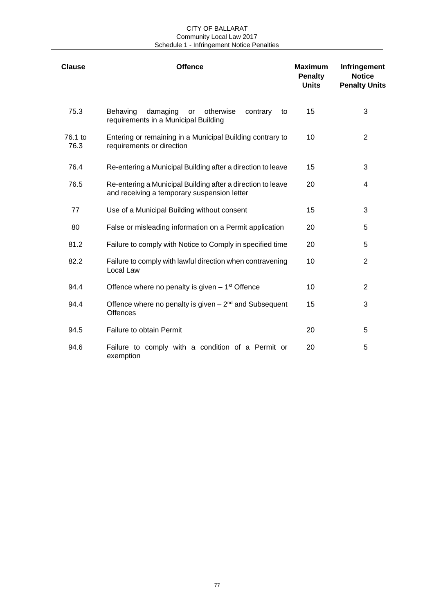| <b>Clause</b>   | <b>Offence</b>                                                                                             | <b>Maximum</b><br><b>Penalty</b><br><b>Units</b> | Infringement<br><b>Notice</b><br><b>Penalty Units</b> |
|-----------------|------------------------------------------------------------------------------------------------------------|--------------------------------------------------|-------------------------------------------------------|
| 75.3            | damaging<br>Behaving<br>otherwise<br>contrary<br>or<br>to<br>requirements in a Municipal Building          | 15                                               | 3                                                     |
| 76.1 to<br>76.3 | Entering or remaining in a Municipal Building contrary to<br>requirements or direction                     | 10                                               | $\overline{2}$                                        |
| 76.4            | Re-entering a Municipal Building after a direction to leave                                                | 15                                               | 3                                                     |
| 76.5            | Re-entering a Municipal Building after a direction to leave<br>and receiving a temporary suspension letter | 20                                               | 4                                                     |
| 77              | Use of a Municipal Building without consent                                                                | 15                                               | 3                                                     |
| 80              | False or misleading information on a Permit application                                                    | 20                                               | 5                                                     |
| 81.2            | Failure to comply with Notice to Comply in specified time                                                  | 20                                               | 5                                                     |
| 82.2            | Failure to comply with lawful direction when contravening<br>Local Law                                     | 10                                               | $\overline{2}$                                        |
| 94.4            | Offence where no penalty is given $-1st$ Offence                                                           | 10                                               | 2                                                     |
| 94.4            | Offence where no penalty is given $-2nd$ and Subsequent<br><b>Offences</b>                                 | 15                                               | 3                                                     |
| 94.5            | Failure to obtain Permit                                                                                   | 20                                               | 5                                                     |
| 94.6            | Failure to comply with a condition of a Permit or<br>exemption                                             | 20                                               | 5                                                     |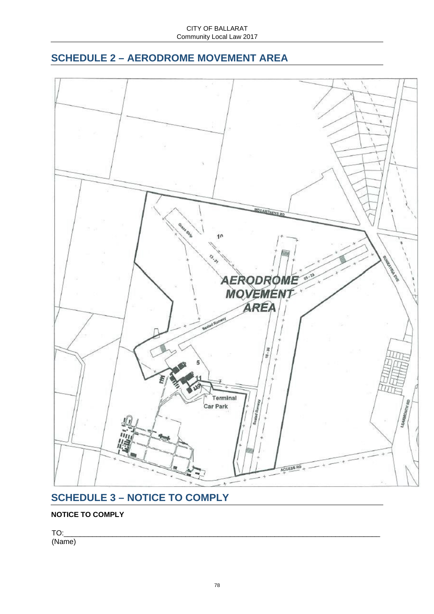## **SCHEDULE 2 – AERODROME MOVEMENT AREA**



# **SCHEDULE 3 – NOTICE TO COMPLY**

### **NOTICE TO COMPLY**

TO:\_\_\_\_\_\_\_\_\_\_\_\_\_\_\_\_\_\_\_\_\_\_\_\_\_\_\_\_\_\_\_\_\_\_\_\_\_\_\_\_\_\_\_\_\_\_\_\_\_\_\_\_\_\_\_\_\_\_\_\_\_\_\_\_\_\_\_\_\_\_\_\_\_\_\_\_\_\_ (Name)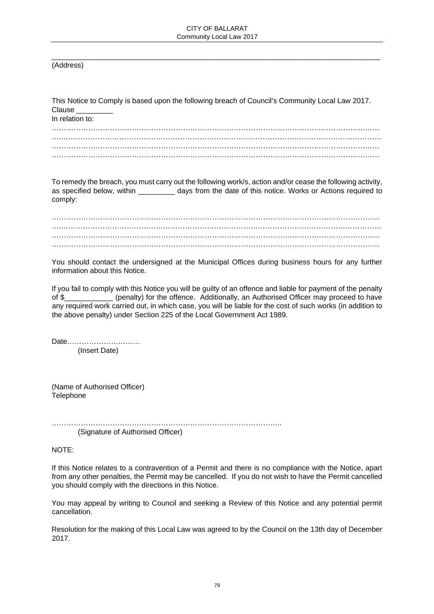\_\_\_\_\_\_\_\_\_\_\_\_\_\_\_\_\_\_\_\_\_\_\_\_\_\_\_\_\_\_\_\_\_\_\_\_\_\_\_\_\_\_\_\_\_\_\_\_\_\_\_\_\_\_\_\_\_\_\_\_\_\_\_\_\_\_\_\_\_\_\_\_\_\_\_\_\_\_\_\_\_

(Address)

| This Notice to Comply is based upon the following breach of Council's Community Local Law 2017.<br>Clause ________<br>In relation to:                                                                                                                                                                                                                                                                          |  |  |
|----------------------------------------------------------------------------------------------------------------------------------------------------------------------------------------------------------------------------------------------------------------------------------------------------------------------------------------------------------------------------------------------------------------|--|--|
|                                                                                                                                                                                                                                                                                                                                                                                                                |  |  |
| To remedy the breach, you must carry out the following work/s, action and/or cease the following activity,<br>as specified below, within _________ days from the date of this notice. Works or Actions required to<br>comply:                                                                                                                                                                                  |  |  |
|                                                                                                                                                                                                                                                                                                                                                                                                                |  |  |
|                                                                                                                                                                                                                                                                                                                                                                                                                |  |  |
| You should contact the undersigned at the Municipal Offices during business hours for any further<br>information about this Notice.                                                                                                                                                                                                                                                                            |  |  |
| If you fail to comply with this Notice you will be guilty of an offence and liable for payment of the penalty<br>of \$____________ (penalty) for the offence. Additionally, an Authorised Officer may proceed to have<br>any required work carried out, in which case, you will be liable for the cost of such works (in addition to<br>the above penalty) under Section 225 of the Local Government Act 1989. |  |  |
| Date<br>(Insert Date)                                                                                                                                                                                                                                                                                                                                                                                          |  |  |
| (Name of Authorised Officer)                                                                                                                                                                                                                                                                                                                                                                                   |  |  |

…………………………………………………………………………………..

(Signature of Authorised Officer)

NOTE:

**Telephone** 

If this Notice relates to a contravention of a Permit and there is no compliance with the Notice, apart from any other penalties, the Permit may be cancelled. If you do not wish to have the Permit cancelled you should comply with the directions in this Notice.

You may appeal by writing to Council and seeking a Review of this Notice and any potential permit cancellation.

Resolution for the making of this Local Law was agreed to by the Council on the 13th day of December 2017.